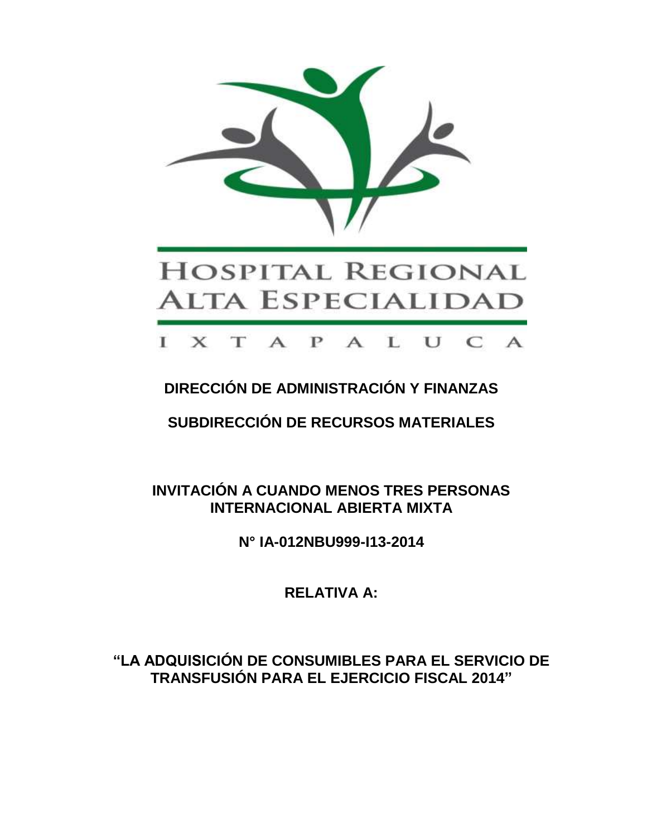

# **DIRECCIÓN DE ADMINISTRACIÓN Y FINANZAS**

**SUBDIRECCIÓN DE RECURSOS MATERIALES**

**INVITACIÓN A CUANDO MENOS TRES PERSONAS INTERNACIONAL ABIERTA MIXTA**

**N° IA-012NBU999-I13-2014**

**RELATIVA A:**

**"LA ADQUISICIÓN DE CONSUMIBLES PARA EL SERVICIO DE TRANSFUSIÓN PARA EL EJERCICIO FISCAL 2014"**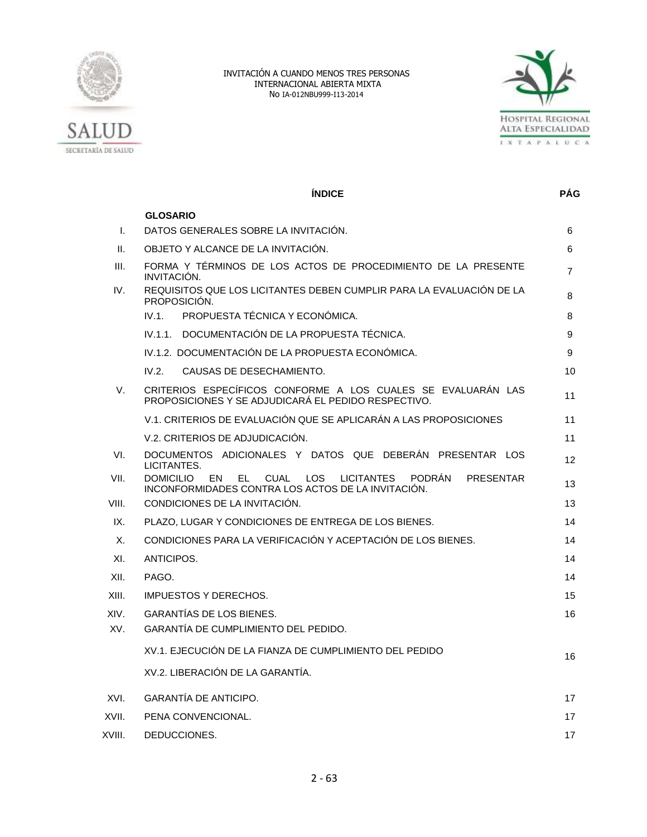



|        | <b>ÍNDICE</b>                                                                                                                                                             | <b>PÁG</b> |
|--------|---------------------------------------------------------------------------------------------------------------------------------------------------------------------------|------------|
|        | <b>GLOSARIO</b>                                                                                                                                                           |            |
| I.     | DATOS GENERALES SOBRE LA INVITACIÓN.                                                                                                                                      | 6          |
| Ш.     | OBJETO Y ALCANCE DE LA INVITACIÓN.                                                                                                                                        | 6          |
| III.   | FORMA Y TÉRMINOS DE LOS ACTOS DE PROCEDIMIENTO DE LA PRESENTE<br>INVITACIÓN.                                                                                              | 7          |
| IV.    | REQUISITOS QUE LOS LICITANTES DEBEN CUMPLIR PARA LA EVALUACIÓN DE LA<br>PROPOSICIÓN.                                                                                      | 8          |
|        | IV.1.<br>PROPUESTA TÉCNICA Y ECONÓMICA.                                                                                                                                   | 8          |
|        | IV.1.1. DOCUMENTACIÓN DE LA PROPUESTA TÉCNICA.                                                                                                                            | 9          |
|        | IV.1.2. DOCUMENTACIÓN DE LA PROPUESTA ECONÓMICA.                                                                                                                          | 9          |
|        | IV.2.<br>CAUSAS DE DESECHAMIENTO.                                                                                                                                         | 10         |
| V.     | CRITERIOS ESPECÍFICOS CONFORME A LOS CUALES SE EVALUARÁN LAS<br>PROPOSICIONES Y SE ADJUDICARÁ EL PEDIDO RESPECTIVO.                                                       | 11         |
|        | V.1. CRITERIOS DE EVALUACIÓN QUE SE APLICARÁN A LAS PROPOSICIONES                                                                                                         | 11         |
|        | V.2. CRITERIOS DE ADJUDICACIÓN.                                                                                                                                           | 11         |
| VI.    | DOCUMENTOS ADICIONALES Y DATOS QUE DEBERÁN PRESENTAR LOS<br>LICITANTES.                                                                                                   | 12         |
| VII.   | <b>DOMICILIO</b><br><b>EN</b><br>EL<br>CUAL<br><b>LOS</b><br><b>LICITANTES</b><br><b>PODRÁN</b><br><b>PRESENTAR</b><br>INCONFORMIDADES CONTRA LOS ACTOS DE LA INVITACIÓN. | 13         |
| VIII.  | CONDICIONES DE LA INVITACIÓN.                                                                                                                                             | 13         |
| IX.    | PLAZO, LUGAR Y CONDICIONES DE ENTREGA DE LOS BIENES.                                                                                                                      | 14         |
| Х.     | CONDICIONES PARA LA VERIFICACIÓN Y ACEPTACIÓN DE LOS BIENES.                                                                                                              | 14         |
| XI.    | ANTICIPOS.                                                                                                                                                                | 14         |
| XII.   | PAGO.                                                                                                                                                                     | 14         |
| XIII.  | <b>IMPUESTOS Y DERECHOS.</b>                                                                                                                                              | 15         |
| XIV.   | <b>GARANTÍAS DE LOS BIENES.</b>                                                                                                                                           | 16         |
| XV.    | GARANTÍA DE CUMPLIMIENTO DEL PEDIDO.                                                                                                                                      |            |
|        | XV.1. EJECUCIÓN DE LA FIANZA DE CUMPLIMIENTO DEL PEDIDO                                                                                                                   | 16         |
|        | XV.2. LIBERACIÓN DE LA GARANTÍA.                                                                                                                                          |            |
| XVI.   | <b>GARANTÍA DE ANTICIPO.</b>                                                                                                                                              | 17         |
| XVII.  | PENA CONVENCIONAL.                                                                                                                                                        | 17         |
| XVIII. | DEDUCCIONES.                                                                                                                                                              | 17         |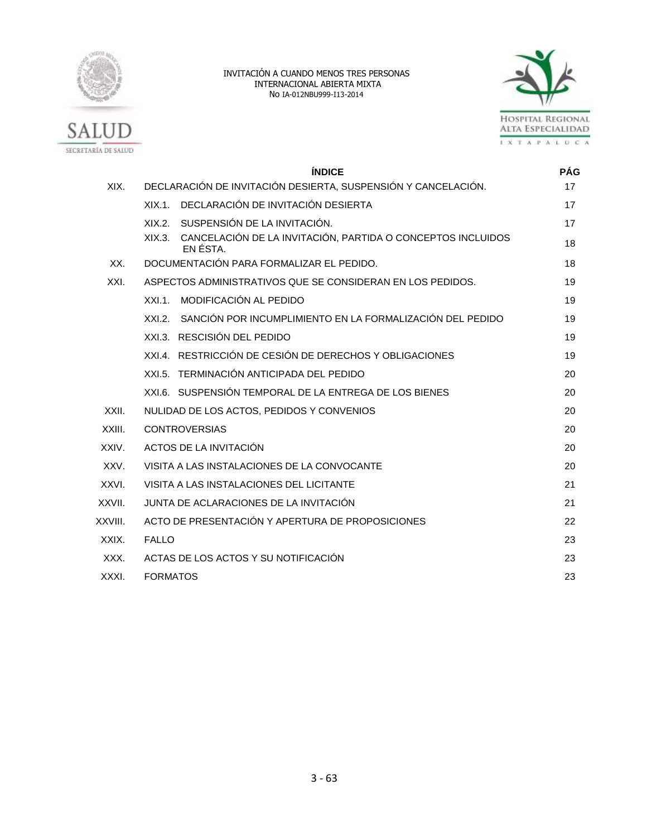



|         | <b>ÍNDICE</b>                                                                     | <b>PÁG</b> |  |  |  |  |  |  |
|---------|-----------------------------------------------------------------------------------|------------|--|--|--|--|--|--|
| XIX.    | DECLARACIÓN DE INVITACIÓN DESIERTA, SUSPENSIÓN Y CANCELACIÓN.                     | 17         |  |  |  |  |  |  |
|         | XIX.1. DECLARACIÓN DE INVITACIÓN DESIERTA                                         | 17         |  |  |  |  |  |  |
|         | SUSPENSIÓN DE LA INVITACIÓN.<br>XIX.2                                             | 17         |  |  |  |  |  |  |
|         | CANCELACIÓN DE LA INVITACIÓN, PARTIDA O CONCEPTOS INCLUIDOS<br>XIX.3.<br>EN ÉSTA. | 18         |  |  |  |  |  |  |
| XX.     | DOCUMENTACIÓN PARA FORMALIZAR EL PEDIDO.                                          | 18         |  |  |  |  |  |  |
| XXI.    | ASPECTOS ADMINISTRATIVOS QUE SE CONSIDERAN EN LOS PEDIDOS.                        | 19         |  |  |  |  |  |  |
|         | MODIFICACIÓN AL PEDIDO<br>$XXL1$ .                                                | 19         |  |  |  |  |  |  |
|         | SANCIÓN POR INCUMPLIMIENTO EN LA FORMALIZACIÓN DEL PEDIDO<br>XXL2                 | 19         |  |  |  |  |  |  |
|         | XXI.3. RESCISIÓN DEL PEDIDO                                                       | 19         |  |  |  |  |  |  |
|         | XXI.4. RESTRICCIÓN DE CESIÓN DE DERECHOS Y OBLIGACIONES                           | 19         |  |  |  |  |  |  |
|         | XXI.5. TERMINACIÓN ANTICIPADA DEL PEDIDO                                          | 20         |  |  |  |  |  |  |
|         | XXI.6. SUSPENSIÓN TEMPORAL DE LA ENTREGA DE LOS BIENES                            | 20         |  |  |  |  |  |  |
| XXII.   | NULIDAD DE LOS ACTOS, PEDIDOS Y CONVENIOS                                         | 20         |  |  |  |  |  |  |
| XXIII.  | <b>CONTROVERSIAS</b>                                                              | 20         |  |  |  |  |  |  |
| XXIV.   | ACTOS DE LA INVITACIÓN                                                            | 20         |  |  |  |  |  |  |
| XXV.    | VISITA A LAS INSTALACIONES DE LA CONVOCANTE                                       | 20         |  |  |  |  |  |  |
| XXVI.   | VISITA A LAS INSTALACIONES DEL LICITANTE                                          | 21         |  |  |  |  |  |  |
| XXVII.  | JUNTA DE ACLARACIONES DE LA INVITACIÓN                                            |            |  |  |  |  |  |  |
| XXVIII. | ACTO DE PRESENTACIÓN Y APERTURA DE PROPOSICIONES                                  |            |  |  |  |  |  |  |
| XXIX.   | <b>FALLO</b>                                                                      |            |  |  |  |  |  |  |
| XXX.    | ACTAS DE LOS ACTOS Y SU NOTIFICACIÓN                                              | 23         |  |  |  |  |  |  |
| XXXI.   | <b>FORMATOS</b>                                                                   |            |  |  |  |  |  |  |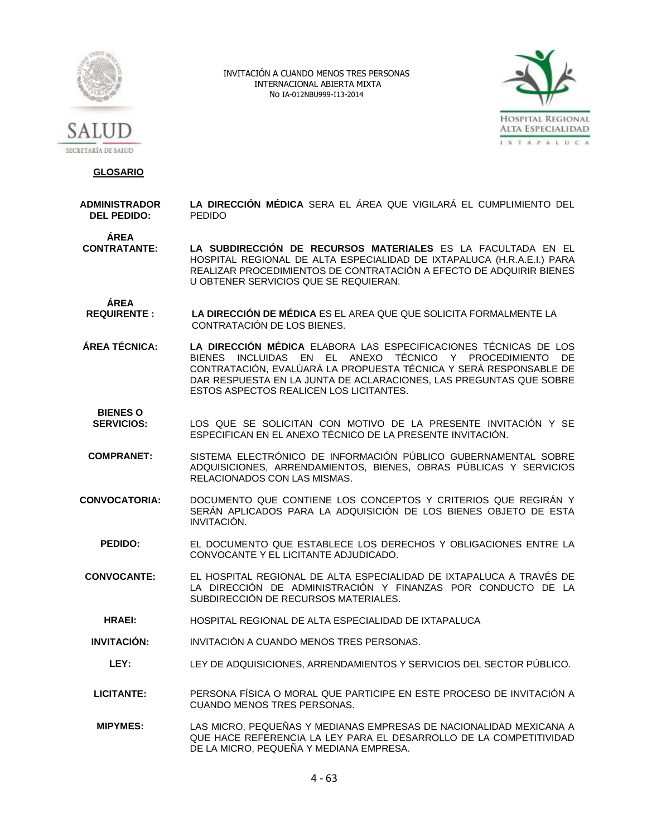



 **GLOSARIO**

**ADMINISTRADOR DEL PEDIDO: LA DIRECCIÓN MÉDICA** SERA EL ÁREA QUE VIGILARÁ EL CUMPLIMIENTO DEL PEDIDO

**ÁREA** 

**CONTRATANTE: LA SUBDIRECCIÓN DE RECURSOS MATERIALES** ES LA FACULTADA EN EL HOSPITAL REGIONAL DE ALTA ESPECIALIDAD DE IXTAPALUCA (H.R.A.E.I.) PARA REALIZAR PROCEDIMIENTOS DE CONTRATACIÓN A EFECTO DE ADQUIRIR BIENES U OBTENER SERVICIOS QUE SE REQUIERAN.

ÁREA<br>**REQUIRENTE :** LA DIRECCIÓN DE MÉDICA ES EL AREA QUE QUE SOLICITA FORMALMENTE LA CONTRATACIÓN DE LOS BIENES.

**ÁREA TÉCNICA: LA DIRECCIÓN MÉDICA** ELABORA LAS ESPECIFICACIONES TÉCNICAS DE LOS BIENES INCLUIDAS EN EL ANEXO TÉCNICO Y PROCEDIMIENTO DE CONTRATACIÓN, EVALÚARÁ LA PROPUESTA TÉCNICA Y SERÁ RESPONSABLE DE DAR RESPUESTA EN LA JUNTA DE ACLARACIONES, LAS PREGUNTAS QUE SOBRE ESTOS ASPECTOS REALICEN LOS LICITANTES.

**BIENES O** 

- **SERVICIOS:** LOS QUE SE SOLICITAN CON MOTIVO DE LA PRESENTE INVITACIÓN Y SE ESPECIFICAN EN EL ANEXO TÉCNICO DE LA PRESENTE INVITACIÓN.
- **COMPRANET:** SISTEMA ELECTRÓNICO DE INFORMACIÓN PÚBLICO GUBERNAMENTAL SOBRE ADQUISICIONES, ARRENDAMIENTOS, BIENES, OBRAS PÚBLICAS Y SERVICIOS RELACIONADOS CON LAS MISMAS.
- **CONVOCATORIA:** DOCUMENTO QUE CONTIENE LOS CONCEPTOS Y CRITERIOS QUE REGIRÁN Y SERÁN APLICADOS PARA LA ADQUISICIÓN DE LOS BIENES OBJETO DE ESTA INVITACIÓN.
	- **PEDIDO:** EL DOCUMENTO QUE ESTABLECE LOS DERECHOS Y OBLIGACIONES ENTRE LA CONVOCANTE Y EL LICITANTE ADJUDICADO.
- **CONVOCANTE:** EL HOSPITAL REGIONAL DE ALTA ESPECIALIDAD DE IXTAPALUCA A TRAVÉS DE LA DIRECCIÓN DE ADMINISTRACIÓN Y FINANZAS POR CONDUCTO DE LA SUBDIRECCIÓN DE RECURSOS MATERIALES.
	- **HRAEI:** HOSPITAL REGIONAL DE ALTA ESPECIALIDAD DE IXTAPALUCA
- **INVITACIÓN:** INVITACIÓN A CUANDO MENOS TRES PERSONAS.
	- **LEY:** LEY DE ADQUISICIONES, ARRENDAMIENTOS Y SERVICIOS DEL SECTOR PÚBLICO.
- **LICITANTE:** PERSONA FÍSICA O MORAL QUE PARTICIPE EN ESTE PROCESO DE INVITACIÓN A CUANDO MENOS TRES PERSONAS.
- **MIPYMES:** LAS MICRO, PEQUEÑAS Y MEDIANAS EMPRESAS DE NACIONALIDAD MEXICANA A QUE HACE REFERENCIA LA LEY PARA EL DESARROLLO DE LA COMPETITIVIDAD DE LA MICRO, PEQUEÑA Y MEDIANA EMPRESA.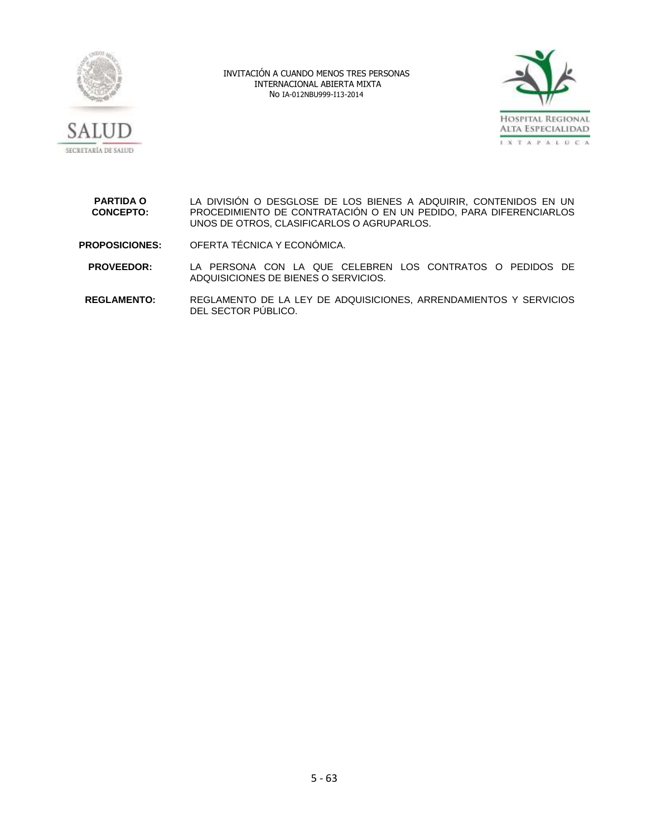



**PARTIDA O CONCEPTO:** LA DIVISIÓN O DESGLOSE DE LOS BIENES A ADQUIRIR, CONTENIDOS EN UN PROCEDIMIENTO DE CONTRATACIÓN O EN UN PEDIDO, PARA DIFERENCIARLOS UNOS DE OTROS, CLASIFICARLOS O AGRUPARLOS.

**PROPOSICIONES:** OFERTA TÉCNICA Y ECONÓMICA.

**PROVEEDOR:** LA PERSONA CON LA QUE CELEBREN LOS CONTRATOS O PEDIDOS DE ADQUISICIONES DE BIENES O SERVICIOS.

**REGLAMENTO:** REGLAMENTO DE LA LEY DE ADQUISICIONES, ARRENDAMIENTOS Y SERVICIOS DEL SECTOR PÚBLICO.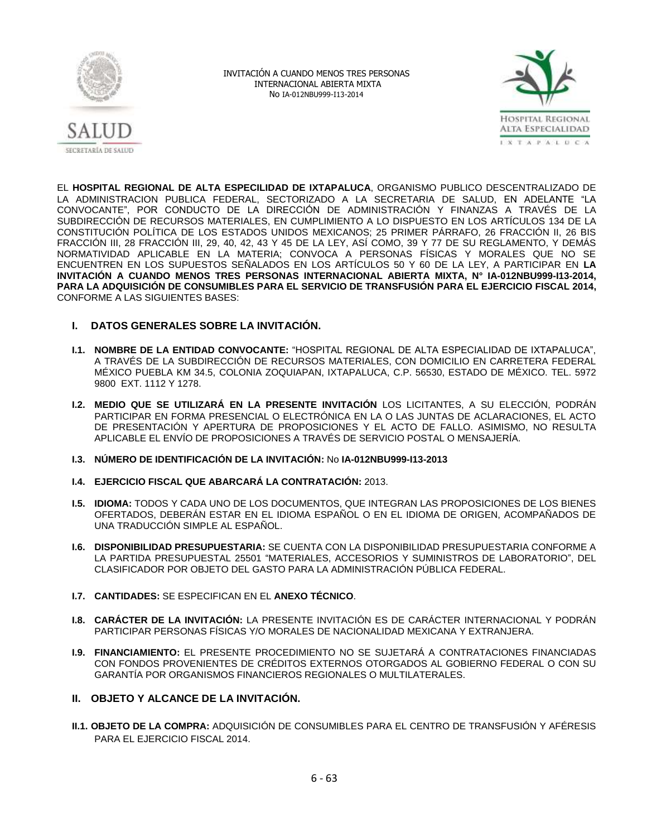



EL **HOSPITAL REGIONAL DE ALTA ESPECILIDAD DE IXTAPALUCA**, ORGANISMO PUBLICO DESCENTRALIZADO DE LA ADMINISTRACION PUBLICA FEDERAL, SECTORIZADO A LA SECRETARIA DE SALUD, EN ADELANTE "LA CONVOCANTE", POR CONDUCTO DE LA DIRECCIÓN DE ADMINISTRACIÓN Y FINANZAS A TRAVÉS DE LA SUBDIRECCIÓN DE RECURSOS MATERIALES, EN CUMPLIMIENTO A LO DISPUESTO EN LOS ARTÍCULOS 134 DE LA CONSTITUCIÓN POLÍTICA DE LOS ESTADOS UNIDOS MEXICANOS; 25 PRIMER PÁRRAFO, 26 FRACCIÓN II, 26 BIS FRACCIÓN III, 28 FRACCIÓN III, 29, 40, 42, 43 Y 45 DE LA LEY, ASÍ COMO, 39 Y 77 DE SU REGLAMENTO, Y DEMÁS NORMATIVIDAD APLICABLE EN LA MATERIA; CONVOCA A PERSONAS FÍSICAS Y MORALES QUE NO SE ENCUENTREN EN LOS SUPUESTOS SEÑALADOS EN LOS ARTÍCULOS 50 Y 60 DE LA LEY, A PARTICIPAR EN **LA INVITACIÓN A CUANDO MENOS TRES PERSONAS INTERNACIONAL ABIERTA MIXTA, N° IA-012NBU999-I13-2014, PARA LA ADQUISICIÓN DE CONSUMIBLES PARA EL SERVICIO DE TRANSFUSIÓN PARA EL EJERCICIO FISCAL 2014,** CONFORME A LAS SIGUIENTES BASES:

# **I. DATOS GENERALES SOBRE LA INVITACIÓN.**

- **I.1. NOMBRE DE LA ENTIDAD CONVOCANTE:** "HOSPITAL REGIONAL DE ALTA ESPECIALIDAD DE IXTAPALUCA", A TRAVÉS DE LA SUBDIRECCIÓN DE RECURSOS MATERIALES, CON DOMICILIO EN CARRETERA FEDERAL MÉXICO PUEBLA KM 34.5, COLONIA ZOQUIAPAN, IXTAPALUCA, C.P. 56530, ESTADO DE MÉXICO. TEL. 5972 9800 EXT. 1112 Y 1278.
- **I.2. MEDIO QUE SE UTILIZARÁ EN LA PRESENTE INVITACIÓN** LOS LICITANTES, A SU ELECCIÓN, PODRÁN PARTICIPAR EN FORMA PRESENCIAL O ELECTRÓNICA EN LA O LAS JUNTAS DE ACLARACIONES, EL ACTO DE PRESENTACIÓN Y APERTURA DE PROPOSICIONES Y EL ACTO DE FALLO. ASIMISMO, NO RESULTA APLICABLE EL ENVÍO DE PROPOSICIONES A TRAVÉS DE SERVICIO POSTAL O MENSAJERÍA.
- **I.3. NÚMERO DE IDENTIFICACIÓN DE LA INVITACIÓN:** No **IA-012NBU999-I13-2013**
- **I.4. EJERCICIO FISCAL QUE ABARCARÁ LA CONTRATACIÓN:** 2013.
- **I.5. IDIOMA:** TODOS Y CADA UNO DE LOS DOCUMENTOS, QUE INTEGRAN LAS PROPOSICIONES DE LOS BIENES OFERTADOS, DEBERÁN ESTAR EN EL IDIOMA ESPAÑOL O EN EL IDIOMA DE ORIGEN, ACOMPAÑADOS DE UNA TRADUCCIÓN SIMPLE AL ESPAÑOL.
- **I.6. DISPONIBILIDAD PRESUPUESTARIA:** SE CUENTA CON LA DISPONIBILIDAD PRESUPUESTARIA CONFORME A LA PARTIDA PRESUPUESTAL 25501 "MATERIALES, ACCESORIOS Y SUMINISTROS DE LABORATORIO", DEL CLASIFICADOR POR OBJETO DEL GASTO PARA LA ADMINISTRACIÓN PÚBLICA FEDERAL.
- **I.7. CANTIDADES:** SE ESPECIFICAN EN EL **ANEXO TÉCNICO**.
- **I.8. CARÁCTER DE LA INVITACIÓN:** LA PRESENTE INVITACIÓN ES DE CARÁCTER INTERNACIONAL Y PODRÁN PARTICIPAR PERSONAS FÍSICAS Y/O MORALES DE NACIONALIDAD MEXICANA Y EXTRANJERA.
- **I.9. FINANCIAMIENTO:** EL PRESENTE PROCEDIMIENTO NO SE SUJETARÁ A CONTRATACIONES FINANCIADAS CON FONDOS PROVENIENTES DE CRÉDITOS EXTERNOS OTORGADOS AL GOBIERNO FEDERAL O CON SU GARANTÍA POR ORGANISMOS FINANCIEROS REGIONALES O MULTILATERALES.
- **II. OBJETO Y ALCANCE DE LA INVITACIÓN.**
- **II.1. OBJETO DE LA COMPRA:** ADQUISICIÓN DE CONSUMIBLES PARA EL CENTRO DE TRANSFUSIÓN Y AFÉRESIS PARA EL EJERCICIO FISCAL 2014.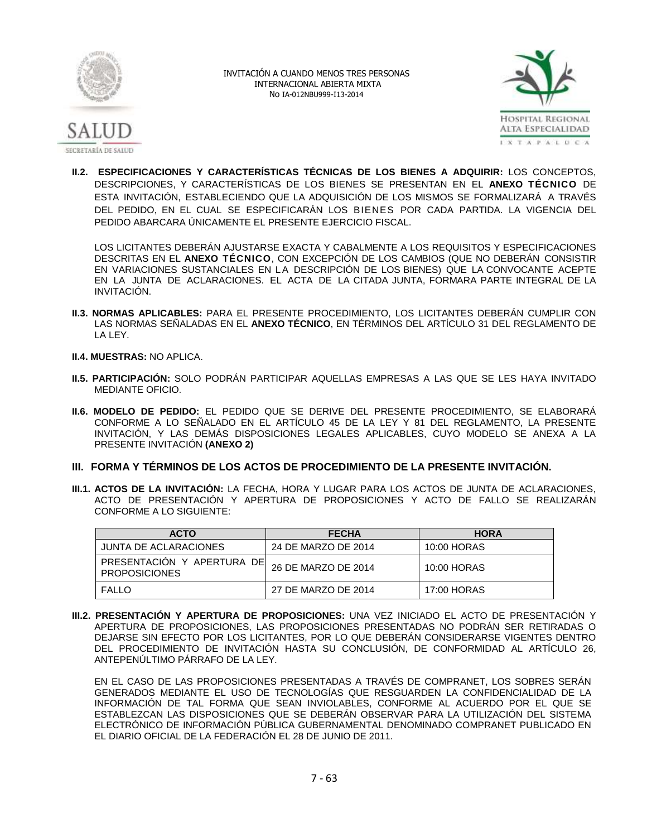



**II.2. ESPECIFICACIONES Y CARACTERÍSTICAS TÉCNICAS DE LOS BIENES A ADQUIRIR:** LOS CONCEPTOS, DESCRIPCIONES, Y CARACTERÍSTICAS DE LOS BIENES SE PRESENTAN EN EL **ANEXO TÉCNICO** DE ESTA INVITACIÓN, ESTABLECIENDO QUE LA ADQUISICIÓN DE LOS MISMOS SE FORMALIZARÁ A TRAVÉS DEL PEDIDO, EN EL CUAL SE ESPECIFICARÁN LOS BIENES POR CADA PARTIDA. LA VIGENCIA DEL PEDIDO ABARCARA ÚNICAMENTE EL PRESENTE EJERCICIO FISCAL.

LOS LICITANTES DEBERÁN AJUSTARSE EXACTA Y CABALMENTE A LOS REQUISITOS Y ESPECIFICACIONES DESCRITAS EN EL **ANEXO TÉCNICO**, CON EXCEPCIÓN DE LOS CAMBIOS (QUE NO DEBERÁN CONSISTIR EN VARIACIONES SUSTANCIALES EN LA DESCRIPCIÓN DE LOS BIENES) QUE LA CONVOCANTE ACEPTE EN LA JUNTA DE ACLARACIONES. EL ACTA DE LA CITADA JUNTA, FORMARA PARTE INTEGRAL DE LA INVITACIÓN.

- **II.3. NORMAS APLICABLES:** PARA EL PRESENTE PROCEDIMIENTO, LOS LICITANTES DEBERÁN CUMPLIR CON LAS NORMAS SEÑALADAS EN EL **ANEXO TÉCNICO**, EN TÉRMINOS DEL ARTÍCULO 31 DEL REGLAMENTO DE LA LEY.
- **II.4. MUESTRAS:** NO APLICA.
- **II.5. PARTICIPACIÓN:** SOLO PODRÁN PARTICIPAR AQUELLAS EMPRESAS A LAS QUE SE LES HAYA INVITADO MEDIANTE OFICIO.
- **II.6. MODELO DE PEDIDO:** EL PEDIDO QUE SE DERIVE DEL PRESENTE PROCEDIMIENTO, SE ELABORARÁ CONFORME A LO SEÑALADO EN EL ARTÍCULO 45 DE LA LEY Y 81 DEL REGLAMENTO, LA PRESENTE INVITACIÓN, Y LAS DEMÁS DISPOSICIONES LEGALES APLICABLES, CUYO MODELO SE ANEXA A LA PRESENTE INVITACIÓN **(ANEXO 2)**
- **III. FORMA Y TÉRMINOS DE LOS ACTOS DE PROCEDIMIENTO DE LA PRESENTE INVITACIÓN.**
- **III.1. ACTOS DE LA INVITACIÓN:** LA FECHA, HORA Y LUGAR PARA LOS ACTOS DE JUNTA DE ACLARACIONES, ACTO DE PRESENTACIÓN Y APERTURA DE PROPOSICIONES Y ACTO DE FALLO SE REALIZARÁN CONFORME A LO SIGUIENTE:

| <b>ACTO</b>                                        | <b>FECHA</b>        | <b>HORA</b> |
|----------------------------------------------------|---------------------|-------------|
| JUNTA DE ACLARACIONES                              | 24 DE MARZO DE 2014 | 10:00 HORAS |
| PRESENTACIÓN Y APERTURA DE<br><b>PROPOSICIONES</b> | 26 DE MARZO DE 2014 | 10:00 HORAS |
| <b>FALLO</b>                                       | 27 DE MARZO DE 2014 | 17:00 HORAS |

**III.2. PRESENTACIÓN Y APERTURA DE PROPOSICIONES:** UNA VEZ INICIADO EL ACTO DE PRESENTACIÓN Y APERTURA DE PROPOSICIONES, LAS PROPOSICIONES PRESENTADAS NO PODRÁN SER RETIRADAS O DEJARSE SIN EFECTO POR LOS LICITANTES, POR LO QUE DEBERÁN CONSIDERARSE VIGENTES DENTRO DEL PROCEDIMIENTO DE INVITACIÓN HASTA SU CONCLUSIÓN, DE CONFORMIDAD AL ARTÍCULO 26, ANTEPENÚLTIMO PÁRRAFO DE LA LEY.

EN EL CASO DE LAS PROPOSICIONES PRESENTADAS A TRAVÉS DE COMPRANET, LOS SOBRES SERÁN GENERADOS MEDIANTE EL USO DE TECNOLOGÍAS QUE RESGUARDEN LA CONFIDENCIALIDAD DE LA INFORMACIÓN DE TAL FORMA QUE SEAN INVIOLABLES, CONFORME AL ACUERDO POR EL QUE SE ESTABLEZCAN LAS DISPOSICIONES QUE SE DEBERÁN OBSERVAR PARA LA UTILIZACIÓN DEL SISTEMA ELECTRÓNICO DE INFORMACIÓN PÚBLICA GUBERNAMENTAL DENOMINADO COMPRANET PUBLICADO EN EL DIARIO OFICIAL DE LA FEDERACIÓN EL 28 DE JUNIO DE 2011.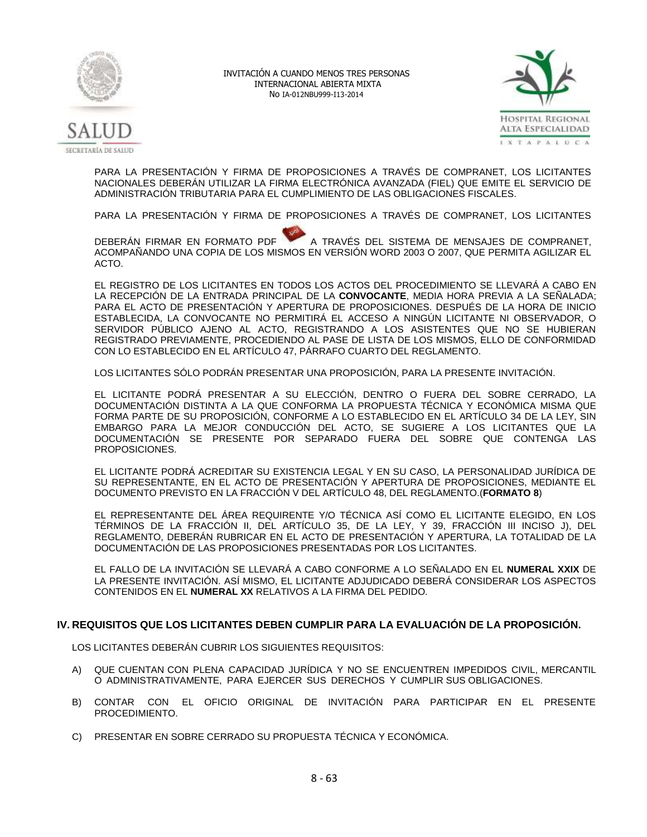



PARA LA PRESENTACIÓN Y FIRMA DE PROPOSICIONES A TRAVÉS DE COMPRANET, LOS LICITANTES NACIONALES DEBERÁN UTILIZAR LA FIRMA ELECTRÓNICA AVANZADA (FIEL) QUE EMITE EL SERVICIO DE ADMINISTRACIÓN TRIBUTARIA PARA EL CUMPLIMIENTO DE LAS OBLIGACIONES FISCALES.

PARA LA PRESENTACIÓN Y FIRMA DE PROPOSICIONES A TRAVÉS DE COMPRANET, LOS LICITANTES

DEBERÁN FIRMAR EN FORMATO PDF A TRAVÉS DEL SISTEMA DE MENSAJES DE COMPRANET, ACOMPAÑANDO UNA COPIA DE LOS MISMOS EN VERSIÓN WORD 2003 O 2007, QUE PERMITA AGILIZAR EL ACTO.

EL REGISTRO DE LOS LICITANTES EN TODOS LOS ACTOS DEL PROCEDIMIENTO SE LLEVARÁ A CABO EN LA RECEPCIÓN DE LA ENTRADA PRINCIPAL DE LA **CONVOCANTE**, MEDIA HORA PREVIA A LA SEÑALADA; PARA EL ACTO DE PRESENTACIÓN Y APERTURA DE PROPOSICIONES. DESPUÉS DE LA HORA DE INICIO ESTABLECIDA, LA CONVOCANTE NO PERMITIRÁ EL ACCESO A NINGÚN LICITANTE NI OBSERVADOR, O SERVIDOR PÚBLICO AJENO AL ACTO, REGISTRANDO A LOS ASISTENTES QUE NO SE HUBIERAN REGISTRADO PREVIAMENTE, PROCEDIENDO AL PASE DE LISTA DE LOS MISMOS, ELLO DE CONFORMIDAD CON LO ESTABLECIDO EN EL ARTÍCULO 47, PÁRRAFO CUARTO DEL REGLAMENTO.

LOS LICITANTES SÓLO PODRÁN PRESENTAR UNA PROPOSICIÓN, PARA LA PRESENTE INVITACIÓN.

EL LICITANTE PODRÁ PRESENTAR A SU ELECCIÓN, DENTRO O FUERA DEL SOBRE CERRADO, LA DOCUMENTACIÓN DISTINTA A LA QUE CONFORMA LA PROPUESTA TÉCNICA Y ECONÓMICA MISMA QUE FORMA PARTE DE SU PROPOSICIÓN, CONFORME A LO ESTABLECIDO EN EL ARTÍCULO 34 DE LA LEY, SIN EMBARGO PARA LA MEJOR CONDUCCIÓN DEL ACTO, SE SUGIERE A LOS LICITANTES QUE LA DOCUMENTACIÓN SE PRESENTE POR SEPARADO FUERA DEL SOBRE QUE CONTENGA LAS PROPOSICIONES.

EL LICITANTE PODRÁ ACREDITAR SU EXISTENCIA LEGAL Y EN SU CASO, LA PERSONALIDAD JURÍDICA DE SU REPRESENTANTE, EN EL ACTO DE PRESENTACIÓN Y APERTURA DE PROPOSICIONES, MEDIANTE EL DOCUMENTO PREVISTO EN LA FRACCIÓN V DEL ARTÍCULO 48, DEL REGLAMENTO.(**FORMATO 8**)

EL REPRESENTANTE DEL ÁREA REQUIRENTE Y/O TÉCNICA ASÍ COMO EL LICITANTE ELEGIDO, EN LOS TÉRMINOS DE LA FRACCIÓN II, DEL ARTÍCULO 35, DE LA LEY, Y 39, FRACCIÓN III INCISO J), DEL REGLAMENTO, DEBERÁN RUBRICAR EN EL ACTO DE PRESENTACIÓN Y APERTURA, LA TOTALIDAD DE LA DOCUMENTACIÓN DE LAS PROPOSICIONES PRESENTADAS POR LOS LICITANTES.

EL FALLO DE LA INVITACIÓN SE LLEVARÁ A CABO CONFORME A LO SEÑALADO EN EL **NUMERAL XXIX** DE LA PRESENTE INVITACIÓN. ASÍ MISMO, EL LICITANTE ADJUDICADO DEBERÁ CONSIDERAR LOS ASPECTOS CONTENIDOS EN EL **NUMERAL XX** RELATIVOS A LA FIRMA DEL PEDIDO.

# **IV. REQUISITOS QUE LOS LICITANTES DEBEN CUMPLIR PARA LA EVALUACIÓN DE LA PROPOSICIÓN.**

LOS LICITANTES DEBERÁN CUBRIR LOS SIGUIENTES REQUISITOS:

- A) QUE CUENTAN CON PLENA CAPACIDAD JURÍDICA Y NO SE ENCUENTREN IMPEDIDOS CIVIL, MERCANTIL O ADMINISTRATIVAMENTE, PARA EJERCER SUS DERECHOS Y CUMPLIR SUS OBLIGACIONES.
- B) CONTAR CON EL OFICIO ORIGINAL DE INVITACIÓN PARA PARTICIPAR EN EL PRESENTE PROCEDIMIENTO.
- C) PRESENTAR EN SOBRE CERRADO SU PROPUESTA TÉCNICA Y ECONÓMICA.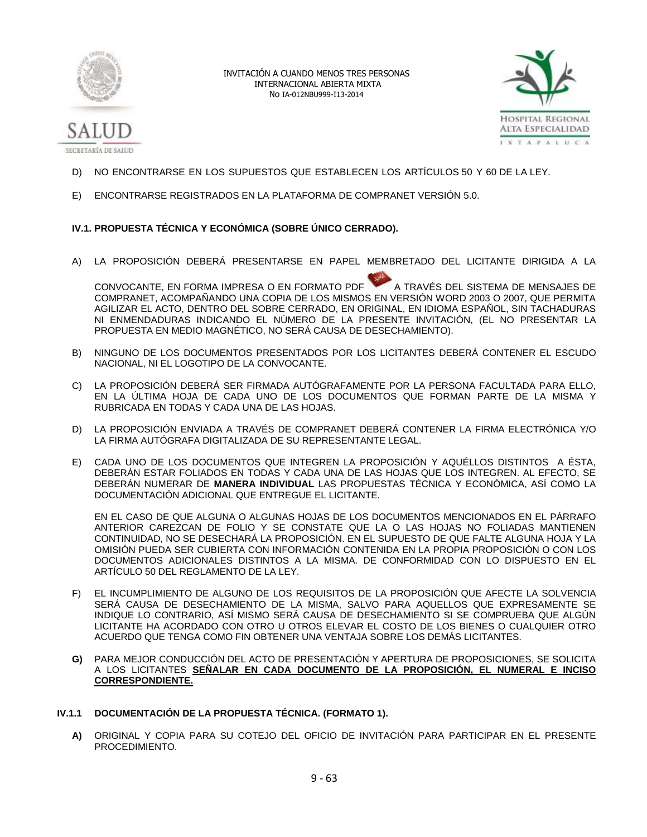



- D) NO ENCONTRARSE EN LOS SUPUESTOS QUE ESTABLECEN LOS ARTÍCULOS 50 Y 60 DE LA LEY.
- E) ENCONTRARSE REGISTRADOS EN LA PLATAFORMA DE COMPRANET VERSIÓN 5.0.

# **IV.1. PROPUESTA TÉCNICA Y ECONÓMICA (SOBRE ÚNICO CERRADO).**

A) LA PROPOSICIÓN DEBERÁ PRESENTARSE EN PAPEL MEMBRETADO DEL LICITANTE DIRIGIDA A LA

CONVOCANTE, EN FORMA IMPRESA O EN FORMATO PDF A TRAVÉS DEL SISTEMA DE MENSAJES DE COMPRANET, ACOMPAÑANDO UNA COPIA DE LOS MISMOS EN VERSIÓN WORD 2003 O 2007, QUE PERMITA AGILIZAR EL ACTO, DENTRO DEL SOBRE CERRADO, EN ORIGINAL, EN IDIOMA ESPAÑOL, SIN TACHADURAS NI ENMENDADURAS INDICANDO EL NÚMERO DE LA PRESENTE INVITACIÓN, (EL NO PRESENTAR LA PROPUESTA EN MEDIO MAGNÉTICO, NO SERÁ CAUSA DE DESECHAMIENTO).

- B) NINGUNO DE LOS DOCUMENTOS PRESENTADOS POR LOS LICITANTES DEBERÁ CONTENER EL ESCUDO NACIONAL, NI EL LOGOTIPO DE LA CONVOCANTE.
- C) LA PROPOSICIÓN DEBERÁ SER FIRMADA AUTÓGRAFAMENTE POR LA PERSONA FACULTADA PARA ELLO, EN LA ÚLTIMA HOJA DE CADA UNO DE LOS DOCUMENTOS QUE FORMAN PARTE DE LA MISMA Y RUBRICADA EN TODAS Y CADA UNA DE LAS HOJAS.
- D) LA PROPOSICIÓN ENVIADA A TRAVÉS DE COMPRANET DEBERÁ CONTENER LA FIRMA ELECTRÓNICA Y/O LA FIRMA AUTÓGRAFA DIGITALIZADA DE SU REPRESENTANTE LEGAL.
- E) CADA UNO DE LOS DOCUMENTOS QUE INTEGREN LA PROPOSICIÓN Y AQUÉLLOS DISTINTOS A ÉSTA, DEBERÁN ESTAR FOLIADOS EN TODAS Y CADA UNA DE LAS HOJAS QUE LOS INTEGREN. AL EFECTO, SE DEBERÁN NUMERAR DE **MANERA INDIVIDUAL** LAS PROPUESTAS TÉCNICA Y ECONÓMICA, ASÍ COMO LA DOCUMENTACIÓN ADICIONAL QUE ENTREGUE EL LICITANTE.

EN EL CASO DE QUE ALGUNA O ALGUNAS HOJAS DE LOS DOCUMENTOS MENCIONADOS EN EL PÁRRAFO ANTERIOR CAREZCAN DE FOLIO Y SE CONSTATE QUE LA O LAS HOJAS NO FOLIADAS MANTIENEN CONTINUIDAD, NO SE DESECHARÁ LA PROPOSICIÓN. EN EL SUPUESTO DE QUE FALTE ALGUNA HOJA Y LA OMISIÓN PUEDA SER CUBIERTA CON INFORMACIÓN CONTENIDA EN LA PROPIA PROPOSICIÓN O CON LOS DOCUMENTOS ADICIONALES DISTINTOS A LA MISMA. DE CONFORMIDAD CON LO DISPUESTO EN EL ARTÍCULO 50 DEL REGLAMENTO DE LA LEY.

- F) EL INCUMPLIMIENTO DE ALGUNO DE LOS REQUISITOS DE LA PROPOSICIÓN QUE AFECTE LA SOLVENCIA SERÁ CAUSA DE DESECHAMIENTO DE LA MISMA, SALVO PARA AQUELLOS QUE EXPRESAMENTE SE INDIQUE LO CONTRARIO, ASÍ MISMO SERÁ CAUSA DE DESECHAMIENTO SI SE COMPRUEBA QUE ALGÚN LICITANTE HA ACORDADO CON OTRO U OTROS ELEVAR EL COSTO DE LOS BIENES O CUALQUIER OTRO ACUERDO QUE TENGA COMO FIN OBTENER UNA VENTAJA SOBRE LOS DEMÁS LICITANTES.
- **G)** PARA MEJOR CONDUCCIÓN DEL ACTO DE PRESENTACIÓN Y APERTURA DE PROPOSICIONES, SE SOLICITA A LOS LICITANTES **SEÑALAR EN CADA DOCUMENTO DE LA PROPOSICIÓN, EL NUMERAL E INCISO CORRESPONDIENTE.**

#### **IV.1.1 DOCUMENTACIÓN DE LA PROPUESTA TÉCNICA. (FORMATO 1).**

**A)** ORIGINAL Y COPIA PARA SU COTEJO DEL OFICIO DE INVITACIÓN PARA PARTICIPAR EN EL PRESENTE PROCEDIMIENTO.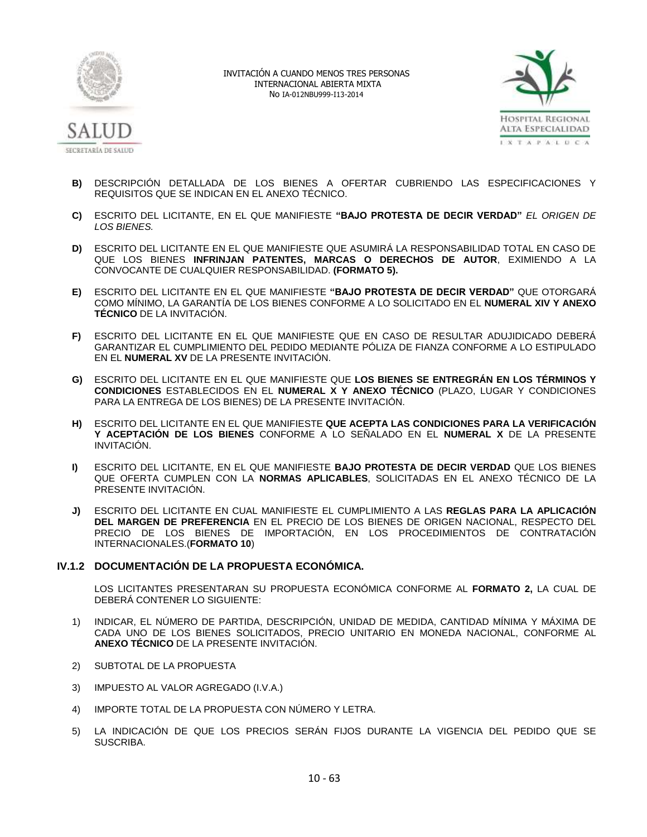



- **B)** DESCRIPCIÓN DETALLADA DE LOS BIENES A OFERTAR CUBRIENDO LAS ESPECIFICACIONES Y REQUISITOS QUE SE INDICAN EN EL ANEXO TÉCNICO.
- **C)** ESCRITO DEL LICITANTE, EN EL QUE MANIFIESTE **"BAJO PROTESTA DE DECIR VERDAD"** *EL ORIGEN DE LOS BIENES.*
- **D)** ESCRITO DEL LICITANTE EN EL QUE MANIFIESTE QUE ASUMIRÁ LA RESPONSABILIDAD TOTAL EN CASO DE QUE LOS BIENES **INFRINJAN PATENTES, MARCAS O DERECHOS DE AUTOR**, EXIMIENDO A LA CONVOCANTE DE CUALQUIER RESPONSABILIDAD. **(FORMATO 5).**
- **E)** ESCRITO DEL LICITANTE EN EL QUE MANIFIESTE **"BAJO PROTESTA DE DECIR VERDAD"** QUE OTORGARÁ COMO MÍNIMO, LA GARANTÍA DE LOS BIENES CONFORME A LO SOLICITADO EN EL **NUMERAL XIV Y ANEXO TÉCNICO** DE LA INVITACIÓN.
- **F)** ESCRITO DEL LICITANTE EN EL QUE MANIFIESTE QUE EN CASO DE RESULTAR ADUJIDICADO DEBERÁ GARANTIZAR EL CUMPLIMIENTO DEL PEDIDO MEDIANTE PÓLIZA DE FIANZA CONFORME A LO ESTIPULADO EN EL **NUMERAL XV** DE LA PRESENTE INVITACIÓN.
- **G)** ESCRITO DEL LICITANTE EN EL QUE MANIFIESTE QUE **LOS BIENES SE ENTREGRÁN EN LOS TÉRMINOS Y CONDICIONES** ESTABLECIDOS EN EL **NUMERAL X Y ANEXO TÉCNICO** (PLAZO, LUGAR Y CONDICIONES PARA LA ENTREGA DE LOS BIENES) DE LA PRESENTE INVITACIÓN.
- **H)** ESCRITO DEL LICITANTE EN EL QUE MANIFIESTE **QUE ACEPTA LAS CONDICIONES PARA LA VERIFICACIÓN Y ACEPTACIÓN DE LOS BIENES** CONFORME A LO SEÑALADO EN EL **NUMERAL X** DE LA PRESENTE INVITACIÓN.
- **I)** ESCRITO DEL LICITANTE, EN EL QUE MANIFIESTE **BAJO PROTESTA DE DECIR VERDAD** QUE LOS BIENES QUE OFERTA CUMPLEN CON LA **NORMAS APLICABLES**, SOLICITADAS EN EL ANEXO TÉCNICO DE LA PRESENTE INVITACIÓN.
- **J)** ESCRITO DEL LICITANTE EN CUAL MANIFIESTE EL CUMPLIMIENTO A LAS **REGLAS PARA LA APLICACIÓN DEL MARGEN DE PREFERENCIA** EN EL PRECIO DE LOS BIENES DE ORIGEN NACIONAL, RESPECTO DEL PRECIO DE LOS BIENES DE IMPORTACIÓN, EN LOS PROCEDIMIENTOS DE CONTRATACIÓN INTERNACIONALES.(**FORMATO 10**)

# **IV.1.2 DOCUMENTACIÓN DE LA PROPUESTA ECONÓMICA.**

LOS LICITANTES PRESENTARAN SU PROPUESTA ECONÓMICA CONFORME AL **FORMATO 2,** LA CUAL DE DEBERÁ CONTENER LO SIGUIENTE:

- 1) INDICAR, EL NÚMERO DE PARTIDA, DESCRIPCIÓN, UNIDAD DE MEDIDA, CANTIDAD MÍNIMA Y MÁXIMA DE CADA UNO DE LOS BIENES SOLICITADOS, PRECIO UNITARIO EN MONEDA NACIONAL, CONFORME AL **ANEXO TÉCNICO** DE LA PRESENTE INVITACIÓN.
- 2) SUBTOTAL DE LA PROPUESTA
- 3) IMPUESTO AL VALOR AGREGADO (I.V.A.)
- 4) IMPORTE TOTAL DE LA PROPUESTA CON NÚMERO Y LETRA.
- 5) LA INDICACIÓN DE QUE LOS PRECIOS SERÁN FIJOS DURANTE LA VIGENCIA DEL PEDIDO QUE SE SUSCRIBA.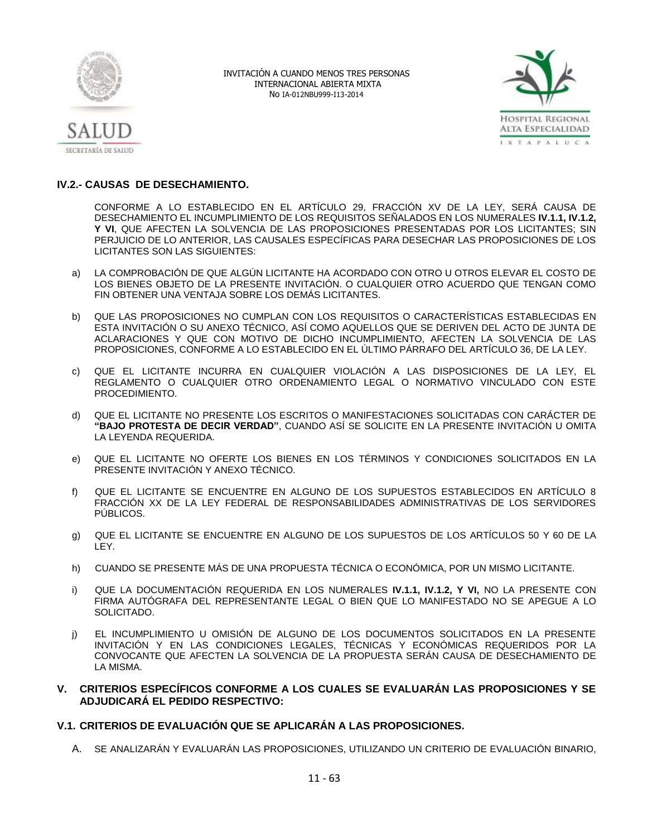



# **IV.2.- CAUSAS DE DESECHAMIENTO.**

CONFORME A LO ESTABLECIDO EN EL ARTÍCULO 29, FRACCIÓN XV DE LA LEY, SERÁ CAUSA DE DESECHAMIENTO EL INCUMPLIMIENTO DE LOS REQUISITOS SEÑALADOS EN LOS NUMERALES **IV.1.1, IV.1.2, Y VI**, QUE AFECTEN LA SOLVENCIA DE LAS PROPOSICIONES PRESENTADAS POR LOS LICITANTES; SIN PERJUICIO DE LO ANTERIOR, LAS CAUSALES ESPECÍFICAS PARA DESECHAR LAS PROPOSICIONES DE LOS LICITANTES SON LAS SIGUIENTES:

- a) LA COMPROBACIÓN DE QUE ALGÚN LICITANTE HA ACORDADO CON OTRO U OTROS ELEVAR EL COSTO DE LOS BIENES OBJETO DE LA PRESENTE INVITACIÓN. O CUALQUIER OTRO ACUERDO QUE TENGAN COMO FIN OBTENER UNA VENTAJA SOBRE LOS DEMÁS LICITANTES.
- b) QUE LAS PROPOSICIONES NO CUMPLAN CON LOS REQUISITOS O CARACTERÍSTICAS ESTABLECIDAS EN ESTA INVITACIÓN O SU ANEXO TÉCNICO, ASÍ COMO AQUELLOS QUE SE DERIVEN DEL ACTO DE JUNTA DE ACLARACIONES Y QUE CON MOTIVO DE DICHO INCUMPLIMIENTO, AFECTEN LA SOLVENCIA DE LAS PROPOSICIONES, CONFORME A LO ESTABLECIDO EN EL ÚLTIMO PÁRRAFO DEL ARTÍCULO 36, DE LA LEY.
- c) QUE EL LICITANTE INCURRA EN CUALQUIER VIOLACIÓN A LAS DISPOSICIONES DE LA LEY, EL REGLAMENTO O CUALQUIER OTRO ORDENAMIENTO LEGAL O NORMATIVO VINCULADO CON ESTE PROCEDIMIENTO.
- d) QUE EL LICITANTE NO PRESENTE LOS ESCRITOS O MANIFESTACIONES SOLICITADAS CON CARÁCTER DE **"BAJO PROTESTA DE DECIR VERDAD"**, CUANDO ASÍ SE SOLICITE EN LA PRESENTE INVITACIÓN U OMITA LA LEYENDA REQUERIDA.
- e) QUE EL LICITANTE NO OFERTE LOS BIENES EN LOS TÉRMINOS Y CONDICIONES SOLICITADOS EN LA PRESENTE INVITACIÓN Y ANEXO TÉCNICO.
- f) QUE EL LICITANTE SE ENCUENTRE EN ALGUNO DE LOS SUPUESTOS ESTABLECIDOS EN ARTÍCULO 8 FRACCIÓN XX DE LA LEY FEDERAL DE RESPONSABILIDADES ADMINISTRATIVAS DE LOS SERVIDORES PÚBLICOS.
- g) QUE EL LICITANTE SE ENCUENTRE EN ALGUNO DE LOS SUPUESTOS DE LOS ARTÍCULOS 50 Y 60 DE LA LEY.
- h) CUANDO SE PRESENTE MÁS DE UNA PROPUESTA TÉCNICA O ECONÓMICA, POR UN MISMO LICITANTE.
- i) QUE LA DOCUMENTACIÓN REQUERIDA EN LOS NUMERALES **IV.1.1, IV.1.2, Y VI,** NO LA PRESENTE CON FIRMA AUTÓGRAFA DEL REPRESENTANTE LEGAL O BIEN QUE LO MANIFESTADO NO SE APEGUE A LO SOLICITADO.
- j) EL INCUMPLIMIENTO U OMISIÓN DE ALGUNO DE LOS DOCUMENTOS SOLICITADOS EN LA PRESENTE INVITACIÓN Y EN LAS CONDICIONES LEGALES, TÉCNICAS Y ECONÓMICAS REQUERIDOS POR LA CONVOCANTE QUE AFECTEN LA SOLVENCIA DE LA PROPUESTA SERÁN CAUSA DE DESECHAMIENTO DE LA MISMA.

# **V. CRITERIOS ESPECÍFICOS CONFORME A LOS CUALES SE EVALUARÁN LAS PROPOSICIONES Y SE ADJUDICARÁ EL PEDIDO RESPECTIVO:**

# **V.1. CRITERIOS DE EVALUACIÓN QUE SE APLICARÁN A LAS PROPOSICIONES.**

A. SE ANALIZARÁN Y EVALUARÁN LAS PROPOSICIONES, UTILIZANDO UN CRITERIO DE EVALUACIÓN BINARIO,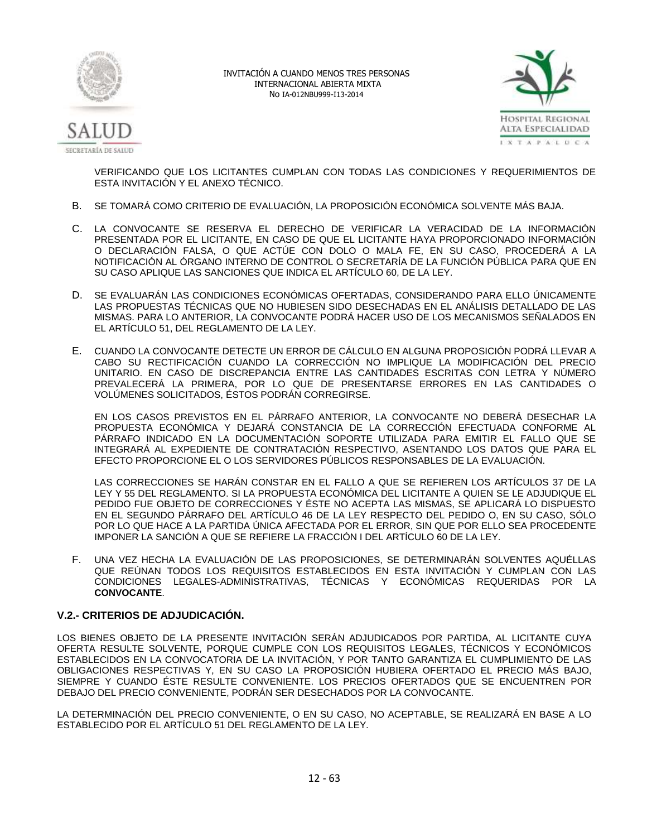



VERIFICANDO QUE LOS LICITANTES CUMPLAN CON TODAS LAS CONDICIONES Y REQUERIMIENTOS DE ESTA INVITACIÓN Y EL ANEXO TÉCNICO.

- B. SE TOMARÁ COMO CRITERIO DE EVALUACIÓN, LA PROPOSICIÓN ECONÓMICA SOLVENTE MÁS BAJA.
- C. LA CONVOCANTE SE RESERVA EL DERECHO DE VERIFICAR LA VERACIDAD DE LA INFORMACIÓN PRESENTADA POR EL LICITANTE, EN CASO DE QUE EL LICITANTE HAYA PROPORCIONADO INFORMACIÓN O DECLARACIÓN FALSA, O QUE ACTÚE CON DOLO O MALA FE, EN SU CASO, PROCEDERÁ A LA NOTIFICACIÓN AL ÓRGANO INTERNO DE CONTROL O SECRETARÍA DE LA FUNCIÓN PÚBLICA PARA QUE EN SU CASO APLIQUE LAS SANCIONES QUE INDICA EL ARTÍCULO 60, DE LA LEY.
- D. SE EVALUARÁN LAS CONDICIONES ECONÓMICAS OFERTADAS, CONSIDERANDO PARA ELLO ÚNICAMENTE LAS PROPUESTAS TÉCNICAS QUE NO HUBIESEN SIDO DESECHADAS EN EL ANÁLISIS DETALLADO DE LAS MISMAS. PARA LO ANTERIOR, LA CONVOCANTE PODRÁ HACER USO DE LOS MECANISMOS SEÑALADOS EN EL ARTÍCULO 51, DEL REGLAMENTO DE LA LEY.
- E. CUANDO LA CONVOCANTE DETECTE UN ERROR DE CÁLCULO EN ALGUNA PROPOSICIÓN PODRÁ LLEVAR A CABO SU RECTIFICACIÓN CUANDO LA CORRECCIÓN NO IMPLIQUE LA MODIFICACIÓN DEL PRECIO UNITARIO. EN CASO DE DISCREPANCIA ENTRE LAS CANTIDADES ESCRITAS CON LETRA Y NÚMERO PREVALECERÁ LA PRIMERA, POR LO QUE DE PRESENTARSE ERRORES EN LAS CANTIDADES O VOLÚMENES SOLICITADOS, ÉSTOS PODRÁN CORREGIRSE.

EN LOS CASOS PREVISTOS EN EL PÁRRAFO ANTERIOR, LA CONVOCANTE NO DEBERÁ DESECHAR LA PROPUESTA ECONÓMICA Y DEJARÁ CONSTANCIA DE LA CORRECCIÓN EFECTUADA CONFORME AL PÁRRAFO INDICADO EN LA DOCUMENTACIÓN SOPORTE UTILIZADA PARA EMITIR EL FALLO QUE SE INTEGRARÁ AL EXPEDIENTE DE CONTRATACIÓN RESPECTIVO, ASENTANDO LOS DATOS QUE PARA EL EFECTO PROPORCIONE EL O LOS SERVIDORES PÚBLICOS RESPONSABLES DE LA EVALUACIÓN.

LAS CORRECCIONES SE HARÁN CONSTAR EN EL FALLO A QUE SE REFIEREN LOS ARTÍCULOS 37 DE LA LEY Y 55 DEL REGLAMENTO. SI LA PROPUESTA ECONÓMICA DEL LICITANTE A QUIEN SE LE ADJUDIQUE EL PEDIDO FUE OBJETO DE CORRECCIONES Y ÉSTE NO ACEPTA LAS MISMAS, SE APLICARÁ LO DISPUESTO EN EL SEGUNDO PÁRRAFO DEL ARTÍCULO 46 DE LA LEY RESPECTO DEL PEDIDO O, EN SU CASO, SÓLO POR LO QUE HACE A LA PARTIDA ÚNICA AFECTADA POR EL ERROR, SIN QUE POR ELLO SEA PROCEDENTE IMPONER LA SANCIÓN A QUE SE REFIERE LA FRACCIÓN I DEL ARTÍCULO 60 DE LA LEY.

F. UNA VEZ HECHA LA EVALUACIÓN DE LAS PROPOSICIONES, SE DETERMINARÁN SOLVENTES AQUÉLLAS QUE REÚNAN TODOS LOS REQUISITOS ESTABLECIDOS EN ESTA INVITACIÓN Y CUMPLAN CON LAS CONDICIONES LEGALES-ADMINISTRATIVAS, TÉCNICAS Y ECONÓMICAS REQUERIDAS POR LA **CONVOCANTE**.

# **V.2.- CRITERIOS DE ADJUDICACIÓN.**

LOS BIENES OBJETO DE LA PRESENTE INVITACIÓN SERÁN ADJUDICADOS POR PARTIDA, AL LICITANTE CUYA OFERTA RESULTE SOLVENTE, PORQUE CUMPLE CON LOS REQUISITOS LEGALES, TÉCNICOS Y ECONÓMICOS ESTABLECIDOS EN LA CONVOCATORIA DE LA INVITACIÓN, Y POR TANTO GARANTIZA EL CUMPLIMIENTO DE LAS OBLIGACIONES RESPECTIVAS Y, EN SU CASO LA PROPOSICIÓN HUBIERA OFERTADO EL PRECIO MÁS BAJO, SIEMPRE Y CUANDO ÉSTE RESULTE CONVENIENTE. LOS PRECIOS OFERTADOS QUE SE ENCUENTREN POR DEBAJO DEL PRECIO CONVENIENTE, PODRÁN SER DESECHADOS POR LA CONVOCANTE.

LA DETERMINACIÓN DEL PRECIO CONVENIENTE, O EN SU CASO, NO ACEPTABLE, SE REALIZARÁ EN BASE A LO ESTABLECIDO POR EL ARTÍCULO 51 DEL REGLAMENTO DE LA LEY.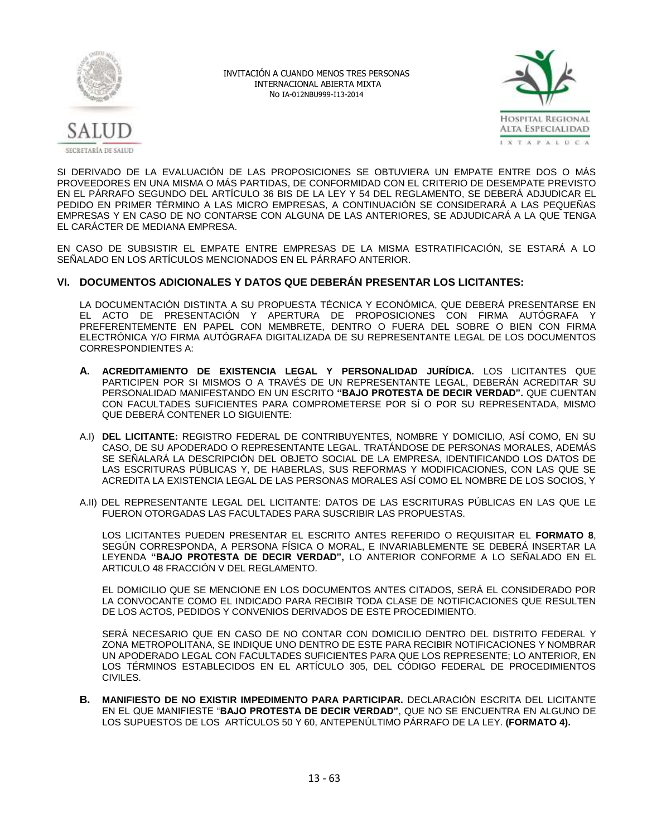



SI DERIVADO DE LA EVALUACIÓN DE LAS PROPOSICIONES SE OBTUVIERA UN EMPATE ENTRE DOS O MÁS PROVEEDORES EN UNA MISMA O MÁS PARTIDAS, DE CONFORMIDAD CON EL CRITERIO DE DESEMPATE PREVISTO EN EL PÁRRAFO SEGUNDO DEL ARTÍCULO 36 BIS DE LA LEY Y 54 DEL REGLAMENTO, SE DEBERÁ ADJUDICAR EL PEDIDO EN PRIMER TÉRMINO A LAS MICRO EMPRESAS, A CONTINUACIÓN SE CONSIDERARÁ A LAS PEQUEÑAS EMPRESAS Y EN CASO DE NO CONTARSE CON ALGUNA DE LAS ANTERIORES, SE ADJUDICARÁ A LA QUE TENGA EL CARÁCTER DE MEDIANA EMPRESA.

EN CASO DE SUBSISTIR EL EMPATE ENTRE EMPRESAS DE LA MISMA ESTRATIFICACIÓN, SE ESTARÁ A LO SEÑALADO EN LOS ARTÍCULOS MENCIONADOS EN EL PÁRRAFO ANTERIOR.

# **VI. DOCUMENTOS ADICIONALES Y DATOS QUE DEBERÁN PRESENTAR LOS LICITANTES:**

LA DOCUMENTACIÓN DISTINTA A SU PROPUESTA TÉCNICA Y ECONÓMICA, QUE DEBERÁ PRESENTARSE EN EL ACTO DE PRESENTACIÓN Y APERTURA DE PROPOSICIONES CON FIRMA AUTÓGRAFA Y PREFERENTEMENTE EN PAPEL CON MEMBRETE, DENTRO O FUERA DEL SOBRE O BIEN CON FIRMA ELECTRÓNICA Y/O FIRMA AUTÓGRAFA DIGITALIZADA DE SU REPRESENTANTE LEGAL DE LOS DOCUMENTOS CORRESPONDIENTES A:

- **A. ACREDITAMIENTO DE EXISTENCIA LEGAL Y PERSONALIDAD JURÍDICA.** LOS LICITANTES QUE PARTICIPEN POR SI MISMOS O A TRAVÉS DE UN REPRESENTANTE LEGAL, DEBERÁN ACREDITAR SU PERSONALIDAD MANIFESTANDO EN UN ESCRITO **"BAJO PROTESTA DE DECIR VERDAD".** QUE CUENTAN CON FACULTADES SUFICIENTES PARA COMPROMETERSE POR SÍ O POR SU REPRESENTADA, MISMO QUE DEBERÁ CONTENER LO SIGUIENTE:
- A.I) **DEL LICITANTE:** REGISTRO FEDERAL DE CONTRIBUYENTES, NOMBRE Y DOMICILIO, ASÍ COMO, EN SU CASO, DE SU APODERADO O REPRESENTANTE LEGAL. TRATÁNDOSE DE PERSONAS MORALES, ADEMÁS SE SEÑALARÁ LA DESCRIPCIÓN DEL OBJETO SOCIAL DE LA EMPRESA, IDENTIFICANDO LOS DATOS DE LAS ESCRITURAS PÚBLICAS Y, DE HABERLAS, SUS REFORMAS Y MODIFICACIONES, CON LAS QUE SE ACREDITA LA EXISTENCIA LEGAL DE LAS PERSONAS MORALES ASÍ COMO EL NOMBRE DE LOS SOCIOS, Y
- A.II) DEL REPRESENTANTE LEGAL DEL LICITANTE: DATOS DE LAS ESCRITURAS PÚBLICAS EN LAS QUE LE FUERON OTORGADAS LAS FACULTADES PARA SUSCRIBIR LAS PROPUESTAS.

LOS LICITANTES PUEDEN PRESENTAR EL ESCRITO ANTES REFERIDO O REQUISITAR EL **FORMATO 8**, SEGÚN CORRESPONDA, A PERSONA FÍSICA O MORAL, E INVARIABLEMENTE SE DEBERÁ INSERTAR LA LEYENDA **"BAJO PROTESTA DE DECIR VERDAD",** LO ANTERIOR CONFORME A LO SEÑALADO EN EL ARTICULO 48 FRACCIÓN V DEL REGLAMENTO.

EL DOMICILIO QUE SE MENCIONE EN LOS DOCUMENTOS ANTES CITADOS, SERÁ EL CONSIDERADO POR LA CONVOCANTE COMO EL INDICADO PARA RECIBIR TODA CLASE DE NOTIFICACIONES QUE RESULTEN DE LOS ACTOS, PEDIDOS Y CONVENIOS DERIVADOS DE ESTE PROCEDIMIENTO.

SERÁ NECESARIO QUE EN CASO DE NO CONTAR CON DOMICILIO DENTRO DEL DISTRITO FEDERAL Y ZONA METROPOLITANA, SE INDIQUE UNO DENTRO DE ESTE PARA RECIBIR NOTIFICACIONES Y NOMBRAR UN APODERADO LEGAL CON FACULTADES SUFICIENTES PARA QUE LOS REPRESENTE; LO ANTERIOR, EN LOS TÉRMINOS ESTABLECIDOS EN EL ARTÍCULO 305, DEL CÓDIGO FEDERAL DE PROCEDIMIENTOS CIVILES.

**B. MANIFIESTO DE NO EXISTIR IMPEDIMENTO PARA PARTICIPAR.** DECLARACIÓN ESCRITA DEL LICITANTE EN EL QUE MANIFIESTE "**BAJO PROTESTA DE DECIR VERDAD"**, QUE NO SE ENCUENTRA EN ALGUNO DE LOS SUPUESTOS DE LOS ARTÍCULOS 50 Y 60, ANTEPENÚLTIMO PÁRRAFO DE LA LEY. **(FORMATO 4).**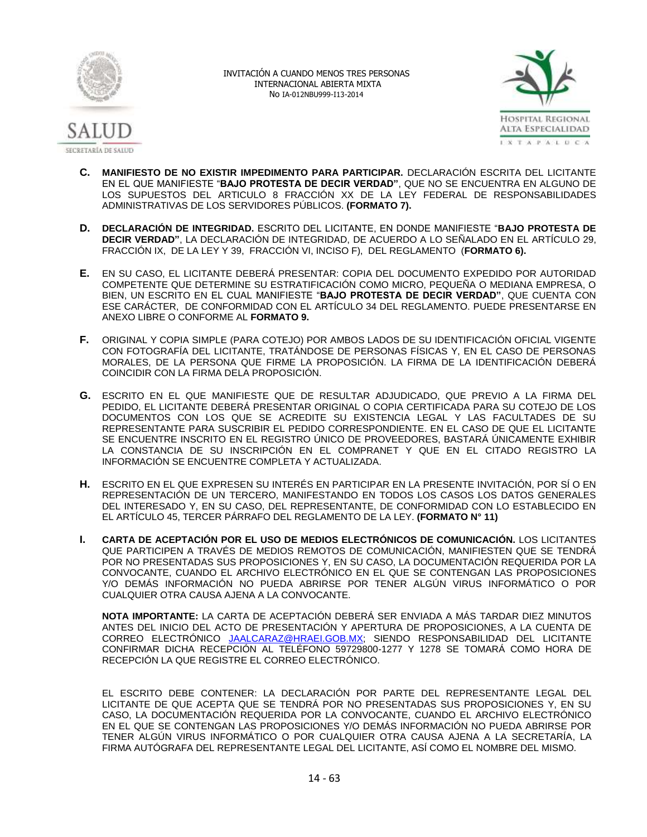



- **C. MANIFIESTO DE NO EXISTIR IMPEDIMENTO PARA PARTICIPAR.** DECLARACIÓN ESCRITA DEL LICITANTE EN EL QUE MANIFIESTE "**BAJO PROTESTA DE DECIR VERDAD"**, QUE NO SE ENCUENTRA EN ALGUNO DE LOS SUPUESTOS DEL ARTICULO 8 FRACCIÓN XX DE LA LEY FEDERAL DE RESPONSABILIDADES ADMINISTRATIVAS DE LOS SERVIDORES PÚBLICOS. **(FORMATO 7).**
- **D. DECLARACIÓN DE INTEGRIDAD.** ESCRITO DEL LICITANTE, EN DONDE MANIFIESTE "**BAJO PROTESTA DE DECIR VERDAD"**, LA DECLARACIÓN DE INTEGRIDAD, DE ACUERDO A LO SEÑALADO EN EL ARTÍCULO 29, FRACCIÓN IX, DE LA LEY Y 39, FRACCIÓN VI, INCISO F), DEL REGLAMENTO (**FORMATO 6).**
- **E.** EN SU CASO, EL LICITANTE DEBERÁ PRESENTAR: COPIA DEL DOCUMENTO EXPEDIDO POR AUTORIDAD COMPETENTE QUE DETERMINE SU ESTRATIFICACIÓN COMO MICRO, PEQUEÑA O MEDIANA EMPRESA, O BIEN, UN ESCRITO EN EL CUAL MANIFIESTE "**BAJO PROTESTA DE DECIR VERDAD"**, QUE CUENTA CON ESE CARÁCTER, DE CONFORMIDAD CON EL ARTÍCULO 34 DEL REGLAMENTO. PUEDE PRESENTARSE EN ANEXO LIBRE O CONFORME AL **FORMATO 9.**
- **F.** ORIGINAL Y COPIA SIMPLE (PARA COTEJO) POR AMBOS LADOS DE SU IDENTIFICACIÓN OFICIAL VIGENTE CON FOTOGRAFÍA DEL LICITANTE, TRATÁNDOSE DE PERSONAS FÍSICAS Y, EN EL CASO DE PERSONAS MORALES, DE LA PERSONA QUE FIRME LA PROPOSICIÓN. LA FIRMA DE LA IDENTIFICACIÓN DEBERÁ COINCIDIR CON LA FIRMA DELA PROPOSICIÓN.
- **G.** ESCRITO EN EL QUE MANIFIESTE QUE DE RESULTAR ADJUDICADO, QUE PREVIO A LA FIRMA DEL PEDIDO, EL LICITANTE DEBERÁ PRESENTAR ORIGINAL O COPIA CERTIFICADA PARA SU COTEJO DE LOS DOCUMENTOS CON LOS QUE SE ACREDITE SU EXISTENCIA LEGAL Y LAS FACULTADES DE SU REPRESENTANTE PARA SUSCRIBIR EL PEDIDO CORRESPONDIENTE. EN EL CASO DE QUE EL LICITANTE SE ENCUENTRE INSCRITO EN EL REGISTRO ÚNICO DE PROVEEDORES, BASTARÁ ÚNICAMENTE EXHIBIR LA CONSTANCIA DE SU INSCRIPCIÓN EN EL COMPRANET Y QUE EN EL CITADO REGISTRO LA INFORMACIÓN SE ENCUENTRE COMPLETA Y ACTUALIZADA.
- **H.** ESCRITO EN EL QUE EXPRESEN SU INTERÉS EN PARTICIPAR EN LA PRESENTE INVITACIÓN, POR SÍ O EN REPRESENTACIÓN DE UN TERCERO, MANIFESTANDO EN TODOS LOS CASOS LOS DATOS GENERALES DEL INTERESADO Y, EN SU CASO, DEL REPRESENTANTE, DE CONFORMIDAD CON LO ESTABLECIDO EN EL ARTÍCULO 45, TERCER PÁRRAFO DEL REGLAMENTO DE LA LEY. **(FORMATO N° 11)**
- **I. CARTA DE ACEPTACIÓN POR EL USO DE MEDIOS ELECTRÓNICOS DE COMUNICACIÓN.** LOS LICITANTES QUE PARTICIPEN A TRAVÉS DE MEDIOS REMOTOS DE COMUNICACIÓN, MANIFIESTEN QUE SE TENDRÁ POR NO PRESENTADAS SUS PROPOSICIONES Y, EN SU CASO, LA DOCUMENTACIÓN REQUERIDA POR LA CONVOCANTE, CUANDO EL ARCHIVO ELECTRÓNICO EN EL QUE SE CONTENGAN LAS PROPOSICIONES Y/O DEMÁS INFORMACIÓN NO PUEDA ABRIRSE POR TENER ALGÚN VIRUS INFORMÁTICO O POR CUALQUIER OTRA CAUSA AJENA A LA CONVOCANTE.

**NOTA IMPORTANTE:** LA CARTA DE ACEPTACIÓN DEBERÁ SER ENVIADA A MÁS TARDAR DIEZ MINUTOS ANTES DEL INICIO DEL ACTO DE PRESENTACIÓN Y APERTURA DE PROPOSICIONES, A LA CUENTA DE CORREO ELECTRÓNICO [JAALCARAZ@HRAEI.GOB.MX;](mailto:JAALCARAZ@HRAEI.GOB.MX) SIENDO RESPONSABILIDAD DEL LICITANTE CONFIRMAR DICHA RECEPCIÓN AL TELÉFONO 59729800-1277 Y 1278 SE TOMARÁ COMO HORA DE RECEPCIÓN LA QUE REGISTRE EL CORREO ELECTRÓNICO.

EL ESCRITO DEBE CONTENER: LA DECLARACIÓN POR PARTE DEL REPRESENTANTE LEGAL DEL LICITANTE DE QUE ACEPTA QUE SE TENDRÁ POR NO PRESENTADAS SUS PROPOSICIONES Y, EN SU CASO, LA DOCUMENTACIÓN REQUERIDA POR LA CONVOCANTE, CUANDO EL ARCHIVO ELECTRÓNICO EN EL QUE SE CONTENGAN LAS PROPOSICIONES Y/O DEMÁS INFORMACIÓN NO PUEDA ABRIRSE POR TENER ALGÚN VIRUS INFORMÁTICO O POR CUALQUIER OTRA CAUSA AJENA A LA SECRETARÍA, LA FIRMA AUTÓGRAFA DEL REPRESENTANTE LEGAL DEL LICITANTE, ASÍ COMO EL NOMBRE DEL MISMO.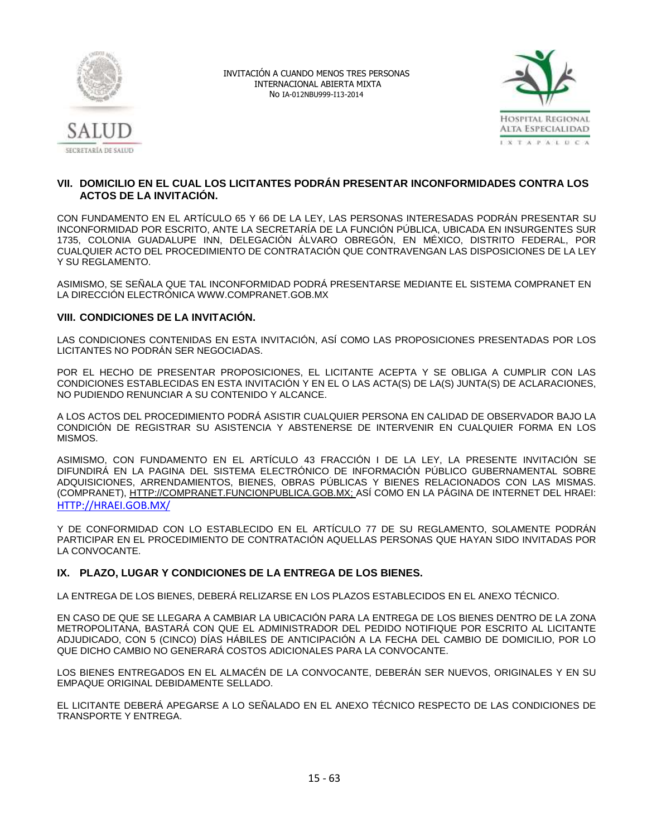



# **VII. DOMICILIO EN EL CUAL LOS LICITANTES PODRÁN PRESENTAR INCONFORMIDADES CONTRA LOS ACTOS DE LA INVITACIÓN.**

CON FUNDAMENTO EN EL ARTÍCULO 65 Y 66 DE LA LEY, LAS PERSONAS INTERESADAS PODRÁN PRESENTAR SU INCONFORMIDAD POR ESCRITO, ANTE LA SECRETARÍA DE LA FUNCIÓN PÚBLICA, UBICADA EN INSURGENTES SUR 1735, COLONIA GUADALUPE INN, DELEGACIÓN ÁLVARO OBREGÓN, EN MÉXICO, DISTRITO FEDERAL, POR CUALQUIER ACTO DEL PROCEDIMIENTO DE CONTRATACIÓN QUE CONTRAVENGAN LAS DISPOSICIONES DE LA LEY Y SU REGLAMENTO.

ASIMISMO, SE SEÑALA QUE TAL INCONFORMIDAD PODRÁ PRESENTARSE MEDIANTE EL SISTEMA COMPRANET EN LA DIRECCIÓN ELECTRÓNICA [WWW.COMPRANET.GOB.MX](http://www.compranet.gob.mx/)

# **VIII. CONDICIONES DE LA INVITACIÓN.**

LAS CONDICIONES CONTENIDAS EN ESTA INVITACIÓN, ASÍ COMO LAS PROPOSICIONES PRESENTADAS POR LOS LICITANTES NO PODRÁN SER NEGOCIADAS.

POR EL HECHO DE PRESENTAR PROPOSICIONES, EL LICITANTE ACEPTA Y SE OBLIGA A CUMPLIR CON LAS CONDICIONES ESTABLECIDAS EN ESTA INVITACIÓN Y EN EL O LAS ACTA(S) DE LA(S) JUNTA(S) DE ACLARACIONES, NO PUDIENDO RENUNCIAR A SU CONTENIDO Y ALCANCE.

A LOS ACTOS DEL PROCEDIMIENTO PODRÁ ASISTIR CUALQUIER PERSONA EN CALIDAD DE OBSERVADOR BAJO LA CONDICIÓN DE REGISTRAR SU ASISTENCIA Y ABSTENERSE DE INTERVENIR EN CUALQUIER FORMA EN LOS MISMOS.

ASIMISMO, CON FUNDAMENTO EN EL ARTÍCULO 43 FRACCIÓN I DE LA LEY, LA PRESENTE INVITACIÓN SE DIFUNDIRÁ EN LA PAGINA DEL SISTEMA ELECTRÓNICO DE INFORMACIÓN PÚBLICO GUBERNAMENTAL SOBRE ADQUISICIONES, ARRENDAMIENTOS, BIENES, OBRAS PÚBLICAS Y BIENES RELACIONADOS CON LAS MISMAS. (COMPRANET), [HTTP://COMPRANET.FUNCIONPUBLICA.GOB.MX;](http://compranet.funcionpublica.gob.mx/) ASÍ COMO EN LA PÁGINA DE INTERNET DEL HRAEI: [HTTP://HRAEI.GOB.MX/](http://hraei.gob.mx/)

Y DE CONFORMIDAD CON LO ESTABLECIDO EN EL ARTÍCULO 77 DE SU REGLAMENTO, SOLAMENTE PODRÁN PARTICIPAR EN EL PROCEDIMIENTO DE CONTRATACIÓN AQUELLAS PERSONAS QUE HAYAN SIDO INVITADAS POR LA CONVOCANTE.

# **IX. PLAZO, LUGAR Y CONDICIONES DE LA ENTREGA DE LOS BIENES.**

LA ENTREGA DE LOS BIENES, DEBERÁ RELIZARSE EN LOS PLAZOS ESTABLECIDOS EN EL ANEXO TÉCNICO.

EN CASO DE QUE SE LLEGARA A CAMBIAR LA UBICACIÓN PARA LA ENTREGA DE LOS BIENES DENTRO DE LA ZONA METROPOLITANA, BASTARÁ CON QUE EL ADMINISTRADOR DEL PEDIDO NOTIFIQUE POR ESCRITO AL LICITANTE ADJUDICADO, CON 5 (CINCO) DÍAS HÁBILES DE ANTICIPACIÓN A LA FECHA DEL CAMBIO DE DOMICILIO, POR LO QUE DICHO CAMBIO NO GENERARÁ COSTOS ADICIONALES PARA LA CONVOCANTE.

LOS BIENES ENTREGADOS EN EL ALMACÉN DE LA CONVOCANTE, DEBERÁN SER NUEVOS, ORIGINALES Y EN SU EMPAQUE ORIGINAL DEBIDAMENTE SELLADO.

EL LICITANTE DEBERÁ APEGARSE A LO SEÑALADO EN EL ANEXO TÉCNICO RESPECTO DE LAS CONDICIONES DE TRANSPORTE Y ENTREGA.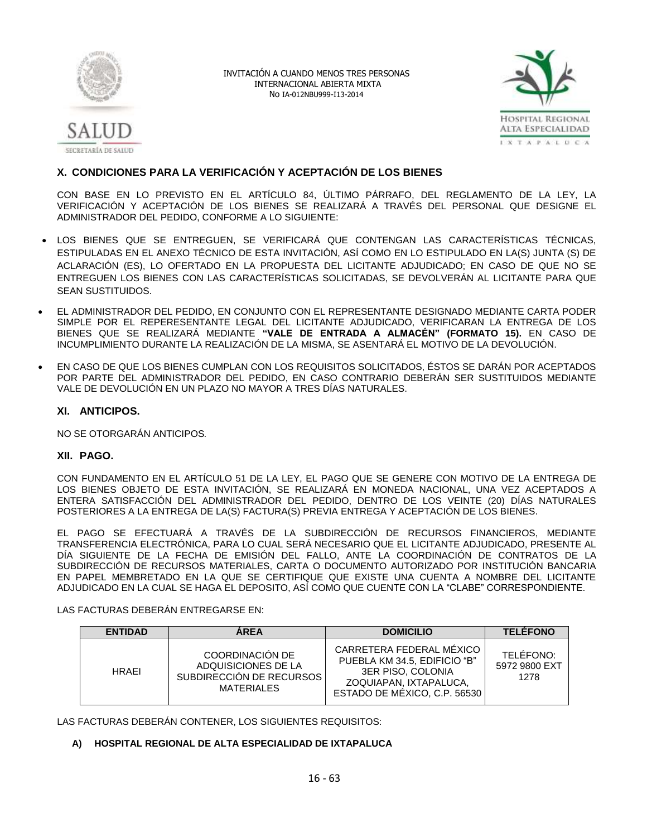



# **X. CONDICIONES PARA LA VERIFICACIÓN Y ACEPTACIÓN DE LOS BIENES**

CON BASE EN LO PREVISTO EN EL ARTÍCULO 84, ÚLTIMO PÁRRAFO, DEL REGLAMENTO DE LA LEY, LA VERIFICACIÓN Y ACEPTACIÓN DE LOS BIENES SE REALIZARÁ A TRAVÉS DEL PERSONAL QUE DESIGNE EL ADMINISTRADOR DEL PEDIDO, CONFORME A LO SIGUIENTE:

- LOS BIENES QUE SE ENTREGUEN, SE VERIFICARÁ QUE CONTENGAN LAS CARACTERÍSTICAS TÉCNICAS, ESTIPULADAS EN EL ANEXO TÉCNICO DE ESTA INVITACIÓN, ASÍ COMO EN LO ESTIPULADO EN LA(S) JUNTA (S) DE ACLARACIÓN (ES), LO OFERTADO EN LA PROPUESTA DEL LICITANTE ADJUDICADO; EN CASO DE QUE NO SE ENTREGUEN LOS BIENES CON LAS CARACTERÍSTICAS SOLICITADAS, SE DEVOLVERÁN AL LICITANTE PARA QUE SEAN SUSTITUIDOS.
- EL ADMINISTRADOR DEL PEDIDO, EN CONJUNTO CON EL REPRESENTANTE DESIGNADO MEDIANTE CARTA PODER SIMPLE POR EL REPERESENTANTE LEGAL DEL LICITANTE ADJUDICADO, VERIFICARAN LA ENTREGA DE LOS BIENES QUE SE REALIZARÁ MEDIANTE **"VALE DE ENTRADA A ALMACÉN" (FORMATO 15).** EN CASO DE INCUMPLIMIENTO DURANTE LA REALIZACIÓN DE LA MISMA, SE ASENTARÁ EL MOTIVO DE LA DEVOLUCIÓN.
- EN CASO DE QUE LOS BIENES CUMPLAN CON LOS REQUISITOS SOLICITADOS, ÉSTOS SE DARÁN POR ACEPTADOS POR PARTE DEL ADMINISTRADOR DEL PEDIDO, EN CASO CONTRARIO DEBERÁN SER SUSTITUIDOS MEDIANTE VALE DE DEVOLUCIÓN EN UN PLAZO NO MAYOR A TRES DÍAS NATURALES.

# **XI. ANTICIPOS.**

NO SE OTORGARÁN ANTICIPOS*.*

# **XII. PAGO.**

CON FUNDAMENTO EN EL ARTÍCULO 51 DE LA LEY, EL PAGO QUE SE GENERE CON MOTIVO DE LA ENTREGA DE LOS BIENES OBJETO DE ESTA INVITACIÓN, SE REALIZARÁ EN MONEDA NACIONAL, UNA VEZ ACEPTADOS A ENTERA SATISFACCIÓN DEL ADMINISTRADOR DEL PEDIDO, DENTRO DE LOS VEINTE (20) DÍAS NATURALES POSTERIORES A LA ENTREGA DE LA(S) FACTURA(S) PREVIA ENTREGA Y ACEPTACIÓN DE LOS BIENES.

EL PAGO SE EFECTUARÁ A TRAVÉS DE LA SUBDIRECCIÓN DE RECURSOS FINANCIEROS, MEDIANTE TRANSFERENCIA ELECTRÓNICA, PARA LO CUAL SERÁ NECESARIO QUE EL LICITANTE ADJUDICADO, PRESENTE AL DÍA SIGUIENTE DE LA FECHA DE EMISIÓN DEL FALLO, ANTE LA COORDINACIÓN DE CONTRATOS DE LA SUBDIRECCIÓN DE RECURSOS MATERIALES, CARTA O DOCUMENTO AUTORIZADO POR INSTITUCIÓN BANCARIA EN PAPEL MEMBRETADO EN LA QUE SE CERTIFIQUE QUE EXISTE UNA CUENTA A NOMBRE DEL LICITANTE ADJUDICADO EN LA CUAL SE HAGA EL DEPOSITO, ASÍ COMO QUE CUENTE CON LA "CLABE" CORRESPONDIENTE.

#### LAS FACTURAS DEBERÁN ENTREGARSE EN:

| <b>ENTIDAD</b> | <b>AREA</b>                                                                             | <b>DOMICILIO</b>                                                                                                                        | <b>TELÉFONO</b>                    |
|----------------|-----------------------------------------------------------------------------------------|-----------------------------------------------------------------------------------------------------------------------------------------|------------------------------------|
| <b>HRAFI</b>   | COORDINACIÓN DE<br>ADQUISICIONES DE LA<br>SUBDIRECCIÓN DE RECURSOS<br><b>MATERIALES</b> | CARRETERA FEDERAL MÉXICO<br>PUEBLA KM 34.5, EDIFICIO "B"<br>3ER PISO, COLONIA<br>ZOQUIAPAN, IXTAPALUCA.<br>ESTADO DE MÉXICO, C.P. 56530 | TELÉFONO:<br>5972 9800 EXT<br>1278 |

LAS FACTURAS DEBERÁN CONTENER, LOS SIGUIENTES REQUISITOS:

# **A) HOSPITAL REGIONAL DE ALTA ESPECIALIDAD DE IXTAPALUCA**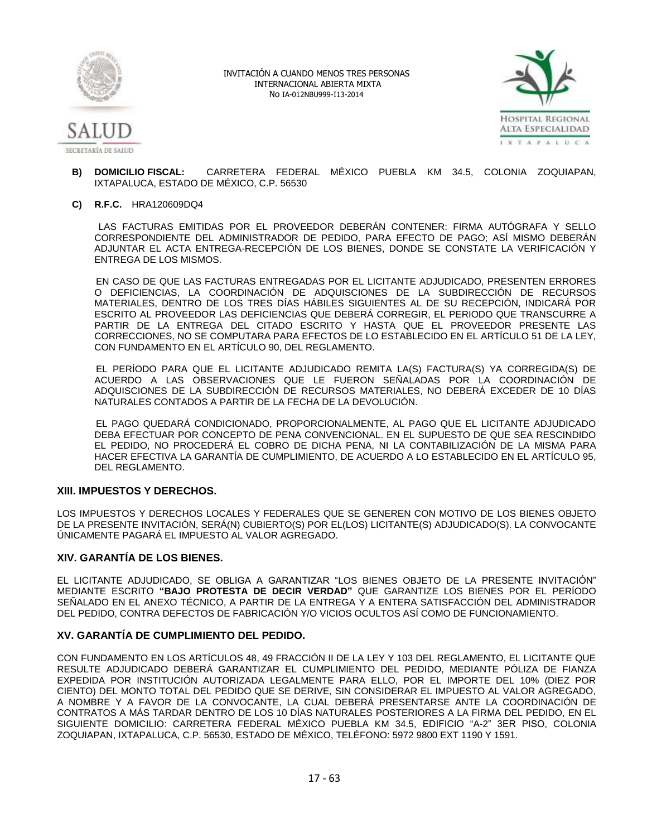



- **B) DOMICILIO FISCAL:** CARRETERA FEDERAL MÉXICO PUEBLA KM 34.5, COLONIA ZOQUIAPAN, IXTAPALUCA, ESTADO DE MÉXICO, C.P. 56530
- **C) R.F.C.** HRA120609DQ4

 LAS FACTURAS EMITIDAS POR EL PROVEEDOR DEBERÁN CONTENER: FIRMA AUTÓGRAFA Y SELLO CORRESPONDIENTE DEL ADMINISTRADOR DE PEDIDO, PARA EFECTO DE PAGO; ASÍ MISMO DEBERÁN ADJUNTAR EL ACTA ENTREGA-RECEPCIÓN DE LOS BIENES, DONDE SE CONSTATE LA VERIFICACIÓN Y ENTREGA DE LOS MISMOS.

 EN CASO DE QUE LAS FACTURAS ENTREGADAS POR EL LICITANTE ADJUDICADO, PRESENTEN ERRORES O DEFICIENCIAS, LA COORDINACIÓN DE ADQUISCIONES DE LA SUBDIRECCIÓN DE RECURSOS MATERIALES, DENTRO DE LOS TRES DÍAS HÁBILES SIGUIENTES AL DE SU RECEPCIÓN, INDICARÁ POR ESCRITO AL PROVEEDOR LAS DEFICIENCIAS QUE DEBERÁ CORREGIR, EL PERIODO QUE TRANSCURRE A PARTIR DE LA ENTREGA DEL CITADO ESCRITO Y HASTA QUE EL PROVEEDOR PRESENTE LAS CORRECCIONES, NO SE COMPUTARA PARA EFECTOS DE LO ESTABLECIDO EN EL ARTÍCULO 51 DE LA LEY, CON FUNDAMENTO EN EL ARTÍCULO 90, DEL REGLAMENTO.

 EL PERÍODO PARA QUE EL LICITANTE ADJUDICADO REMITA LA(S) FACTURA(S) YA CORREGIDA(S) DE ACUERDO A LAS OBSERVACIONES QUE LE FUERON SEÑALADAS POR LA COORDINACIÓN DE ADQUISCIONES DE LA SUBDIRECCIÓN DE RECURSOS MATERIALES, NO DEBERÁ EXCEDER DE 10 DÍAS NATURALES CONTADOS A PARTIR DE LA FECHA DE LA DEVOLUCIÓN.

 EL PAGO QUEDARÁ CONDICIONADO, PROPORCIONALMENTE, AL PAGO QUE EL LICITANTE ADJUDICADO DEBA EFECTUAR POR CONCEPTO DE PENA CONVENCIONAL. EN EL SUPUESTO DE QUE SEA RESCINDIDO EL PEDIDO, NO PROCEDERÁ EL COBRO DE DICHA PENA, NI LA CONTABILIZACIÓN DE LA MISMA PARA HACER EFECTIVA LA GARANTÍA DE CUMPLIMIENTO, DE ACUERDO A LO ESTABLECIDO EN EL ARTÍCULO 95, DEL REGLAMENTO.

#### **XIII. IMPUESTOS Y DERECHOS.**

LOS IMPUESTOS Y DERECHOS LOCALES Y FEDERALES QUE SE GENEREN CON MOTIVO DE LOS BIENES OBJETO DE LA PRESENTE INVITACIÓN, SERÁ(N) CUBIERTO(S) POR EL(LOS) LICITANTE(S) ADJUDICADO(S). LA CONVOCANTE ÚNICAMENTE PAGARÁ EL IMPUESTO AL VALOR AGREGADO.

# **XIV. GARANTÍA DE LOS BIENES.**

EL LICITANTE ADJUDICADO, SE OBLIGA A GARANTIZAR "LOS BIENES OBJETO DE LA PRESENTE INVITACIÓN" MEDIANTE ESCRITO **"BAJO PROTESTA DE DECIR VERDAD"** QUE GARANTIZE LOS BIENES POR EL PERÍODO SEÑALADO EN EL ANEXO TÉCNICO, A PARTIR DE LA ENTREGA Y A ENTERA SATISFACCIÓN DEL ADMINISTRADOR DEL PEDIDO, CONTRA DEFECTOS DE FABRICACIÓN Y/O VICIOS OCULTOS ASÍ COMO DE FUNCIONAMIENTO.

#### **XV. GARANTÍA DE CUMPLIMIENTO DEL PEDIDO.**

CON FUNDAMENTO EN LOS ARTÍCULOS 48, 49 FRACCIÓN II DE LA LEY Y 103 DEL REGLAMENTO, EL LICITANTE QUE RESULTE ADJUDICADO DEBERÁ GARANTIZAR EL CUMPLIMIENTO DEL PEDIDO, MEDIANTE PÓLIZA DE FIANZA EXPEDIDA POR INSTITUCIÓN AUTORIZADA LEGALMENTE PARA ELLO, POR EL IMPORTE DEL 10% (DIEZ POR CIENTO) DEL MONTO TOTAL DEL PEDIDO QUE SE DERIVE, SIN CONSIDERAR EL IMPUESTO AL VALOR AGREGADO, A NOMBRE Y A FAVOR DE LA CONVOCANTE, LA CUAL DEBERÁ PRESENTARSE ANTE LA COORDINACIÓN DE CONTRATOS A MÁS TARDAR DENTRO DE LOS 10 DÍAS NATURALES POSTERIORES A LA FIRMA DEL PEDIDO, EN EL SIGUIENTE DOMICILIO: CARRETERA FEDERAL MÉXICO PUEBLA KM 34.5, EDIFICIO "A-2" 3ER PISO, COLONIA ZOQUIAPAN, IXTAPALUCA, C.P. 56530, ESTADO DE MÉXICO, TELÉFONO: 5972 9800 EXT 1190 Y 1591.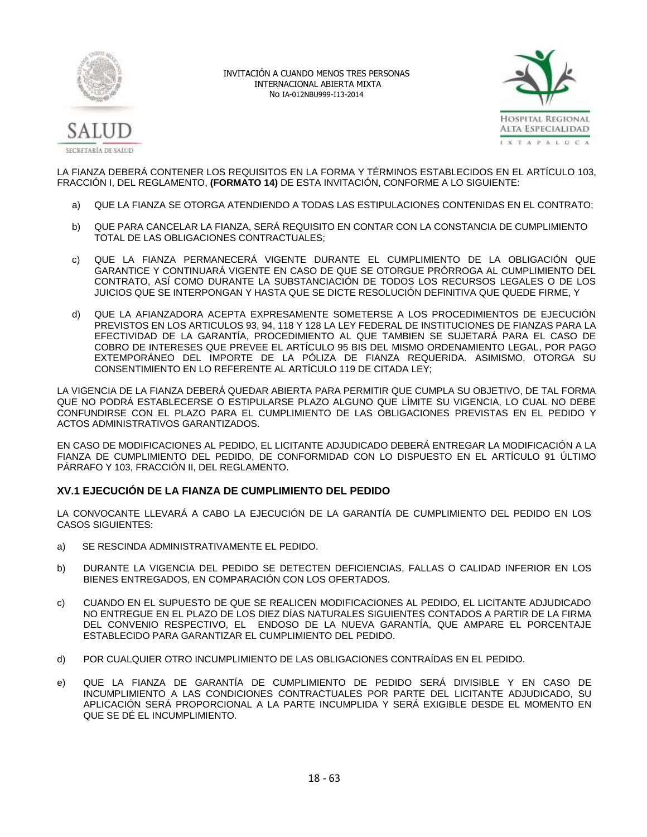



LA FIANZA DEBERÁ CONTENER LOS REQUISITOS EN LA FORMA Y TÉRMINOS ESTABLECIDOS EN EL ARTÍCULO 103, FRACCIÓN I, DEL REGLAMENTO, **(FORMATO 14)** DE ESTA INVITACIÓN, CONFORME A LO SIGUIENTE:

- a) QUE LA FIANZA SE OTORGA ATENDIENDO A TODAS LAS ESTIPULACIONES CONTENIDAS EN EL CONTRATO;
- b) QUE PARA CANCELAR LA FIANZA, SERÁ REQUISITO EN CONTAR CON LA CONSTANCIA DE CUMPLIMIENTO TOTAL DE LAS OBLIGACIONES CONTRACTUALES;
- c) QUE LA FIANZA PERMANECERÁ VIGENTE DURANTE EL CUMPLIMIENTO DE LA OBLIGACIÓN QUE GARANTICE Y CONTINUARÁ VIGENTE EN CASO DE QUE SE OTORGUE PRÓRROGA AL CUMPLIMIENTO DEL CONTRATO, ASÍ COMO DURANTE LA SUBSTANCIACIÓN DE TODOS LOS RECURSOS LEGALES O DE LOS JUICIOS QUE SE INTERPONGAN Y HASTA QUE SE DICTE RESOLUCIÓN DEFINITIVA QUE QUEDE FIRME, Y
- d) QUE LA AFIANZADORA ACEPTA EXPRESAMENTE SOMETERSE A LOS PROCEDIMIENTOS DE EJECUCIÓN PREVISTOS EN LOS ARTICULOS 93, 94, 118 Y 128 LA LEY FEDERAL DE INSTITUCIONES DE FIANZAS PARA LA EFECTIVIDAD DE LA GARANTÍA, PROCEDIMIENTO AL QUE TAMBIEN SE SUJETARÁ PARA EL CASO DE COBRO DE INTERESES QUE PREVEE EL ARTÍCULO 95 BIS DEL MISMO ORDENAMIENTO LEGAL, POR PAGO EXTEMPORÁNEO DEL IMPORTE DE LA PÓLIZA DE FIANZA REQUERIDA. ASIMISMO, OTORGA SU CONSENTIMIENTO EN LO REFERENTE AL ARTÍCULO 119 DE CITADA LEY;

LA VIGENCIA DE LA FIANZA DEBERÁ QUEDAR ABIERTA PARA PERMITIR QUE CUMPLA SU OBJETIVO, DE TAL FORMA QUE NO PODRÁ ESTABLECERSE O ESTIPULARSE PLAZO ALGUNO QUE LÍMITE SU VIGENCIA, LO CUAL NO DEBE CONFUNDIRSE CON EL PLAZO PARA EL CUMPLIMIENTO DE LAS OBLIGACIONES PREVISTAS EN EL PEDIDO Y ACTOS ADMINISTRATIVOS GARANTIZADOS.

EN CASO DE MODIFICACIONES AL PEDIDO, EL LICITANTE ADJUDICADO DEBERÁ ENTREGAR LA MODIFICACIÓN A LA FIANZA DE CUMPLIMIENTO DEL PEDIDO, DE CONFORMIDAD CON LO DISPUESTO EN EL ARTÍCULO 91 ÚLTIMO PÁRRAFO Y 103, FRACCIÓN II, DEL REGLAMENTO.

# **XV.1 EJECUCIÓN DE LA FIANZA DE CUMPLIMIENTO DEL PEDIDO**

LA CONVOCANTE LLEVARÁ A CABO LA EJECUCIÓN DE LA GARANTÍA DE CUMPLIMIENTO DEL PEDIDO EN LOS CASOS SIGUIENTES:

- a) SE RESCINDA ADMINISTRATIVAMENTE EL PEDIDO.
- b) DURANTE LA VIGENCIA DEL PEDIDO SE DETECTEN DEFICIENCIAS, FALLAS O CALIDAD INFERIOR EN LOS BIENES ENTREGADOS, EN COMPARACIÓN CON LOS OFERTADOS.
- c) CUANDO EN EL SUPUESTO DE QUE SE REALICEN MODIFICACIONES AL PEDIDO, EL LICITANTE ADJUDICADO NO ENTREGUE EN EL PLAZO DE LOS DIEZ DÍAS NATURALES SIGUIENTES CONTADOS A PARTIR DE LA FIRMA DEL CONVENIO RESPECTIVO, EL ENDOSO DE LA NUEVA GARANTÍA, QUE AMPARE EL PORCENTAJE ESTABLECIDO PARA GARANTIZAR EL CUMPLIMIENTO DEL PEDIDO.
- d) POR CUALQUIER OTRO INCUMPLIMIENTO DE LAS OBLIGACIONES CONTRAÍDAS EN EL PEDIDO.
- e) QUE LA FIANZA DE GARANTÍA DE CUMPLIMIENTO DE PEDIDO SERÁ DIVISIBLE Y EN CASO DE INCUMPLIMIENTO A LAS CONDICIONES CONTRACTUALES POR PARTE DEL LICITANTE ADJUDICADO, SU APLICACIÓN SERÁ PROPORCIONAL A LA PARTE INCUMPLIDA Y SERÁ EXIGIBLE DESDE EL MOMENTO EN QUE SE DÉ EL INCUMPLIMIENTO.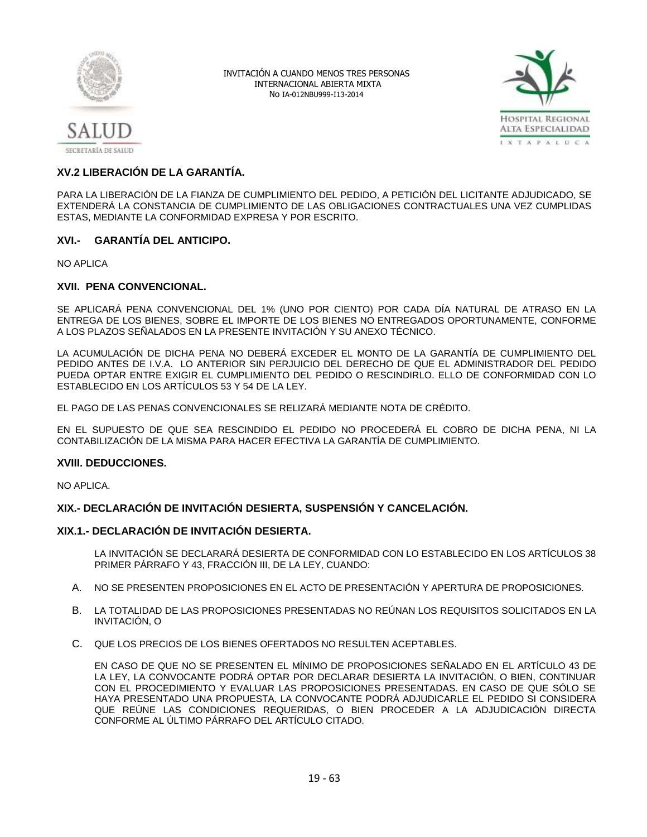



# **XV.2 LIBERACIÓN DE LA GARANTÍA.**

PARA LA LIBERACIÓN DE LA FIANZA DE CUMPLIMIENTO DEL PEDIDO, A PETICIÓN DEL LICITANTE ADJUDICADO, SE EXTENDERÁ LA CONSTANCIA DE CUMPLIMIENTO DE LAS OBLIGACIONES CONTRACTUALES UNA VEZ CUMPLIDAS ESTAS, MEDIANTE LA CONFORMIDAD EXPRESA Y POR ESCRITO.

# **XVI.- GARANTÍA DEL ANTICIPO.**

NO APLICA

# **XVII. PENA CONVENCIONAL.**

SE APLICARÁ PENA CONVENCIONAL DEL 1% (UNO POR CIENTO) POR CADA DÍA NATURAL DE ATRASO EN LA ENTREGA DE LOS BIENES, SOBRE EL IMPORTE DE LOS BIENES NO ENTREGADOS OPORTUNAMENTE, CONFORME A LOS PLAZOS SEÑALADOS EN LA PRESENTE INVITACIÓN Y SU ANEXO TÉCNICO.

LA ACUMULACIÓN DE DICHA PENA NO DEBERÁ EXCEDER EL MONTO DE LA GARANTÍA DE CUMPLIMIENTO DEL PEDIDO ANTES DE I.V.A. LO ANTERIOR SIN PERJUICIO DEL DERECHO DE QUE EL ADMINISTRADOR DEL PEDIDO PUEDA OPTAR ENTRE EXIGIR EL CUMPLIMIENTO DEL PEDIDO O RESCINDIRLO. ELLO DE CONFORMIDAD CON LO ESTABLECIDO EN LOS ARTÍCULOS 53 Y 54 DE LA LEY.

EL PAGO DE LAS PENAS CONVENCIONALES SE RELIZARÁ MEDIANTE NOTA DE CRÉDITO.

EN EL SUPUESTO DE QUE SEA RESCINDIDO EL PEDIDO NO PROCEDERÁ EL COBRO DE DICHA PENA, NI LA CONTABILIZACIÓN DE LA MISMA PARA HACER EFECTIVA LA GARANTÍA DE CUMPLIMIENTO.

#### **XVIII. DEDUCCIONES.**

NO APLICA.

# **XIX.- DECLARACIÓN DE INVITACIÓN DESIERTA, SUSPENSIÓN Y CANCELACIÓN.**

#### **XIX.1.- DECLARACIÓN DE INVITACIÓN DESIERTA.**

LA INVITACIÓN SE DECLARARÁ DESIERTA DE CONFORMIDAD CON LO ESTABLECIDO EN LOS ARTÍCULOS 38 PRIMER PÁRRAFO Y 43, FRACCIÓN III, DE LA LEY, CUANDO:

- A. NO SE PRESENTEN PROPOSICIONES EN EL ACTO DE PRESENTACIÓN Y APERTURA DE PROPOSICIONES.
- B. LA TOTALIDAD DE LAS PROPOSICIONES PRESENTADAS NO REÚNAN LOS REQUISITOS SOLICITADOS EN LA INVITACIÓN, O
- C. QUE LOS PRECIOS DE LOS BIENES OFERTADOS NO RESULTEN ACEPTABLES.

EN CASO DE QUE NO SE PRESENTEN EL MÍNIMO DE PROPOSICIONES SEÑALADO EN EL ARTÍCULO 43 DE LA LEY, LA CONVOCANTE PODRÁ OPTAR POR DECLARAR DESIERTA LA INVITACIÓN, O BIEN, CONTINUAR CON EL PROCEDIMIENTO Y EVALUAR LAS PROPOSICIONES PRESENTADAS. EN CASO DE QUE SÓLO SE HAYA PRESENTADO UNA PROPUESTA, LA CONVOCANTE PODRÁ ADJUDICARLE EL PEDIDO SI CONSIDERA QUE REÚNE LAS CONDICIONES REQUERIDAS, O BIEN PROCEDER A LA ADJUDICACIÓN DIRECTA CONFORME AL ÚLTIMO PÁRRAFO DEL ARTÍCULO CITADO.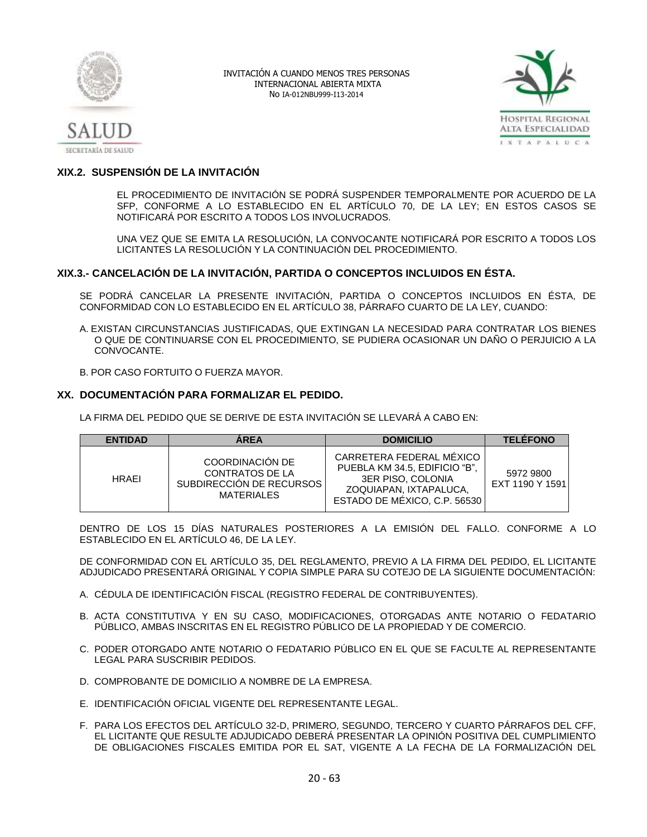



# **XIX.2. SUSPENSIÓN DE LA INVITACIÓN**

EL PROCEDIMIENTO DE INVITACIÓN SE PODRÁ SUSPENDER TEMPORALMENTE POR ACUERDO DE LA SFP, CONFORME A LO ESTABLECIDO EN EL ARTÍCULO 70, DE LA LEY; EN ESTOS CASOS SE NOTIFICARÁ POR ESCRITO A TODOS LOS INVOLUCRADOS.

UNA VEZ QUE SE EMITA LA RESOLUCIÓN, LA CONVOCANTE NOTIFICARÁ POR ESCRITO A TODOS LOS LICITANTES LA RESOLUCIÓN Y LA CONTINUACIÓN DEL PROCEDIMIENTO.

# **XIX.3.- CANCELACIÓN DE LA INVITACIÓN, PARTIDA O CONCEPTOS INCLUIDOS EN ÉSTA.**

SE PODRÁ CANCELAR LA PRESENTE INVITACIÓN, PARTIDA O CONCEPTOS INCLUIDOS EN ÉSTA, DE CONFORMIDAD CON LO ESTABLECIDO EN EL ARTÍCULO 38, PÁRRAFO CUARTO DE LA LEY, CUANDO:

A. EXISTAN CIRCUNSTANCIAS JUSTIFICADAS, QUE EXTINGAN LA NECESIDAD PARA CONTRATAR LOS BIENES O QUE DE CONTINUARSE CON EL PROCEDIMIENTO, SE PUDIERA OCASIONAR UN DAÑO O PERJUICIO A LA CONVOCANTE.

B. POR CASO FORTUITO O FUERZA MAYOR.

# **XX. DOCUMENTACIÓN PARA FORMALIZAR EL PEDIDO.**

LA FIRMA DEL PEDIDO QUE SE DERIVE DE ESTA INVITACIÓN SE LLEVARÁ A CABO EN:

| <b>ENTIDAD</b> | <b>AREA</b>                                                                         | <b>DOMICILIO</b>                                                                                                                         | <b>TELÉFONO</b>              |
|----------------|-------------------------------------------------------------------------------------|------------------------------------------------------------------------------------------------------------------------------------------|------------------------------|
| <b>HRAFI</b>   | COORDINACIÓN DE<br>CONTRATOS DE LA<br>SUBDIRECCIÓN DE RECURSOS<br><b>MATERIALES</b> | CARRETERA FEDERAL MÉXICO<br>PUEBLA KM 34.5. EDIFICIO "B".<br>3ER PISO, COLONIA<br>ZOQUIAPAN, IXTAPALUCA,<br>ESTADO DE MÉXICO, C.P. 56530 | 5972 9800<br>EXT 1190 Y 1591 |

DENTRO DE LOS 15 DÍAS NATURALES POSTERIORES A LA EMISIÓN DEL FALLO. CONFORME A LO ESTABLECIDO EN EL ARTÍCULO 46, DE LA LEY.

DE CONFORMIDAD CON EL ARTÍCULO 35, DEL REGLAMENTO, PREVIO A LA FIRMA DEL PEDIDO, EL LICITANTE ADJUDICADO PRESENTARÁ ORIGINAL Y COPIA SIMPLE PARA SU COTEJO DE LA SIGUIENTE DOCUMENTACIÓN:

- A. CÉDULA DE IDENTIFICACIÓN FISCAL (REGISTRO FEDERAL DE CONTRIBUYENTES).
- B. ACTA CONSTITUTIVA Y EN SU CASO, MODIFICACIONES, OTORGADAS ANTE NOTARIO O FEDATARIO PÚBLICO, AMBAS INSCRITAS EN EL REGISTRO PÚBLICO DE LA PROPIEDAD Y DE COMERCIO.
- C. PODER OTORGADO ANTE NOTARIO O FEDATARIO PÚBLICO EN EL QUE SE FACULTE AL REPRESENTANTE LEGAL PARA SUSCRIBIR PEDIDOS.
- D. COMPROBANTE DE DOMICILIO A NOMBRE DE LA EMPRESA.
- E. IDENTIFICACIÓN OFICIAL VIGENTE DEL REPRESENTANTE LEGAL.
- F. PARA LOS EFECTOS DEL ARTÍCULO 32-D, PRIMERO, SEGUNDO, TERCERO Y CUARTO PÁRRAFOS DEL CFF, EL LICITANTE QUE RESULTE ADJUDICADO DEBERÁ PRESENTAR LA OPINIÓN POSITIVA DEL CUMPLIMIENTO DE OBLIGACIONES FISCALES EMITIDA POR EL SAT, VIGENTE A LA FECHA DE LA FORMALIZACIÓN DEL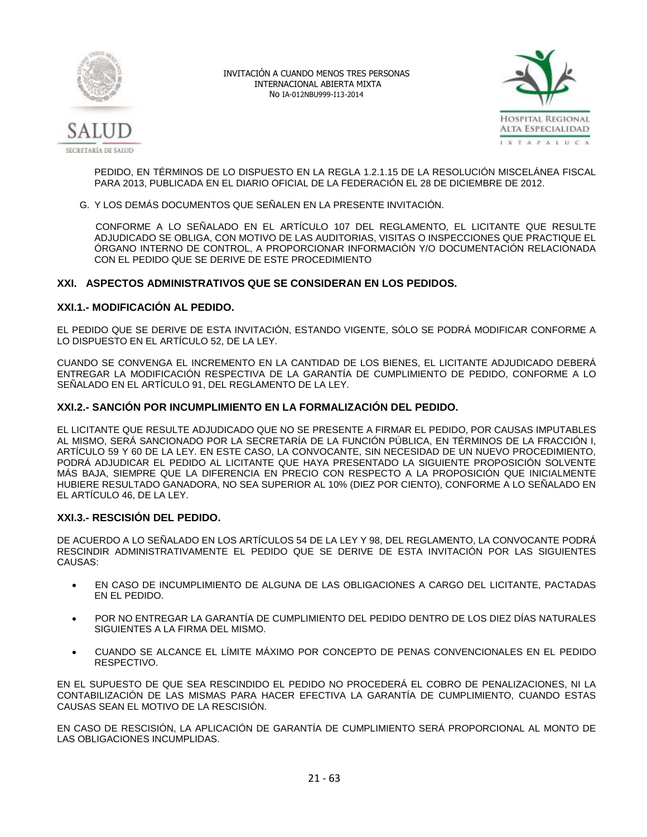



PEDIDO, EN TÉRMINOS DE LO DISPUESTO EN LA REGLA 1.2.1.15 DE LA RESOLUCIÓN MISCELÁNEA FISCAL PARA 2013, PUBLICADA EN EL DIARIO OFICIAL DE LA FEDERACIÓN EL 28 DE DICIEMBRE DE 2012.

G. Y LOS DEMÁS DOCUMENTOS QUE SEÑALEN EN LA PRESENTE INVITACIÓN.

 CONFORME A LO SEÑALADO EN EL ARTÍCULO 107 DEL REGLAMENTO, EL LICITANTE QUE RESULTE ADJUDICADO SE OBLIGA, CON MOTIVO DE LAS AUDITORIAS, VISITAS O INSPECCIONES QUE PRACTIQUE EL ÓRGANO INTERNO DE CONTROL, A PROPORCIONAR INFORMACIÓN Y/O DOCUMENTACIÓN RELACIONADA CON EL PEDIDO QUE SE DERIVE DE ESTE PROCEDIMIENTO

# **XXI. ASPECTOS ADMINISTRATIVOS QUE SE CONSIDERAN EN LOS PEDIDOS.**

# **XXI.1.- MODIFICACIÓN AL PEDIDO.**

EL PEDIDO QUE SE DERIVE DE ESTA INVITACIÓN, ESTANDO VIGENTE, SÓLO SE PODRÁ MODIFICAR CONFORME A LO DISPUESTO EN EL ARTÍCULO 52, DE LA LEY.

CUANDO SE CONVENGA EL INCREMENTO EN LA CANTIDAD DE LOS BIENES, EL LICITANTE ADJUDICADO DEBERÁ ENTREGAR LA MODIFICACIÓN RESPECTIVA DE LA GARANTÍA DE CUMPLIMIENTO DE PEDIDO, CONFORME A LO SEÑALADO EN EL ARTÍCULO 91, DEL REGLAMENTO DE LA LEY.

# **XXI.2.- SANCIÓN POR INCUMPLIMIENTO EN LA FORMALIZACIÓN DEL PEDIDO.**

EL LICITANTE QUE RESULTE ADJUDICADO QUE NO SE PRESENTE A FIRMAR EL PEDIDO, POR CAUSAS IMPUTABLES AL MISMO, SERÁ SANCIONADO POR LA SECRETARÍA DE LA FUNCIÓN PÚBLICA, EN TÉRMINOS DE LA FRACCIÓN I, ARTÍCULO 59 Y 60 DE LA LEY. EN ESTE CASO, LA CONVOCANTE, SIN NECESIDAD DE UN NUEVO PROCEDIMIENTO, PODRÁ ADJUDICAR EL PEDIDO AL LICITANTE QUE HAYA PRESENTADO LA SIGUIENTE PROPOSICIÓN SOLVENTE MÁS BAJA, SIEMPRE QUE LA DIFERENCIA EN PRECIO CON RESPECTO A LA PROPOSICIÓN QUE INICIALMENTE HUBIERE RESULTADO GANADORA, NO SEA SUPERIOR AL 10% (DIEZ POR CIENTO), CONFORME A LO SEÑALADO EN EL ARTÍCULO 46, DE LA LEY.

# **XXI.3.- RESCISIÓN DEL PEDIDO.**

DE ACUERDO A LO SEÑALADO EN LOS ARTÍCULOS 54 DE LA LEY Y 98, DEL REGLAMENTO, LA CONVOCANTE PODRÁ RESCINDIR ADMINISTRATIVAMENTE EL PEDIDO QUE SE DERIVE DE ESTA INVITACIÓN POR LAS SIGUIENTES CAUSAS:

- EN CASO DE INCUMPLIMIENTO DE ALGUNA DE LAS OBLIGACIONES A CARGO DEL LICITANTE, PACTADAS EN EL PEDIDO.
- POR NO ENTREGAR LA GARANTÍA DE CUMPLIMIENTO DEL PEDIDO DENTRO DE LOS DIEZ DÍAS NATURALES SIGUIENTES A LA FIRMA DEL MISMO.
- CUANDO SE ALCANCE EL LÍMITE MÁXIMO POR CONCEPTO DE PENAS CONVENCIONALES EN EL PEDIDO **RESPECTIVO**

EN EL SUPUESTO DE QUE SEA RESCINDIDO EL PEDIDO NO PROCEDERÁ EL COBRO DE PENALIZACIONES, NI LA CONTABILIZACIÓN DE LAS MISMAS PARA HACER EFECTIVA LA GARANTÍA DE CUMPLIMIENTO, CUANDO ESTAS CAUSAS SEAN EL MOTIVO DE LA RESCISIÓN.

EN CASO DE RESCISIÓN, LA APLICACIÓN DE GARANTÍA DE CUMPLIMIENTO SERÁ PROPORCIONAL AL MONTO DE LAS OBLIGACIONES INCUMPLIDAS.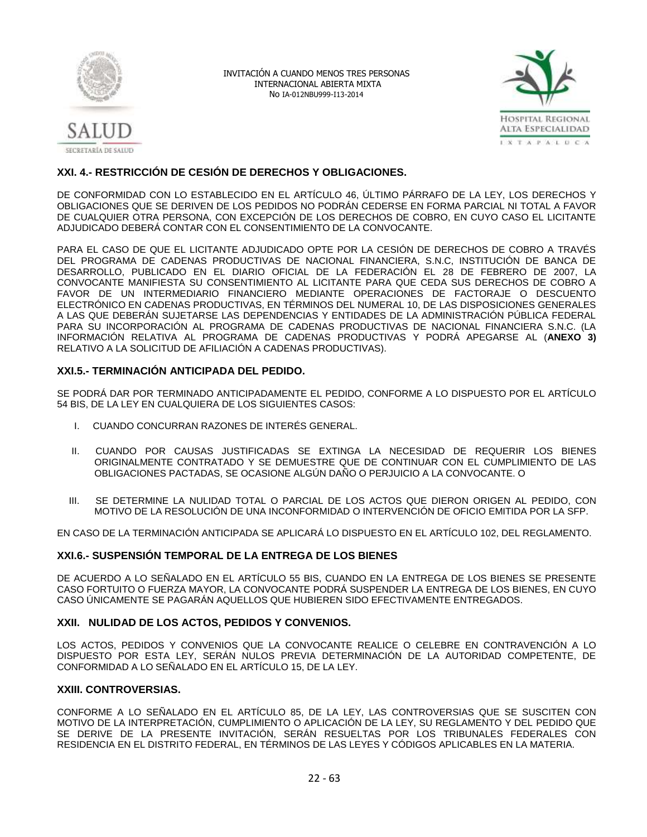



# **XXI. 4.- RESTRICCIÓN DE CESIÓN DE DERECHOS Y OBLIGACIONES.**

DE CONFORMIDAD CON LO ESTABLECIDO EN EL ARTÍCULO 46, ÚLTIMO PÁRRAFO DE LA LEY, LOS DERECHOS Y OBLIGACIONES QUE SE DERIVEN DE LOS PEDIDOS NO PODRÁN CEDERSE EN FORMA PARCIAL NI TOTAL A FAVOR DE CUALQUIER OTRA PERSONA, CON EXCEPCIÓN DE LOS DERECHOS DE COBRO, EN CUYO CASO EL LICITANTE ADJUDICADO DEBERÁ CONTAR CON EL CONSENTIMIENTO DE LA CONVOCANTE.

PARA EL CASO DE QUE EL LICITANTE ADJUDICADO OPTE POR LA CESIÓN DE DERECHOS DE COBRO A TRAVÉS DEL PROGRAMA DE CADENAS PRODUCTIVAS DE NACIONAL FINANCIERA, S.N.C, INSTITUCIÓN DE BANCA DE DESARROLLO, PUBLICADO EN EL DIARIO OFICIAL DE LA FEDERACIÓN EL 28 DE FEBRERO DE 2007, LA CONVOCANTE MANIFIESTA SU CONSENTIMIENTO AL LICITANTE PARA QUE CEDA SUS DERECHOS DE COBRO A FAVOR DE UN INTERMEDIARIO FINANCIERO MEDIANTE OPERACIONES DE FACTORAJE O DESCUENTO ELECTRÓNICO EN CADENAS PRODUCTIVAS, EN TÉRMINOS DEL NUMERAL 10, DE LAS DISPOSICIONES GENERALES A LAS QUE DEBERÁN SUJETARSE LAS DEPENDENCIAS Y ENTIDADES DE LA ADMINISTRACIÓN PÚBLICA FEDERAL PARA SU INCORPORACIÓN AL PROGRAMA DE CADENAS PRODUCTIVAS DE NACIONAL FINANCIERA S.N.C. (LA INFORMACIÓN RELATIVA AL PROGRAMA DE CADENAS PRODUCTIVAS Y PODRÁ APEGARSE AL (**ANEXO 3)** RELATIVO A LA SOLICITUD DE AFILIACIÓN A CADENAS PRODUCTIVAS).

# **XXI.5.- TERMINACIÓN ANTICIPADA DEL PEDIDO.**

SE PODRÁ DAR POR TERMINADO ANTICIPADAMENTE EL PEDIDO, CONFORME A LO DISPUESTO POR EL ARTÍCULO 54 BIS, DE LA LEY EN CUALQUIERA DE LOS SIGUIENTES CASOS:

- I. CUANDO CONCURRAN RAZONES DE INTERÉS GENERAL.
- II. CUANDO POR CAUSAS JUSTIFICADAS SE EXTINGA LA NECESIDAD DE REQUERIR LOS BIENES ORIGINALMENTE CONTRATADO Y SE DEMUESTRE QUE DE CONTINUAR CON EL CUMPLIMIENTO DE LAS OBLIGACIONES PACTADAS, SE OCASIONE ALGÚN DAÑO O PERJUICIO A LA CONVOCANTE. O
- III. SE DETERMINE LA NULIDAD TOTAL O PARCIAL DE LOS ACTOS QUE DIERON ORIGEN AL PEDIDO, CON MOTIVO DE LA RESOLUCIÓN DE UNA INCONFORMIDAD O INTERVENCIÓN DE OFICIO EMITIDA POR LA SFP.

EN CASO DE LA TERMINACIÓN ANTICIPADA SE APLICARÁ LO DISPUESTO EN EL ARTÍCULO 102, DEL REGLAMENTO.

# **XXI.6.- SUSPENSIÓN TEMPORAL DE LA ENTREGA DE LOS BIENES**

DE ACUERDO A LO SEÑALADO EN EL ARTÍCULO 55 BIS, CUANDO EN LA ENTREGA DE LOS BIENES SE PRESENTE CASO FORTUITO O FUERZA MAYOR, LA CONVOCANTE PODRÁ SUSPENDER LA ENTREGA DE LOS BIENES, EN CUYO CASO ÚNICAMENTE SE PAGARÁN AQUELLOS QUE HUBIEREN SIDO EFECTIVAMENTE ENTREGADOS.

# **XXII. NULIDAD DE LOS ACTOS, PEDIDOS Y CONVENIOS.**

LOS ACTOS, PEDIDOS Y CONVENIOS QUE LA CONVOCANTE REALICE O CELEBRE EN CONTRAVENCIÓN A LO DISPUESTO POR ESTA LEY, SERÁN NULOS PREVIA DETERMINACIÓN DE LA AUTORIDAD COMPETENTE, DE CONFORMIDAD A LO SEÑALADO EN EL ARTÍCULO 15, DE LA LEY.

# **XXIII. CONTROVERSIAS.**

CONFORME A LO SEÑALADO EN EL ARTÍCULO 85, DE LA LEY, LAS CONTROVERSIAS QUE SE SUSCITEN CON MOTIVO DE LA INTERPRETACIÓN, CUMPLIMIENTO O APLICACIÓN DE LA LEY, SU REGLAMENTO Y DEL PEDIDO QUE SE DERIVE DE LA PRESENTE INVITACIÓN, SERÁN RESUELTAS POR LOS TRIBUNALES FEDERALES CON RESIDENCIA EN EL DISTRITO FEDERAL, EN TÉRMINOS DE LAS LEYES Y CÓDIGOS APLICABLES EN LA MATERIA.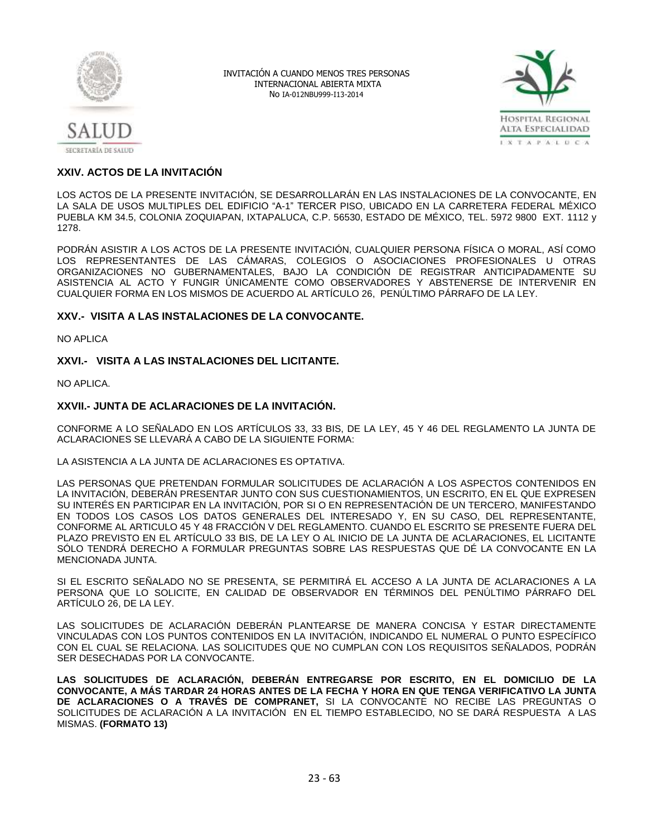



# **XXIV. ACTOS DE LA INVITACIÓN**

LOS ACTOS DE LA PRESENTE INVITACIÓN, SE DESARROLLARÁN EN LAS INSTALACIONES DE LA CONVOCANTE, EN LA SALA DE USOS MULTIPLES DEL EDIFICIO "A-1" TERCER PISO, UBICADO EN LA CARRETERA FEDERAL MÉXICO PUEBLA KM 34.5, COLONIA ZOQUIAPAN, IXTAPALUCA, C.P. 56530, ESTADO DE MÉXICO, TEL. 5972 9800 EXT. 1112 y 1278.

PODRÁN ASISTIR A LOS ACTOS DE LA PRESENTE INVITACIÓN, CUALQUIER PERSONA FÍSICA O MORAL, ASÍ COMO LOS REPRESENTANTES DE LAS CÁMARAS, COLEGIOS O ASOCIACIONES PROFESIONALES U OTRAS ORGANIZACIONES NO GUBERNAMENTALES, BAJO LA CONDICIÓN DE REGISTRAR ANTICIPADAMENTE SU ASISTENCIA AL ACTO Y FUNGIR ÚNICAMENTE COMO OBSERVADORES Y ABSTENERSE DE INTERVENIR EN CUALQUIER FORMA EN LOS MISMOS DE ACUERDO AL ARTÍCULO 26, PENÚLTIMO PÁRRAFO DE LA LEY.

# **XXV.- VISITA A LAS INSTALACIONES DE LA CONVOCANTE.**

NO APLICA

# **XXVI.- VISITA A LAS INSTALACIONES DEL LICITANTE.**

NO APLICA.

# **XXVII.- JUNTA DE ACLARACIONES DE LA INVITACIÓN.**

CONFORME A LO SEÑALADO EN LOS ARTÍCULOS 33, 33 BIS, DE LA LEY, 45 Y 46 DEL REGLAMENTO LA JUNTA DE ACLARACIONES SE LLEVARÁ A CABO DE LA SIGUIENTE FORMA:

LA ASISTENCIA A LA JUNTA DE ACLARACIONES ES OPTATIVA.

LAS PERSONAS QUE PRETENDAN FORMULAR SOLICITUDES DE ACLARACIÓN A LOS ASPECTOS CONTENIDOS EN LA INVITACIÓN, DEBERÁN PRESENTAR JUNTO CON SUS CUESTIONAMIENTOS, UN ESCRITO, EN EL QUE EXPRESEN SU INTERÉS EN PARTICIPAR EN LA INVITACIÓN, POR SI O EN REPRESENTACIÓN DE UN TERCERO, MANIFESTANDO EN TODOS LOS CASOS LOS DATOS GENERALES DEL INTERESADO Y, EN SU CASO, DEL REPRESENTANTE, CONFORME AL ARTICULO 45 Y 48 FRACCIÓN V DEL REGLAMENTO. CUANDO EL ESCRITO SE PRESENTE FUERA DEL PLAZO PREVISTO EN EL ARTÍCULO 33 BIS, DE LA LEY O AL INICIO DE LA JUNTA DE ACLARACIONES, EL LICITANTE SÓLO TENDRÁ DERECHO A FORMULAR PREGUNTAS SOBRE LAS RESPUESTAS QUE DÉ LA CONVOCANTE EN LA MENCIONADA JUNTA.

SI EL ESCRITO SEÑALADO NO SE PRESENTA, SE PERMITIRÁ EL ACCESO A LA JUNTA DE ACLARACIONES A LA PERSONA QUE LO SOLICITE, EN CALIDAD DE OBSERVADOR EN TÉRMINOS DEL PENÚLTIMO PÁRRAFO DEL ARTÍCULO 26, DE LA LEY.

LAS SOLICITUDES DE ACLARACIÓN DEBERÁN PLANTEARSE DE MANERA CONCISA Y ESTAR DIRECTAMENTE VINCULADAS CON LOS PUNTOS CONTENIDOS EN LA INVITACIÓN, INDICANDO EL NUMERAL O PUNTO ESPECÍFICO CON EL CUAL SE RELACIONA. LAS SOLICITUDES QUE NO CUMPLAN CON LOS REQUISITOS SEÑALADOS, PODRÁN SER DESECHADAS POR LA CONVOCANTE.

**LAS SOLICITUDES DE ACLARACIÓN, DEBERÁN ENTREGARSE POR ESCRITO, EN EL DOMICILIO DE LA CONVOCANTE, A MÁS TARDAR 24 HORAS ANTES DE LA FECHA Y HORA EN QUE TENGA VERIFICATIVO LA JUNTA DE ACLARACIONES O A TRAVÉS DE COMPRANET,** SI LA CONVOCANTE NO RECIBE LAS PREGUNTAS O SOLICITUDES DE ACLARACIÓN A LA INVITACIÓN EN EL TIEMPO ESTABLECIDO, NO SE DARÁ RESPUESTA A LAS MISMAS. **(FORMATO 13)**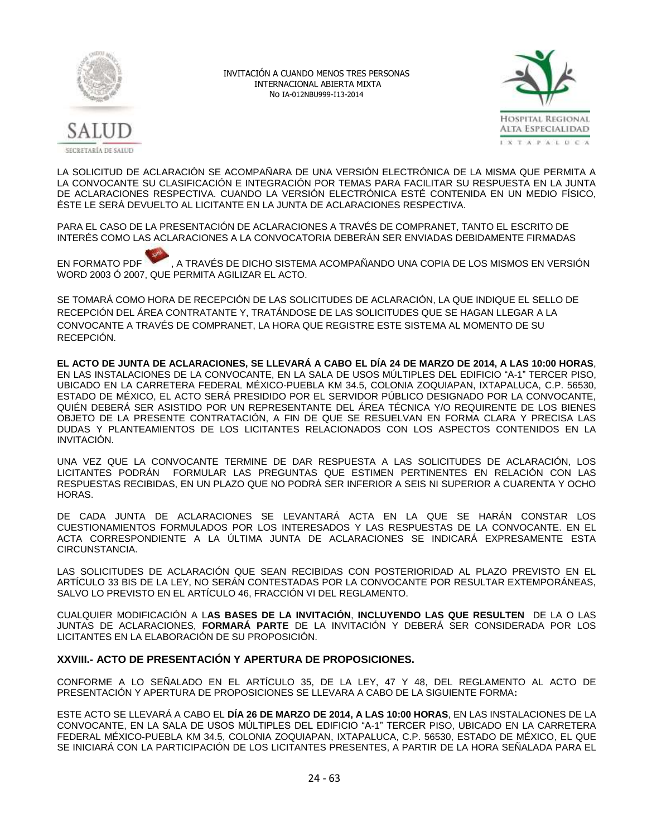



LA SOLICITUD DE ACLARACIÓN SE ACOMPAÑARA DE UNA VERSIÓN ELECTRÓNICA DE LA MISMA QUE PERMITA A LA CONVOCANTE SU CLASIFICACIÓN E INTEGRACIÓN POR TEMAS PARA FACILITAR SU RESPUESTA EN LA JUNTA DE ACLARACIONES RESPECTIVA. CUANDO LA VERSIÓN ELECTRÓNICA ESTÉ CONTENIDA EN UN MEDIO FÍSICO, ÉSTE LE SERÁ DEVUELTO AL LICITANTE EN LA JUNTA DE ACLARACIONES RESPECTIVA.

PARA EL CASO DE LA PRESENTACIÓN DE ACLARACIONES A TRAVÉS DE COMPRANET, TANTO EL ESCRITO DE INTERÉS COMO LAS ACLARACIONES A LA CONVOCATORIA DEBERÁN SER ENVIADAS DEBIDAMENTE FIRMADAS

EN FORMATO PDF , A TRAVÉS DE DICHO SISTEMA ACOMPAÑANDO UNA COPIA DE LOS MISMOS EN VERSIÓN WORD 2003 Ó 2007, QUE PERMITA AGILIZAR EL ACTO.

SE TOMARÁ COMO HORA DE RECEPCIÓN DE LAS SOLICITUDES DE ACLARACIÓN, LA QUE INDIQUE EL SELLO DE RECEPCIÓN DEL ÁREA CONTRATANTE Y, TRATÁNDOSE DE LAS SOLICITUDES QUE SE HAGAN LLEGAR A LA CONVOCANTE A TRAVÉS DE COMPRANET, LA HORA QUE REGISTRE ESTE SISTEMA AL MOMENTO DE SU RECEPCIÓN.

**EL ACTO DE JUNTA DE ACLARACIONES, SE LLEVARÁ A CABO EL DÍA 24 DE MARZO DE 2014, A LAS 10:00 HORAS**, EN LAS INSTALACIONES DE LA CONVOCANTE, EN LA SALA DE USOS MÚLTIPLES DEL EDIFICIO "A-1" TERCER PISO, UBICADO EN LA CARRETERA FEDERAL MÉXICO-PUEBLA KM 34.5, COLONIA ZOQUIAPAN, IXTAPALUCA, C.P. 56530, ESTADO DE MÉXICO, EL ACTO SERÁ PRESIDIDO POR EL SERVIDOR PÚBLICO DESIGNADO POR LA CONVOCANTE, QUIÉN DEBERÁ SER ASISTIDO POR UN REPRESENTANTE DEL ÁREA TÉCNICA Y/O REQUIRENTE DE LOS BIENES OBJETO DE LA PRESENTE CONTRATACIÓN, A FIN DE QUE SE RESUELVAN EN FORMA CLARA Y PRECISA LAS DUDAS Y PLANTEAMIENTOS DE LOS LICITANTES RELACIONADOS CON LOS ASPECTOS CONTENIDOS EN LA INVITACIÓN.

UNA VEZ QUE LA CONVOCANTE TERMINE DE DAR RESPUESTA A LAS SOLICITUDES DE ACLARACIÓN, LOS LICITANTES PODRÁN FORMULAR LAS PREGUNTAS QUE ESTIMEN PERTINENTES EN RELACIÓN CON LAS RESPUESTAS RECIBIDAS, EN UN PLAZO QUE NO PODRÁ SER INFERIOR A SEIS NI SUPERIOR A CUARENTA Y OCHO HORAS.

DE CADA JUNTA DE ACLARACIONES SE LEVANTARÁ ACTA EN LA QUE SE HARÁN CONSTAR LOS CUESTIONAMIENTOS FORMULADOS POR LOS INTERESADOS Y LAS RESPUESTAS DE LA CONVOCANTE. EN EL ACTA CORRESPONDIENTE A LA ÚLTIMA JUNTA DE ACLARACIONES SE INDICARÁ EXPRESAMENTE ESTA CIRCUNSTANCIA.

LAS SOLICITUDES DE ACLARACIÓN QUE SEAN RECIBIDAS CON POSTERIORIDAD AL PLAZO PREVISTO EN EL ARTÍCULO 33 BIS DE LA LEY, NO SERÁN CONTESTADAS POR LA CONVOCANTE POR RESULTAR EXTEMPORÁNEAS, SALVO LO PREVISTO EN EL ARTÍCULO 46, FRACCIÓN VI DEL REGLAMENTO.

CUALQUIER MODIFICACIÓN A L**AS BASES DE LA INVITACIÓN**, **INCLUYENDO LAS QUE RESULTEN** DE LA O LAS JUNTAS DE ACLARACIONES, **FORMARÁ PARTE** DE LA INVITACIÓN Y DEBERÁ SER CONSIDERADA POR LOS LICITANTES EN LA ELABORACIÓN DE SU PROPOSICIÓN.

# **XXVIII.- ACTO DE PRESENTACIÓN Y APERTURA DE PROPOSICIONES.**

CONFORME A LO SEÑALADO EN EL ARTÍCULO 35, DE LA LEY, 47 Y 48, DEL REGLAMENTO AL ACTO DE PRESENTACIÓN Y APERTURA DE PROPOSICIONES SE LLEVARA A CABO DE LA SIGUIENTE FORMA**:**

ESTE ACTO SE LLEVARÁ A CABO EL **DÍA 26 DE MARZO DE 2014, A LAS 10:00 HORAS**, EN LAS INSTALACIONES DE LA CONVOCANTE, EN LA SALA DE USOS MÚLTIPLES DEL EDIFICIO "A-1" TERCER PISO, UBICADO EN LA CARRETERA FEDERAL MÉXICO-PUEBLA KM 34.5, COLONIA ZOQUIAPAN, IXTAPALUCA, C.P. 56530, ESTADO DE MÉXICO, EL QUE SE INICIARÁ CON LA PARTICIPACIÓN DE LOS LICITANTES PRESENTES, A PARTIR DE LA HORA SEÑALADA PARA EL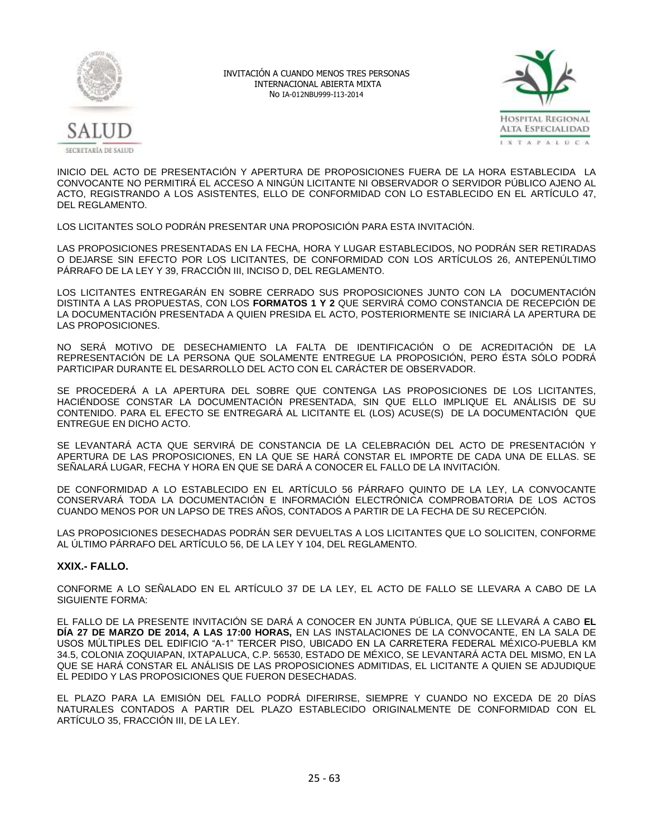



INICIO DEL ACTO DE PRESENTACIÓN Y APERTURA DE PROPOSICIONES FUERA DE LA HORA ESTABLECIDA LA CONVOCANTE NO PERMITIRÁ EL ACCESO A NINGÚN LICITANTE NI OBSERVADOR O SERVIDOR PÚBLICO AJENO AL ACTO, REGISTRANDO A LOS ASISTENTES, ELLO DE CONFORMIDAD CON LO ESTABLECIDO EN EL ARTÍCULO 47, DEL REGLAMENTO.

LOS LICITANTES SOLO PODRÁN PRESENTAR UNA PROPOSICIÓN PARA ESTA INVITACIÓN.

LAS PROPOSICIONES PRESENTADAS EN LA FECHA, HORA Y LUGAR ESTABLECIDOS, NO PODRÁN SER RETIRADAS O DEJARSE SIN EFECTO POR LOS LICITANTES, DE CONFORMIDAD CON LOS ARTÍCULOS 26, ANTEPENÚLTIMO PÁRRAFO DE LA LEY Y 39, FRACCIÓN III, INCISO D, DEL REGLAMENTO.

LOS LICITANTES ENTREGARÁN EN SOBRE CERRADO SUS PROPOSICIONES JUNTO CON LA DOCUMENTACIÓN DISTINTA A LAS PROPUESTAS, CON LOS **FORMATOS 1 Y 2** QUE SERVIRÁ COMO CONSTANCIA DE RECEPCIÓN DE LA DOCUMENTACIÓN PRESENTADA A QUIEN PRESIDA EL ACTO, POSTERIORMENTE SE INICIARÁ LA APERTURA DE LAS PROPOSICIONES.

NO SERÁ MOTIVO DE DESECHAMIENTO LA FALTA DE IDENTIFICACIÓN O DE ACREDITACIÓN DE LA REPRESENTACIÓN DE LA PERSONA QUE SOLAMENTE ENTREGUE LA PROPOSICIÓN, PERO ÉSTA SÓLO PODRÁ PARTICIPAR DURANTE EL DESARROLLO DEL ACTO CON EL CARÁCTER DE OBSERVADOR.

SE PROCEDERÁ A LA APERTURA DEL SOBRE QUE CONTENGA LAS PROPOSICIONES DE LOS LICITANTES, HACIÉNDOSE CONSTAR LA DOCUMENTACIÓN PRESENTADA, SIN QUE ELLO IMPLIQUE EL ANÁLISIS DE SU CONTENIDO. PARA EL EFECTO SE ENTREGARÁ AL LICITANTE EL (LOS) ACUSE(S) DE LA DOCUMENTACIÓN QUE ENTREGUE EN DICHO ACTO.

SE LEVANTARÁ ACTA QUE SERVIRÁ DE CONSTANCIA DE LA CELEBRACIÓN DEL ACTO DE PRESENTACIÓN Y APERTURA DE LAS PROPOSICIONES, EN LA QUE SE HARÁ CONSTAR EL IMPORTE DE CADA UNA DE ELLAS. SE SEÑALARÁ LUGAR, FECHA Y HORA EN QUE SE DARÁ A CONOCER EL FALLO DE LA INVITACIÓN.

DE CONFORMIDAD A LO ESTABLECIDO EN EL ARTÍCULO 56 PÁRRAFO QUINTO DE LA LEY, LA CONVOCANTE CONSERVARÁ TODA LA DOCUMENTACIÓN E INFORMACIÓN ELECTRÓNICA COMPROBATORIA DE LOS ACTOS CUANDO MENOS POR UN LAPSO DE TRES AÑOS, CONTADOS A PARTIR DE LA FECHA DE SU RECEPCIÓN.

LAS PROPOSICIONES DESECHADAS PODRÁN SER DEVUELTAS A LOS LICITANTES QUE LO SOLICITEN, CONFORME AL ÚLTIMO PÁRRAFO DEL ARTÍCULO 56, DE LA LEY Y 104, DEL REGLAMENTO.

# **XXIX.- FALLO.**

CONFORME A LO SEÑALADO EN EL ARTÍCULO 37 DE LA LEY, EL ACTO DE FALLO SE LLEVARA A CABO DE LA SIGUIENTE FORMA:

EL FALLO DE LA PRESENTE INVITACIÓN SE DARÁ A CONOCER EN JUNTA PÚBLICA, QUE SE LLEVARÁ A CABO **EL DÍA 27 DE MARZO DE 2014, A LAS 17:00 HORAS,** EN LAS INSTALACIONES DE LA CONVOCANTE, EN LA SALA DE USOS MÚLTIPLES DEL EDIFICIO "A-1" TERCER PISO, UBICADO EN LA CARRETERA FEDERAL MÉXICO-PUEBLA KM 34.5, COLONIA ZOQUIAPAN, IXTAPALUCA, C.P. 56530, ESTADO DE MÉXICO, SE LEVANTARÁ ACTA DEL MISMO, EN LA QUE SE HARÁ CONSTAR EL ANÁLISIS DE LAS PROPOSICIONES ADMITIDAS, EL LICITANTE A QUIEN SE ADJUDIQUE EL PEDIDO Y LAS PROPOSICIONES QUE FUERON DESECHADAS.

EL PLAZO PARA LA EMISIÓN DEL FALLO PODRÁ DIFERIRSE, SIEMPRE Y CUANDO NO EXCEDA DE 20 DÍAS NATURALES CONTADOS A PARTIR DEL PLAZO ESTABLECIDO ORIGINALMENTE DE CONFORMIDAD CON EL ARTÍCULO 35, FRACCIÓN III, DE LA LEY.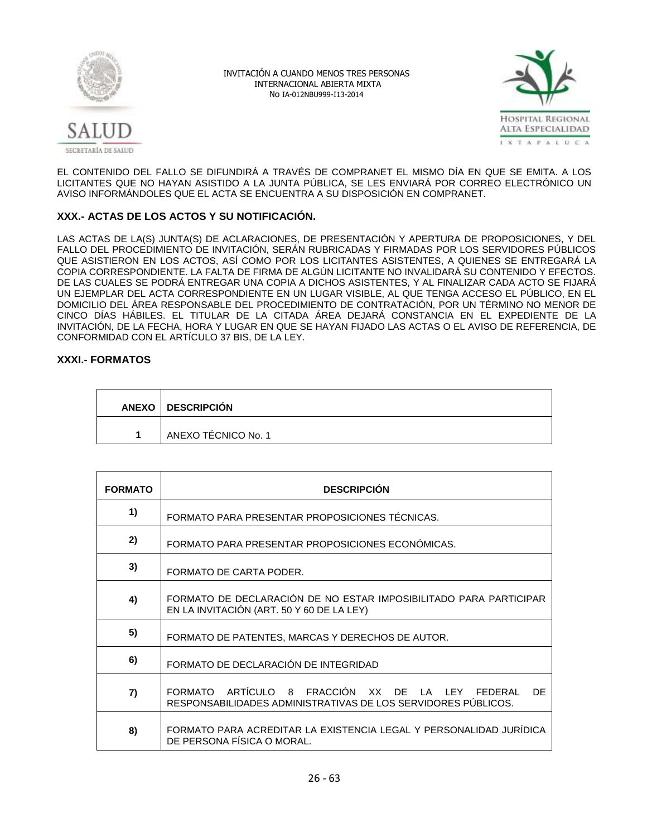



EL CONTENIDO DEL FALLO SE DIFUNDIRÁ A TRAVÉS DE COMPRANET EL MISMO DÍA EN QUE SE EMITA. A LOS LICITANTES QUE NO HAYAN ASISTIDO A LA JUNTA PÚBLICA, SE LES ENVIARÁ POR CORREO ELECTRÓNICO UN AVISO INFORMÁNDOLES QUE EL ACTA SE ENCUENTRA A SU DISPOSICIÓN EN COMPRANET.

# **XXX.- ACTAS DE LOS ACTOS Y SU NOTIFICACIÓN.**

LAS ACTAS DE LA(S) JUNTA(S) DE ACLARACIONES, DE PRESENTACIÓN Y APERTURA DE PROPOSICIONES, Y DEL FALLO DEL PROCEDIMIENTO DE INVITACIÓN, SERÁN RUBRICADAS Y FIRMADAS POR LOS SERVIDORES PÚBLICOS QUE ASISTIERON EN LOS ACTOS, ASÍ COMO POR LOS LICITANTES ASISTENTES, A QUIENES SE ENTREGARÁ LA COPIA CORRESPONDIENTE. LA FALTA DE FIRMA DE ALGÚN LICITANTE NO INVALIDARÁ SU CONTENIDO Y EFECTOS. DE LAS CUALES SE PODRÁ ENTREGAR UNA COPIA A DICHOS ASISTENTES, Y AL FINALIZAR CADA ACTO SE FIJARÁ UN EJEMPLAR DEL ACTA CORRESPONDIENTE EN UN LUGAR VISIBLE, AL QUE TENGA ACCESO EL PÚBLICO, EN EL DOMICILIO DEL ÁREA RESPONSABLE DEL PROCEDIMIENTO DE CONTRATACIÓN, POR UN TÉRMINO NO MENOR DE CINCO DÍAS HÁBILES. EL TITULAR DE LA CITADA ÁREA DEJARÁ CONSTANCIA EN EL EXPEDIENTE DE LA INVITACIÓN, DE LA FECHA, HORA Y LUGAR EN QUE SE HAYAN FIJADO LAS ACTAS O EL AVISO DE REFERENCIA, DE CONFORMIDAD CON EL ARTÍCULO 37 BIS, DE LA LEY.

# **XXXI.- FORMATOS**

| ANEXO DESCRIPCIÓN   |
|---------------------|
| ANEXO TÉCNICO No. 1 |

| <b>FORMATO</b> | <b>DESCRIPCIÓN</b>                                                                                                      |
|----------------|-------------------------------------------------------------------------------------------------------------------------|
| 1)             | FORMATO PARA PRESENTAR PROPOSICIONES TÉCNICAS.                                                                          |
| 2)             | FORMATO PARA PRESENTAR PROPOSICIONES ECONÓMICAS.                                                                        |
| 3)             | FORMATO DE CARTA PODER.                                                                                                 |
| 4)             | FORMATO DE DECLARACIÓN DE NO ESTAR IMPOSIBILITADO PARA PARTICIPAR<br>EN LA INVITACIÓN (ART. 50 Y 60 DE LA LEY)          |
| 5)             | FORMATO DE PATENTES, MARCAS Y DERECHOS DE AUTOR.                                                                        |
| 6)             | FORMATO DE DECLARACIÓN DE INTEGRIDAD                                                                                    |
| 7)             | FORMATO ARTÍCULO 8 FRACCIÓN XX DE LA LEY FEDERAL<br>DF<br>RESPONSABILIDADES ADMINISTRATIVAS DE LOS SERVIDORES PÚBLICOS. |
| 8)             | FORMATO PARA ACREDITAR LA EXISTENCIA LEGAL Y PERSONALIDAD JURÍDICA<br>DE PERSONA FÍSICA O MORAL.                        |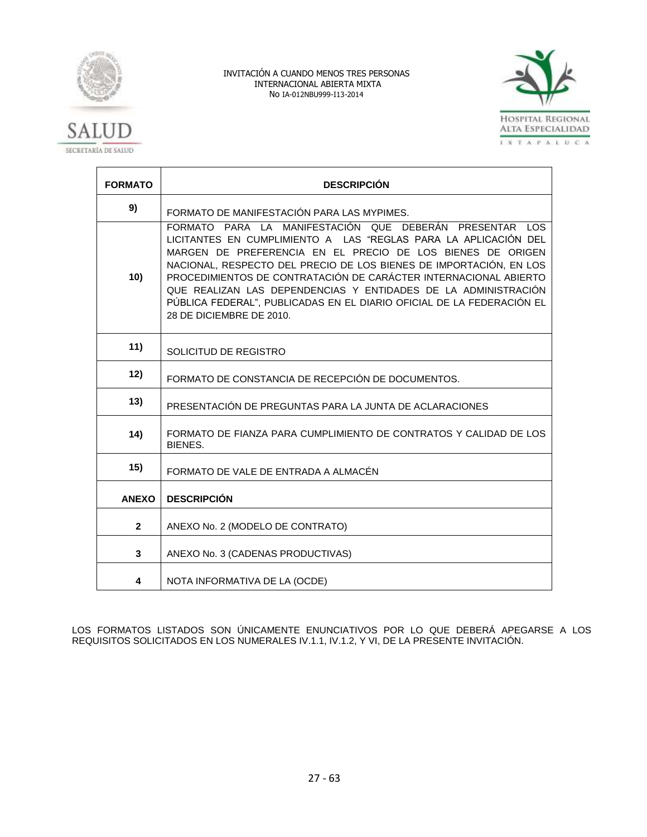



| <b>FORMATO</b> | <b>DESCRIPCIÓN</b>                                                                                                                                                                                                                                                                                                                                                                                                                                                                                                            |
|----------------|-------------------------------------------------------------------------------------------------------------------------------------------------------------------------------------------------------------------------------------------------------------------------------------------------------------------------------------------------------------------------------------------------------------------------------------------------------------------------------------------------------------------------------|
| 9)             | FORMATO DE MANIFESTACIÓN PARA LAS MYPIMES.                                                                                                                                                                                                                                                                                                                                                                                                                                                                                    |
| 10)            | FORMATO PARA LA MANIFESTACIÓN QUE DEBERÁN<br><b>PRESENTAR</b><br><b>LOS</b><br>LICITANTES EN CUMPLIMIENTO A LAS "REGLAS PARA LA APLICACIÓN DEL<br>MARGEN DE PREFERENCIA EN EL PRECIO DE LOS BIENES DE ORIGEN<br>NACIONAL, RESPECTO DEL PRECIO DE LOS BIENES DE IMPORTACIÓN, EN LOS<br>PROCEDIMIENTOS DE CONTRATACIÓN DE CARÁCTER INTERNACIONAL ABIERTO<br>QUE REALIZAN LAS DEPENDENCIAS Y ENTIDADES DE LA ADMINISTRACIÓN<br>PÚBLICA FEDERAL", PUBLICADAS EN EL DIARIO OFICIAL DE LA FEDERACIÓN EL<br>28 DE DICIEMBRE DE 2010. |
| 11)            | SOLICITUD DE REGISTRO                                                                                                                                                                                                                                                                                                                                                                                                                                                                                                         |
| 12)            | FORMATO DE CONSTANCIA DE RECEPCIÓN DE DOCUMENTOS.                                                                                                                                                                                                                                                                                                                                                                                                                                                                             |
| 13)            | PRESENTACIÓN DE PREGUNTAS PARA LA JUNTA DE ACLARACIONES                                                                                                                                                                                                                                                                                                                                                                                                                                                                       |
| 14)            | FORMATO DE FIANZA PARA CUMPLIMIENTO DE CONTRATOS Y CALIDAD DE LOS<br>BIENES.                                                                                                                                                                                                                                                                                                                                                                                                                                                  |
| 15)            | FORMATO DE VALE DE ENTRADA A ALMACÉN                                                                                                                                                                                                                                                                                                                                                                                                                                                                                          |
| <b>ANEXO</b>   | <b>DESCRIPCIÓN</b>                                                                                                                                                                                                                                                                                                                                                                                                                                                                                                            |
| $\overline{2}$ | ANEXO No. 2 (MODELO DE CONTRATO)                                                                                                                                                                                                                                                                                                                                                                                                                                                                                              |
| 3              | ANEXO No. 3 (CADENAS PRODUCTIVAS)                                                                                                                                                                                                                                                                                                                                                                                                                                                                                             |
| 4              | NOTA INFORMATIVA DE LA (OCDE)                                                                                                                                                                                                                                                                                                                                                                                                                                                                                                 |

LOS FORMATOS LISTADOS SON ÚNICAMENTE ENUNCIATIVOS POR LO QUE DEBERÁ APEGARSE A LOS REQUISITOS SOLICITADOS EN LOS NUMERALES IV.1.1, IV.1.2, Y VI, DE LA PRESENTE INVITACIÓN.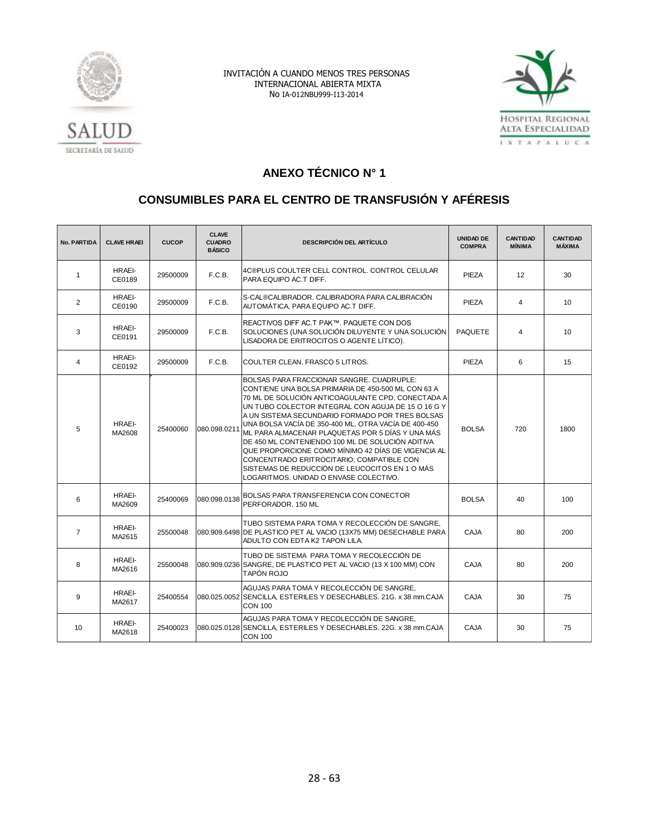



# SECRETARÍA DE SALUD

# **ANEXO TÉCNICO N° 1**

# **CONSUMIBLES PARA EL CENTRO DE TRANSFUSIÓN Y AFÉRESIS**

| <b>No. PARTIDA</b> | <b>CLAVE HRAEI</b>      | <b>CUCOP</b> | <b>CLAVE</b><br><b>CUADRO</b><br><b>BÁSICO</b> | <b>DESCRIPCIÓN DEL ARTÍCULO</b>                                                                                                                                                                                                                                                                                                                                                                                                                                                                                                                                                                                              | <b>UNIDAD DE</b><br><b>COMPRA</b> | <b>CANTIDAD</b><br><b>MÍNIMA</b> | <b>CANTIDAD</b><br><b>MÁXIMA</b> |
|--------------------|-------------------------|--------------|------------------------------------------------|------------------------------------------------------------------------------------------------------------------------------------------------------------------------------------------------------------------------------------------------------------------------------------------------------------------------------------------------------------------------------------------------------------------------------------------------------------------------------------------------------------------------------------------------------------------------------------------------------------------------------|-----------------------------------|----------------------------------|----------------------------------|
| $\mathbf{1}$       | <b>HRAEI-</b><br>CE0189 | 29500009     | F.C.B.                                         | 4C®PLUS COULTER CELL CONTROL, CONTROL CELULAR<br>PARA EQUIPO AC.T DIFF.                                                                                                                                                                                                                                                                                                                                                                                                                                                                                                                                                      | PIEZA                             | $12 \overline{ }$                | 30                               |
| $\overline{2}$     | <b>HRAEI-</b><br>CE0190 | 29500009     | F.C.B.                                         | S-CAL®CALIBRADOR. CALIBRADORA PARA CALIBRACIÓN<br>AUTOMÁTICA. PARA EQUIPO AC.T DIFF.                                                                                                                                                                                                                                                                                                                                                                                                                                                                                                                                         | <b>PIEZA</b>                      | $\overline{4}$                   | 10                               |
| 3                  | <b>HRAEI-</b><br>CE0191 | 29500009     | F.C.B.                                         | REACTIVOS DIFF AC.T PAK™. PAQUETE CON DOS<br>SOLUCIONES (UNA SOLUCIÓN DILUYENTE Y UNA SOLUCIÓN<br>LISADORA DE ERITROCITOS O AGENTE LÍTICO).                                                                                                                                                                                                                                                                                                                                                                                                                                                                                  | <b>PAQUETE</b>                    | $\overline{4}$                   | 10                               |
| $\overline{4}$     | HRAEI-<br>CE0192        | 29500009     | F.C.B.                                         | COULTER CLEAN. FRASCO 5 LITROS.                                                                                                                                                                                                                                                                                                                                                                                                                                                                                                                                                                                              | <b>PIEZA</b>                      | 6                                | 15                               |
| 5                  | <b>HRAEI-</b><br>MA2608 | 25400060     | 080.098.0211                                   | BOLSAS PARA FRACCIONAR SANGRE, CUADRUPLE:<br>CONTIENE UNA BOLSA PRIMARIA DE 450-500 ML CON 63 A<br>70 ML DE SOLUCIÓN ANTICOAGULANTE CPD, CONECTADA A<br>UN TUBO COLECTOR INTEGRAL CON AGUJA DE 15 O 16 G Y<br>A UN SISTEMA SECUNDARIO FORMADO POR TRES BOLSAS<br>UNA BOLSA VACÍA DE 350-400 ML, OTRA VACÍA DE 400-450<br>ML PARA ALMACENAR PLAQUETAS POR 5 DÍAS Y UNA MÁS<br>DE 450 ML CONTENIENDO 100 ML DE SOLUCIÓN ADITIVA<br>QUE PROPORCIONE COMO MÍNIMO 42 DÍAS DE VIGENCIA AL<br>CONCENTRADO ERITROCITARIO; COMPATIBLE CON<br>SISTEMAS DE REDUCCIÓN DE LEUCOCITOS EN 1 O MÁS<br>LOGARITMOS. UNIDAD O ENVASE COLECTIVO. | <b>BOLSA</b>                      | 720                              | 1800                             |
| 6                  | <b>HRAEI-</b><br>MA2609 | 25400069     | 080.098.0138                                   | <b>BOLSAS PARA TRANSFERENCIA CON CONECTOR</b><br>PERFORADOR, 150 ML                                                                                                                                                                                                                                                                                                                                                                                                                                                                                                                                                          | <b>BOLSA</b>                      | 40                               | 100                              |
| $\overline{7}$     | HRAEI-<br>MA2615        | 25500048     |                                                | TUBO SISTEMA PARA TOMA Y RECOLECCIÓN DE SANGRE.<br>080.909.6498 DE PLASTICO PET AL VACIO (13X75 MM) DESECHABLE PARA<br>ADULTO CON EDTA K2 TAPON LILA.                                                                                                                                                                                                                                                                                                                                                                                                                                                                        | <b>CAJA</b>                       | 80                               | 200                              |
| 8                  | HRAEI-<br>MA2616        | 25500048     |                                                | TUBO DE SISTEMA PARA TOMA Y RECOLECCIÓN DE<br>080.909.0236 SANGRE, DE PLASTICO PET AL VACIO (13 X 100 MM) CON<br>TAPÓN ROJO                                                                                                                                                                                                                                                                                                                                                                                                                                                                                                  | <b>CAJA</b>                       | 80                               | 200                              |
| 9                  | <b>HRAEI-</b><br>MA2617 | 25400554     |                                                | AGUJAS PARA TOMA Y RECOLECCIÓN DE SANGRE,<br>080.025.0052 SENCILLA, ESTERILES Y DESECHABLES. 21G. x 38 mm.CAJA<br><b>CON 100</b>                                                                                                                                                                                                                                                                                                                                                                                                                                                                                             | <b>CAJA</b>                       | 30                               | 75                               |
| 10                 | <b>HRAEI-</b><br>MA2618 | 25400023     |                                                | AGUJAS PARA TOMA Y RECOLECCIÓN DE SANGRE.<br>080.025.0128 SENCILLA, ESTERILES Y DESECHABLES, 22G, x 38 mm, CAJA<br><b>CON 100</b>                                                                                                                                                                                                                                                                                                                                                                                                                                                                                            | CAJA                              | 30                               | 75                               |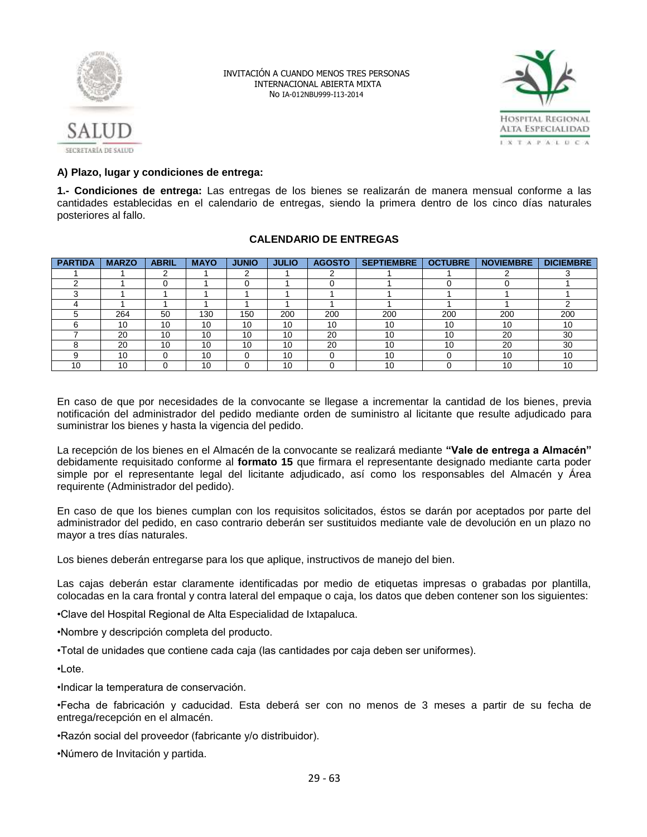



# **A) Plazo, lugar y condiciones de entrega:**

**1.- Condiciones de entrega:** Las entregas de los bienes se realizarán de manera mensual conforme a las cantidades establecidas en el calendario de entregas, siendo la primera dentro de los cinco días naturales posteriores al fallo.

# **CALENDARIO DE ENTREGAS**

| <b>PARTIDA</b> | <b>MARZO</b> | <b>ABRIL</b> | <b>MAYO</b> | <b>JUNIO</b> | <b>JULIO</b> | <b>AGOSTO</b> | <b>SEPTIEMBRE</b> | <b>OCTUBRE</b> | <b>NOVIEMBRE</b> | <b>DICIEMBRE</b> |
|----------------|--------------|--------------|-------------|--------------|--------------|---------------|-------------------|----------------|------------------|------------------|
|                |              | ີ            |             | ົ            |              |               |                   |                |                  |                  |
|                |              |              |             |              |              |               |                   |                |                  |                  |
|                |              |              |             |              |              |               |                   |                |                  |                  |
|                |              |              |             |              |              |               |                   |                |                  |                  |
|                | 264          | 50           | 130         | 150          | 200          | 200           | 200               | 200            | 200              | 200              |
|                | 10           | 10           | 10          | 10           | 10           | 10            | 10                | 10             | 10               | 10               |
|                | 20           | 10           | 10          | 10           | 10           | 20            | 10                | 10             | 20               | 30               |
|                | 20           | 10           | 10          | 10           | 10           | 20            | 10                | 10             | 20               | 30               |
|                | 10           |              | 10          |              | 10           |               | 10                |                | 10               | 10               |
| 10             | 10           |              | 10          |              | 10           |               | 10                |                | 10               | 10               |

En caso de que por necesidades de la convocante se llegase a incrementar la cantidad de los bienes, previa notificación del administrador del pedido mediante orden de suministro al licitante que resulte adjudicado para suministrar los bienes y hasta la vigencia del pedido.

La recepción de los bienes en el Almacén de la convocante se realizará mediante **"Vale de entrega a Almacén"** debidamente requisitado conforme al **formato 15** que firmara el representante designado mediante carta poder simple por el representante legal del licitante adjudicado, así como los responsables del Almacén y Área requirente (Administrador del pedido).

En caso de que los bienes cumplan con los requisitos solicitados, éstos se darán por aceptados por parte del administrador del pedido, en caso contrario deberán ser sustituidos mediante vale de devolución en un plazo no mayor a tres días naturales.

Los bienes deberán entregarse para los que aplique, instructivos de manejo del bien.

Las cajas deberán estar claramente identificadas por medio de etiquetas impresas o grabadas por plantilla, colocadas en la cara frontal y contra lateral del empaque o caja, los datos que deben contener son los siguientes:

•Clave del Hospital Regional de Alta Especialidad de Ixtapaluca.

•Nombre y descripción completa del producto.

•Total de unidades que contiene cada caja (las cantidades por caja deben ser uniformes).

•Lote.

•Indicar la temperatura de conservación.

•Fecha de fabricación y caducidad. Esta deberá ser con no menos de 3 meses a partir de su fecha de entrega/recepción en el almacén.

•Razón social del proveedor (fabricante y/o distribuidor).

•Número de Invitación y partida.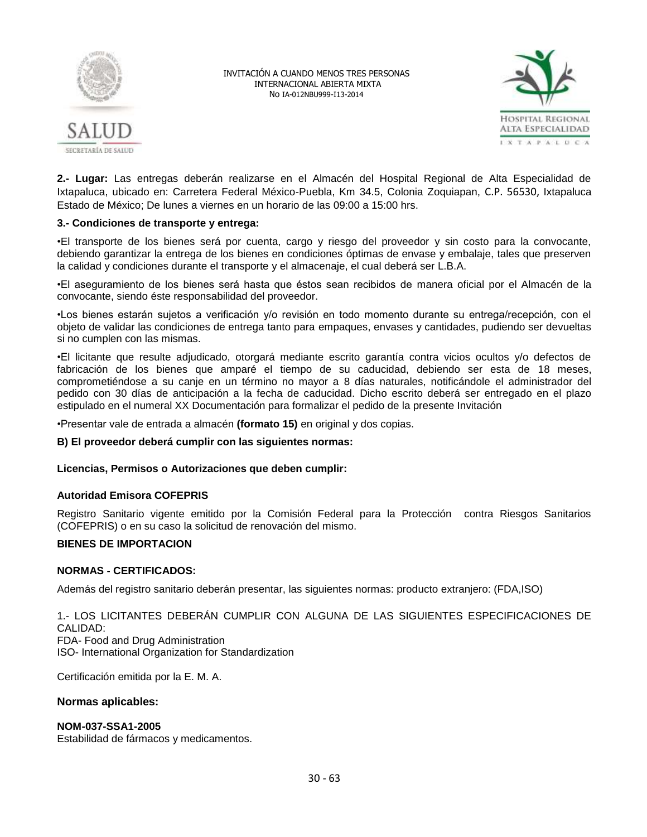



**2.- Lugar:** Las entregas deberán realizarse en el Almacén del Hospital Regional de Alta Especialidad de Ixtapaluca, ubicado en: Carretera Federal México-Puebla, Km 34.5, Colonia Zoquiapan, C.P. 56530, Ixtapaluca Estado de México; De lunes a viernes en un horario de las 09:00 a 15:00 hrs.

# **3.- Condiciones de transporte y entrega:**

•El transporte de los bienes será por cuenta, cargo y riesgo del proveedor y sin costo para la convocante, debiendo garantizar la entrega de los bienes en condiciones óptimas de envase y embalaje, tales que preserven la calidad y condiciones durante el transporte y el almacenaje, el cual deberá ser L.B.A.

•El aseguramiento de los bienes será hasta que éstos sean recibidos de manera oficial por el Almacén de la convocante, siendo éste responsabilidad del proveedor.

•Los bienes estarán sujetos a verificación y/o revisión en todo momento durante su entrega/recepción, con el objeto de validar las condiciones de entrega tanto para empaques, envases y cantidades, pudiendo ser devueltas si no cumplen con las mismas.

•El licitante que resulte adjudicado, otorgará mediante escrito garantía contra vicios ocultos y/o defectos de fabricación de los bienes que amparé el tiempo de su caducidad, debiendo ser esta de 18 meses, comprometiéndose a su canje en un término no mayor a 8 días naturales, notificándole el administrador del pedido con 30 días de anticipación a la fecha de caducidad. Dicho escrito deberá ser entregado en el plazo estipulado en el numeral XX Documentación para formalizar el pedido de la presente Invitación

•Presentar vale de entrada a almacén **(formato 15)** en original y dos copias.

**B) El proveedor deberá cumplir con las siguientes normas:**

# **Licencias, Permisos o Autorizaciones que deben cumplir:**

# **Autoridad Emisora COFEPRIS**

Registro Sanitario vigente emitido por la Comisión Federal para la Protección contra Riesgos Sanitarios (COFEPRIS) o en su caso la solicitud de renovación del mismo.

# **BIENES DE IMPORTACION**

# **NORMAS - CERTIFICADOS:**

Además del registro sanitario deberán presentar, las siguientes normas: producto extranjero: (FDA,ISO)

1.- LOS LICITANTES DEBERÁN CUMPLIR CON ALGUNA DE LAS SIGUIENTES ESPECIFICACIONES DE CALIDAD: FDA- Food and Drug Administration ISO- International Organization for Standardization

Certificación emitida por la E. M. A.

# **Normas aplicables:**

# **NOM-037-SSA1-2005**

Estabilidad de fármacos y medicamentos.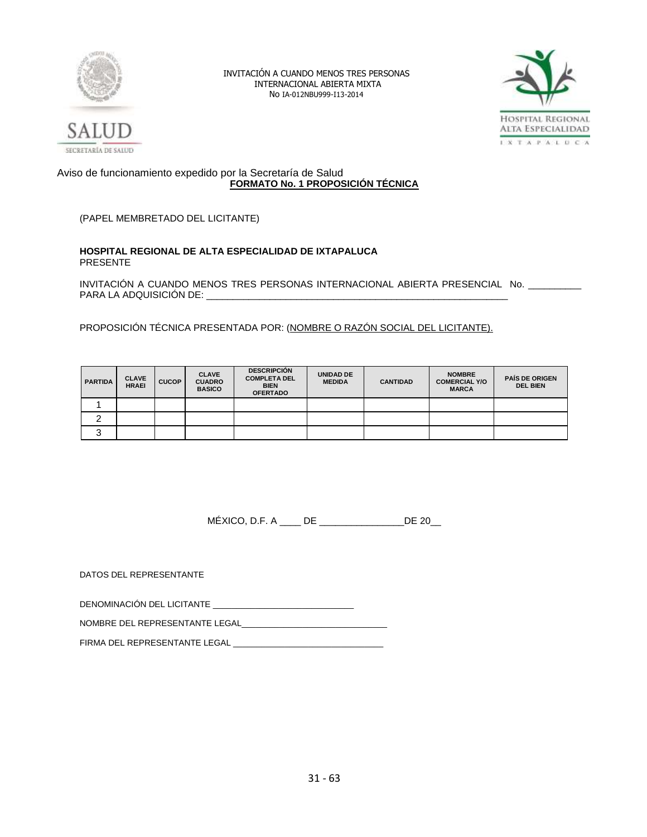



# Aviso de funcionamiento expedido por la Secretaría de Salud **FORMATO No. 1 PROPOSICIÓN TÉCNICA**

(PAPEL MEMBRETADO DEL LICITANTE)

## **HOSPITAL REGIONAL DE ALTA ESPECIALIDAD DE IXTAPALUCA** PRESENTE

INVITACIÓN A CUANDO MENOS TRES PERSONAS INTERNACIONAL ABIERTA PRESENCIAL No. \_\_\_\_\_\_\_\_\_\_ PARA LA ADQUISICIÓN DE:

PROPOSICIÓN TÉCNICA PRESENTADA POR: (NOMBRE O RAZÓN SOCIAL DEL LICITANTE).

| <b>PARTIDA</b> | <b>CLAVE</b><br><b>HRAEI</b> | <b>CUCOP</b> | <b>CLAVE</b><br><b>CUADRO</b><br><b>BASICO</b> | <b>DESCRIPCIÓN</b><br><b>COMPLETA DEL</b><br><b>BIEN</b><br><b>OFERTADO</b> | <b>UNIDAD DE</b><br><b>MEDIDA</b> | <b>CANTIDAD</b> | <b>NOMBRE</b><br><b>COMERCIAL Y/O</b><br><b>MARCA</b> | <b>PAIS DE ORIGEN</b><br><b>DEL BIEN</b> |
|----------------|------------------------------|--------------|------------------------------------------------|-----------------------------------------------------------------------------|-----------------------------------|-----------------|-------------------------------------------------------|------------------------------------------|
|                |                              |              |                                                |                                                                             |                                   |                 |                                                       |                                          |
|                |                              |              |                                                |                                                                             |                                   |                 |                                                       |                                          |
| ື              |                              |              |                                                |                                                                             |                                   |                 |                                                       |                                          |

MÉXICO, D.F. A \_\_\_\_ DE \_\_\_\_\_\_\_\_\_\_\_\_\_\_\_\_DE 20\_\_

DATOS DEL REPRESENTANTE

DENOMINACIÓN DEL LICITANTE \_\_\_\_\_\_\_\_\_\_\_\_\_\_\_\_\_\_\_\_\_\_\_\_\_\_\_\_\_\_

NOMBRE DEL REPRESENTANTE LEGAL\_\_\_\_\_\_\_\_\_\_\_\_\_\_\_\_\_\_\_\_\_\_\_\_\_\_\_\_\_\_\_

FIRMA DEL REPRESENTANTE LEGAL \_\_\_\_\_\_\_\_\_\_\_\_\_\_\_\_\_\_\_\_\_\_\_\_\_\_\_\_\_\_\_\_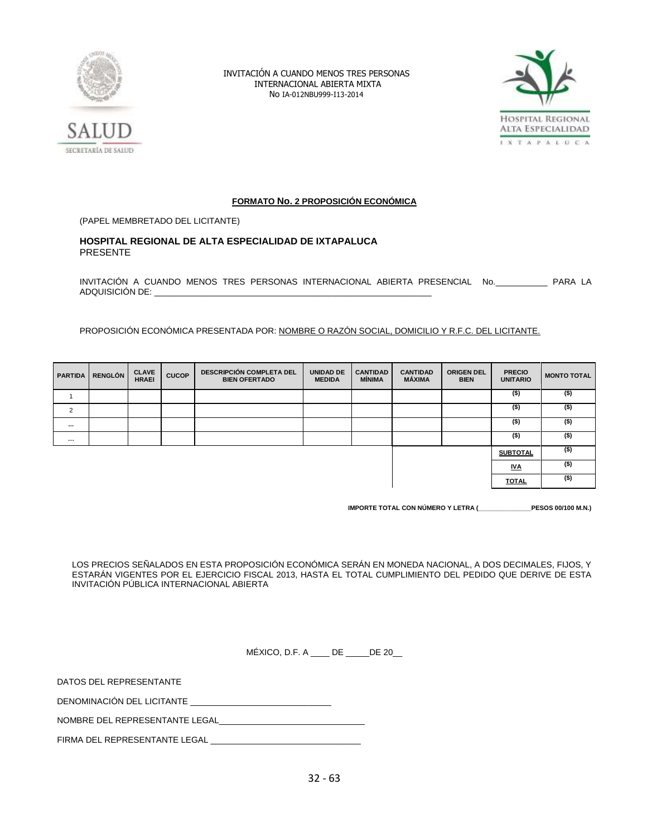



# **FORMATO No. 2 PROPOSICIÓN ECONÓMICA**

(PAPEL MEMBRETADO DEL LICITANTE)

# **HOSPITAL REGIONAL DE ALTA ESPECIALIDAD DE IXTAPALUCA** PRESENTE

INVITACIÓN A CUANDO MENOS TRES PERSONAS INTERNACIONAL ABIERTA PRESENCIAL No.\_\_\_\_\_\_\_\_\_\_\_ PARA LA ADQUISICIÓN DE:

PROPOSICIÓN ECONÓMICA PRESENTADA POR: NOMBRE O RAZÓN SOCIAL, DOMICILIO Y R.F.C. DEL LICITANTE.

| <b>PARTIDA</b> | <b>RENGLÓN</b> | <b>CLAVE</b><br><b>HRAEI</b> | <b>CUCOP</b> | <b>DESCRIPCIÓN COMPLETA DEL</b><br><b>BIEN OFERTADO</b> | <b>UNIDAD DE</b><br><b>MEDIDA</b> | <b>CANTIDAD</b><br><b>MÍNIMA</b> | <b>CANTIDAD</b><br>MÁXIMA | <b>ORIGEN DEL</b><br><b>BIEN</b> | <b>PRECIO</b><br><b>UNITARIO</b> | <b>MONTO TOTAL</b> |
|----------------|----------------|------------------------------|--------------|---------------------------------------------------------|-----------------------------------|----------------------------------|---------------------------|----------------------------------|----------------------------------|--------------------|
|                |                |                              |              |                                                         |                                   |                                  |                           |                                  | $($ \$)                          | $($ \$)            |
| $\overline{2}$ |                |                              |              |                                                         |                                   |                                  |                           |                                  | $($ \$)                          | $($ \$)            |
| $\cdots$       |                |                              |              |                                                         |                                   |                                  |                           |                                  | $($ \$)                          | $($ \$)            |
| $\cdots$       |                |                              |              |                                                         |                                   |                                  |                           |                                  | $($ \$)                          | $($ \$)            |
|                |                |                              |              |                                                         |                                   |                                  |                           |                                  | <b>SUBTOTAL</b>                  | $($ \$)            |
|                |                |                              |              |                                                         |                                   |                                  |                           |                                  | <u>IVA</u>                       | $($ \$)            |
|                |                |                              |              |                                                         |                                   |                                  |                           |                                  | <b>TOTAL</b>                     | $($ \$)            |

**IMPORTE TOTAL CON NÚMERO Y LETRA (\_\_\_\_\_\_\_\_\_\_\_\_\_\_\_PESOS 00/100 M.N.)**

LOS PRECIOS SEÑALADOS EN ESTA PROPOSICIÓN ECONÓMICA SERÁN EN MONEDA NACIONAL, A DOS DECIMALES, FIJOS, Y ESTARÁN VIGENTES POR EL EJERCICIO FISCAL 2013, HASTA EL TOTAL CUMPLIMIENTO DEL PEDIDO QUE DERIVE DE ESTA INVITACIÓN PÚBLICA INTERNACIONAL ABIERTA

MÉXICO, D.F. A \_\_\_\_ DE \_\_\_\_\_DE 20\_\_

DATOS DEL REPRESENTANTE

DENOMINACIÓN DEL LICITANTE

NOMBRE DEL REPRESENTANTE LEGAL

FIRMA DEL REPRESENTANTE LEGAL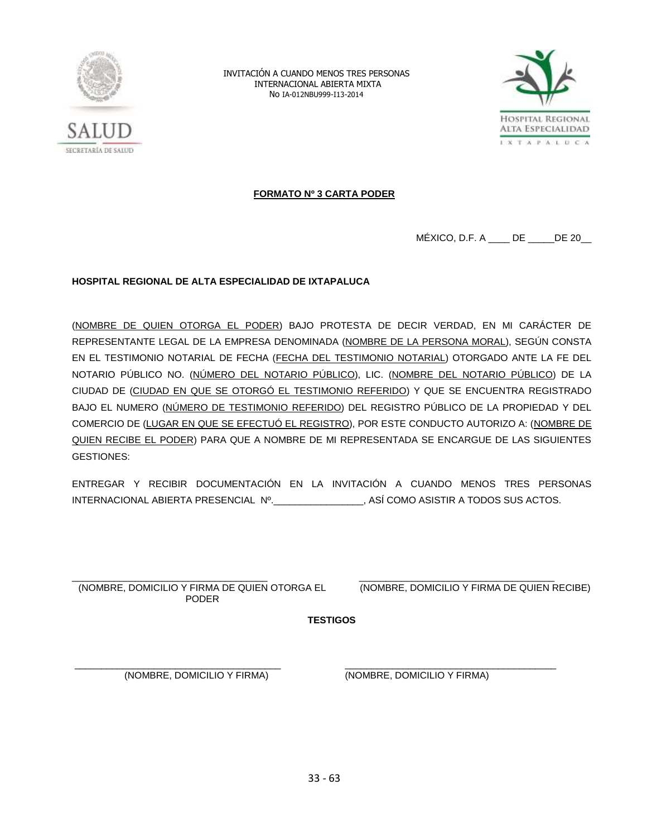



# **FORMATO Nº 3 CARTA PODER**

MÉXICO, D.F. A \_\_\_\_ DE \_\_\_\_\_DE 20\_\_

# **HOSPITAL REGIONAL DE ALTA ESPECIALIDAD DE IXTAPALUCA**

(NOMBRE DE QUIEN OTORGA EL PODER) BAJO PROTESTA DE DECIR VERDAD, EN MI CARÁCTER DE REPRESENTANTE LEGAL DE LA EMPRESA DENOMINADA (NOMBRE DE LA PERSONA MORAL), SEGÚN CONSTA EN EL TESTIMONIO NOTARIAL DE FECHA (FECHA DEL TESTIMONIO NOTARIAL) OTORGADO ANTE LA FE DEL NOTARIO PÚBLICO NO. (NÚMERO DEL NOTARIO PÚBLICO), LIC. (NOMBRE DEL NOTARIO PÚBLICO) DE LA CIUDAD DE (CIUDAD EN QUE SE OTORGÓ EL TESTIMONIO REFERIDO) Y QUE SE ENCUENTRA REGISTRADO BAJO EL NUMERO (NÚMERO DE TESTIMONIO REFERIDO) DEL REGISTRO PÚBLICO DE LA PROPIEDAD Y DEL COMERCIO DE (LUGAR EN QUE SE EFECTUÓ EL REGISTRO), POR ESTE CONDUCTO AUTORIZO A: (NOMBRE DE QUIEN RECIBE EL PODER) PARA QUE A NOMBRE DE MI REPRESENTADA SE ENCARGUE DE LAS SIGUIENTES GESTIONES:

ENTREGAR Y RECIBIR DOCUMENTACIÓN EN LA INVITACIÓN A CUANDO MENOS TRES PERSONAS INTERNACIONAL ABIERTA PRESENCIAL Nº.\_\_\_\_\_\_\_\_\_\_\_\_\_\_\_\_\_, ASÍ COMO ASISTIR A TODOS SUS ACTOS.

\_\_\_\_\_\_\_\_\_\_\_\_\_\_\_\_\_\_\_\_\_\_\_\_\_\_\_\_\_\_\_\_\_\_\_\_\_ (NOMBRE, DOMICILIO Y FIRMA DE QUIEN OTORGA EL PODER

\_\_\_\_\_\_\_\_\_\_\_\_\_\_\_\_\_\_\_\_\_\_\_\_\_\_\_\_\_\_\_\_\_\_\_\_\_ (NOMBRE, DOMICILIO Y FIRMA DE QUIEN RECIBE)

**TESTIGOS**

\_\_\_\_\_\_\_\_\_\_\_\_\_\_\_\_\_\_\_\_\_\_\_\_\_\_\_\_\_\_\_\_\_\_\_\_\_\_\_ (NOMBRE, DOMICILIO Y FIRMA)

\_\_\_\_\_\_\_\_\_\_\_\_\_\_\_\_\_\_\_\_\_\_\_\_\_\_\_\_\_\_\_\_\_\_\_\_\_\_\_\_ (NOMBRE, DOMICILIO Y FIRMA)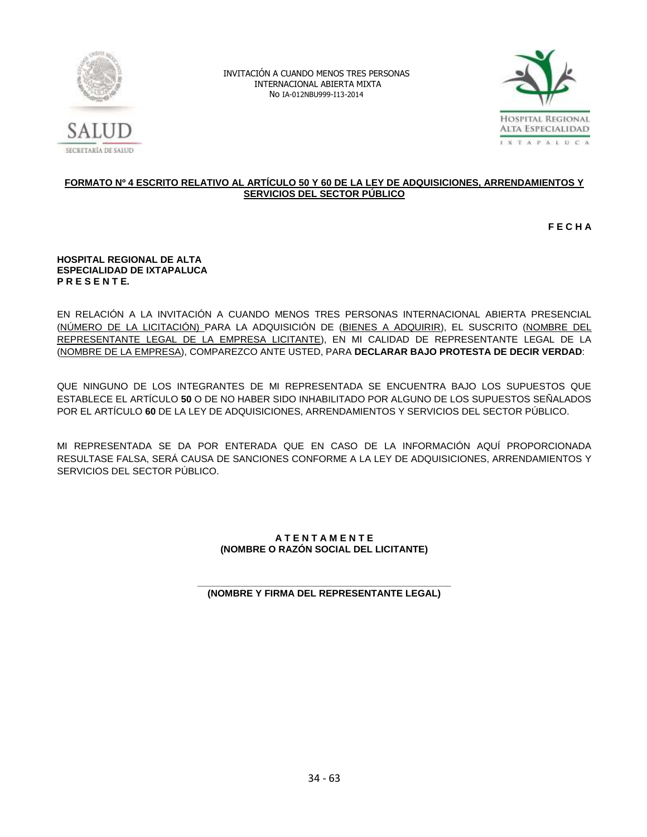



# **FORMATO Nº 4 ESCRITO RELATIVO AL ARTÍCULO 50 Y 60 DE LA LEY DE ADQUISICIONES, ARRENDAMIENTOS Y SERVICIOS DEL SECTOR PÚBLICO**

**F E C H A**

#### **HOSPITAL REGIONAL DE ALTA ESPECIALIDAD DE IXTAPALUCA P R E S E N T E.**

EN RELACIÓN A LA INVITACIÓN A CUANDO MENOS TRES PERSONAS INTERNACIONAL ABIERTA PRESENCIAL (NÚMERO DE LA LICITACIÓN) PARA LA ADQUISICIÓN DE (BIENES A ADQUIRIR), EL SUSCRITO (NOMBRE DEL REPRESENTANTE LEGAL DE LA EMPRESA LICITANTE), EN MI CALIDAD DE REPRESENTANTE LEGAL DE LA (NOMBRE DE LA EMPRESA), COMPAREZCO ANTE USTED, PARA **DECLARAR BAJO PROTESTA DE DECIR VERDAD**:

QUE NINGUNO DE LOS INTEGRANTES DE MI REPRESENTADA SE ENCUENTRA BAJO LOS SUPUESTOS QUE ESTABLECE EL ARTÍCULO **50** O DE NO HABER SIDO INHABILITADO POR ALGUNO DE LOS SUPUESTOS SEÑALADOS POR EL ARTÍCULO **60** DE LA LEY DE ADQUISICIONES, ARRENDAMIENTOS Y SERVICIOS DEL SECTOR PÚBLICO.

MI REPRESENTADA SE DA POR ENTERADA QUE EN CASO DE LA INFORMACIÓN AQUÍ PROPORCIONADA RESULTASE FALSA, SERÁ CAUSA DE SANCIONES CONFORME A LA LEY DE ADQUISICIONES, ARRENDAMIENTOS Y SERVICIOS DEL SECTOR PÚBLICO.

# **A T E N T A M E N T E (NOMBRE O RAZÓN SOCIAL DEL LICITANTE)**

#### **\_\_\_\_\_\_\_\_\_\_\_\_\_\_\_\_\_\_\_\_\_\_\_\_\_\_\_\_\_\_\_\_\_\_\_\_\_\_\_\_\_\_\_\_\_\_\_\_ (NOMBRE Y FIRMA DEL REPRESENTANTE LEGAL)**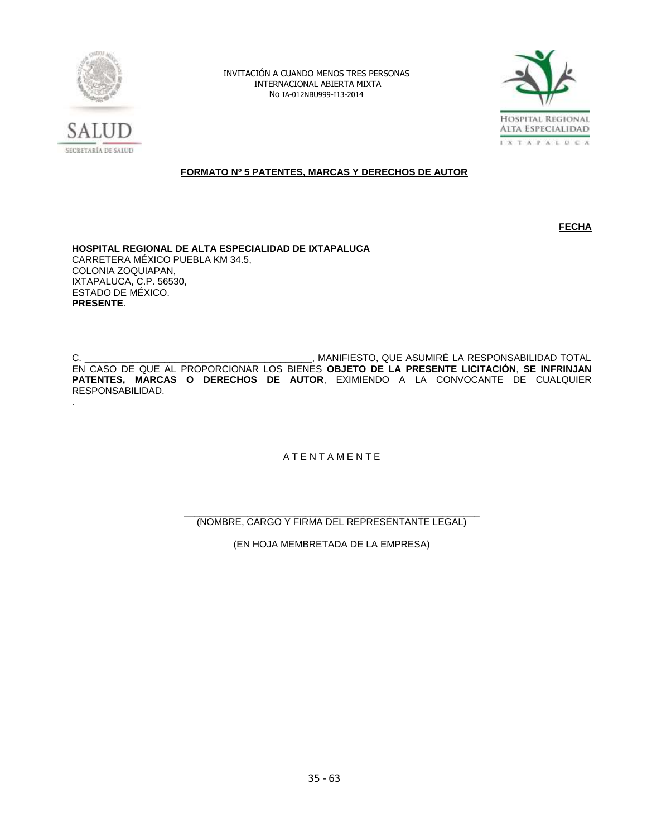

.

INVITACIÓN A CUANDO MENOS TRES PERSONAS INTERNACIONAL ABIERTA MIXTA No IA-012NBU999-I13-2014



# **FORMATO Nº 5 PATENTES, MARCAS Y DERECHOS DE AUTOR**

**FECHA** 

**HOSPITAL REGIONAL DE ALTA ESPECIALIDAD DE IXTAPALUCA** CARRETERA MÉXICO PUEBLA KM 34.5, COLONIA ZOQUIAPAN, IXTAPALUCA, C.P. 56530, ESTADO DE MÉXICO. **PRESENTE**.

C. \_\_\_\_\_\_\_\_\_\_\_\_\_\_\_\_\_\_\_\_\_\_\_\_\_\_\_\_\_\_\_\_\_\_\_\_\_\_\_\_\_\_\_, MANIFIESTO, QUE ASUMIRÉ LA RESPONSABILIDAD TOTAL EN CASO DE QUE AL PROPORCIONAR LOS BIENES **OBJETO DE LA PRESENTE LICITACIÓN**, **SE INFRINJAN PATENTES, MARCAS O DERECHOS DE AUTOR**, EXIMIENDO A LA CONVOCANTE DE CUALQUIER RESPONSABILIDAD.

A T E N T A M E N T E

\_\_\_\_\_\_\_\_\_\_\_\_\_\_\_\_\_\_\_\_\_\_\_\_\_\_\_\_\_\_\_\_\_\_\_\_\_\_\_\_\_\_\_\_\_\_\_\_\_\_\_\_\_\_\_\_ (NOMBRE, CARGO Y FIRMA DEL REPRESENTANTE LEGAL)

(EN HOJA MEMBRETADA DE LA EMPRESA)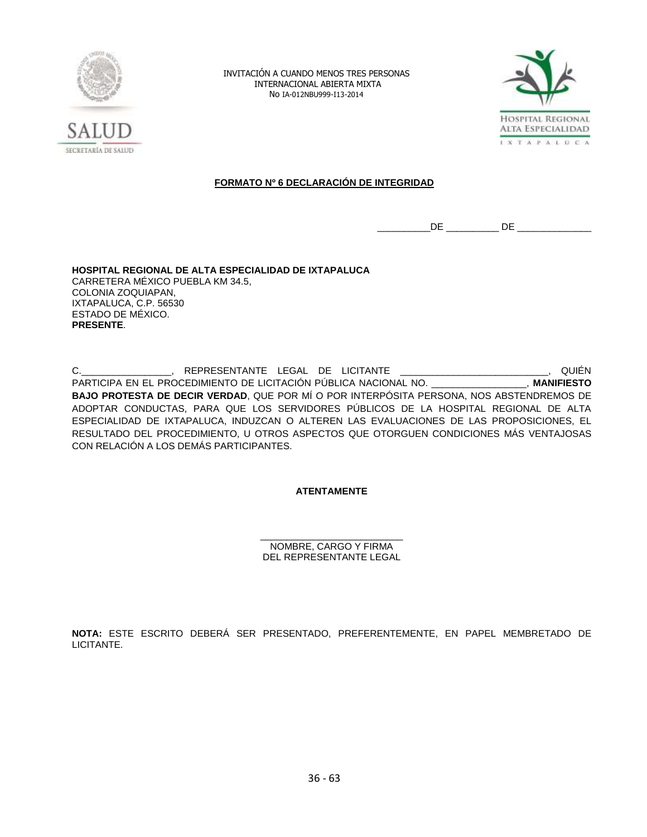



# **FORMATO Nº 6 DECLARACIÓN DE INTEGRIDAD**

\_\_\_\_\_\_\_\_\_\_DE \_\_\_\_\_\_\_\_\_\_ DE \_\_\_\_\_\_\_\_\_\_\_\_\_\_

**HOSPITAL REGIONAL DE ALTA ESPECIALIDAD DE IXTAPALUCA** CARRETERA MÉXICO PUEBLA KM 34.5, COLONIA ZOQUIAPAN, IXTAPALUCA, C.P. 56530 ESTADO DE MÉXICO. **PRESENTE**.

C.\_\_\_\_\_\_\_\_\_\_\_\_\_\_\_\_\_, REPRESENTANTE LEGAL DE LICITANTE \_\_\_\_\_\_\_\_\_\_\_\_\_\_\_\_\_\_\_\_\_\_\_\_\_\_\_\_, QUIÉN PARTICIPA EN EL PROCEDIMIENTO DE LICITACIÓN PÚBLICA NACIONAL NO. \_\_\_\_\_\_\_\_\_\_\_\_\_\_\_\_\_\_, **MANIFIESTO BAJO PROTESTA DE DECIR VERDAD**, QUE POR MÍ O POR INTERPÓSITA PERSONA, NOS ABSTENDREMOS DE ADOPTAR CONDUCTAS, PARA QUE LOS SERVIDORES PÚBLICOS DE LA HOSPITAL REGIONAL DE ALTA ESPECIALIDAD DE IXTAPALUCA, INDUZCAN O ALTEREN LAS EVALUACIONES DE LAS PROPOSICIONES, EL RESULTADO DEL PROCEDIMIENTO, U OTROS ASPECTOS QUE OTORGUEN CONDICIONES MÁS VENTAJOSAS CON RELACIÓN A LOS DEMÁS PARTICIPANTES.

# **ATENTAMENTE**

\_\_\_\_\_\_\_\_\_\_\_\_\_\_\_\_\_\_\_\_\_\_\_\_\_\_\_ NOMBRE, CARGO Y FIRMA DEL REPRESENTANTE LEGAL

**NOTA:** ESTE ESCRITO DEBERÁ SER PRESENTADO, PREFERENTEMENTE, EN PAPEL MEMBRETADO DE LICITANTE.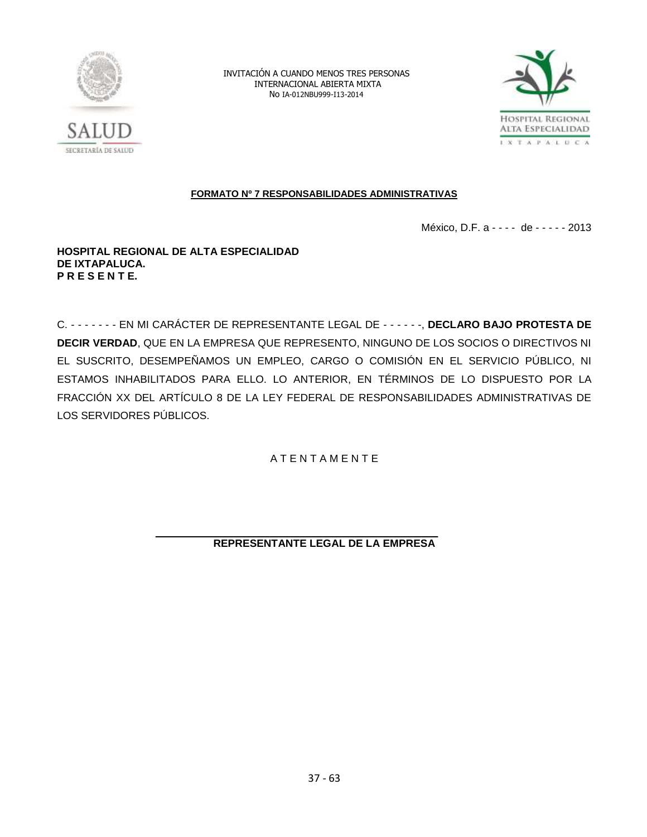



# **FORMATO Nº 7 RESPONSABILIDADES ADMINISTRATIVAS**

México, D.F. a - - - - de - - - - - 2013

# **HOSPITAL REGIONAL DE ALTA ESPECIALIDAD DE IXTAPALUCA. P R E S E N T E.**

C. - - - - - - - EN MI CARÁCTER DE REPRESENTANTE LEGAL DE - - - - - -, **DECLARO BAJO PROTESTA DE DECIR VERDAD**, QUE EN LA EMPRESA QUE REPRESENTO, NINGUNO DE LOS SOCIOS O DIRECTIVOS NI EL SUSCRITO, DESEMPEÑAMOS UN EMPLEO, CARGO O COMISIÓN EN EL SERVICIO PÚBLICO, NI ESTAMOS INHABILITADOS PARA ELLO. LO ANTERIOR, EN TÉRMINOS DE LO DISPUESTO POR LA FRACCIÓN XX DEL ARTÍCULO 8 DE LA LEY FEDERAL DE RESPONSABILIDADES ADMINISTRATIVAS DE LOS SERVIDORES PÚBLICOS.

A T E N T A M E N T E

**REPRESENTANTE LEGAL DE LA EMPRESA**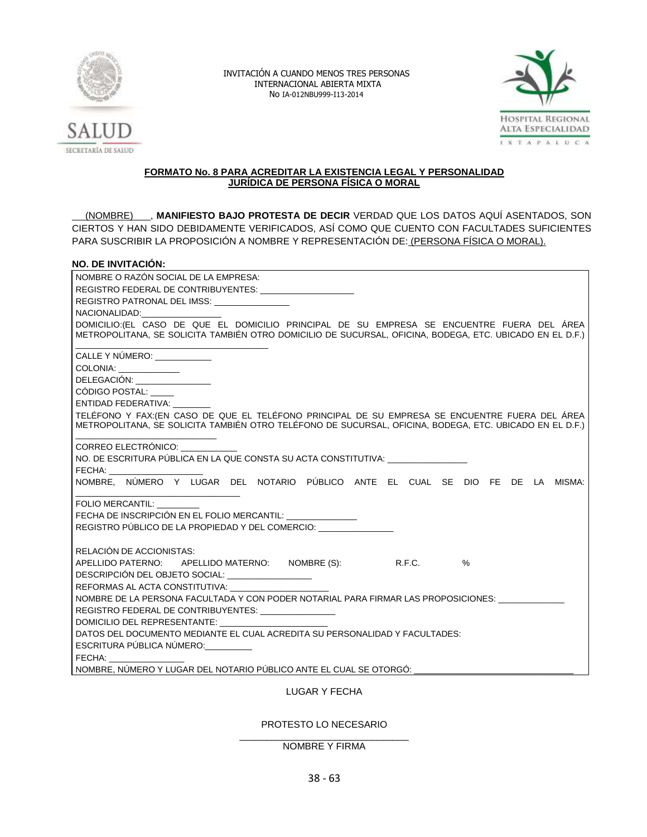



# **FORMATO No. 8 PARA ACREDITAR LA EXISTENCIA LEGAL Y PERSONALIDAD JURÍDICA DE PERSONA FÍSICA O MORAL**

(NOMBRE) , MANIFIESTO BAJO PROTESTA DE DECIR VERDAD QUE LOS DATOS AQUÍ ASENTADOS, SON CIERTOS Y HAN SIDO DEBIDAMENTE VERIFICADOS, ASÍ COMO QUE CUENTO CON FACULTADES SUFICIENTES PARA SUSCRIBIR LA PROPOSICIÓN A NOMBRE Y REPRESENTACIÓN DE: (PERSONA FÍSICA O MORAL).

# **NO. DE INVITACIÓN:**

| NOMBRE O RAZÓN SOCIAL DE LA EMPRESA:                                                                                                                                                                                           |  |  |  |  |  |  |
|--------------------------------------------------------------------------------------------------------------------------------------------------------------------------------------------------------------------------------|--|--|--|--|--|--|
| REGISTRO FEDERAL DE CONTRIBUYENTES: ____________________                                                                                                                                                                       |  |  |  |  |  |  |
| REGISTRO PATRONAL DEL IMSS: _______________                                                                                                                                                                                    |  |  |  |  |  |  |
| NACIONALIDAD: NACIONALIDAD:                                                                                                                                                                                                    |  |  |  |  |  |  |
| DOMICILIO: (EL CASO DE QUE EL DOMICILIO PRINCIPAL DE SU EMPRESA SE ENCUENTRE FUERA DEL ÁREA<br>METROPOLITANA, SE SOLICITA TAMBIÉN OTRO DOMICILIO DE SUCURSAL, OFICINA, BODEGA, ETC. UBICADO EN EL D.F.)                        |  |  |  |  |  |  |
| CALLE Y NÚMERO: ____________                                                                                                                                                                                                   |  |  |  |  |  |  |
| COLONIA: _____________                                                                                                                                                                                                         |  |  |  |  |  |  |
| DELEGACIÓN: ________________                                                                                                                                                                                                   |  |  |  |  |  |  |
| CÓDIGO POSTAL:                                                                                                                                                                                                                 |  |  |  |  |  |  |
| ENTIDAD FEDERATIVA:                                                                                                                                                                                                            |  |  |  |  |  |  |
| TELÉFONO Y FAX: (EN CASO DE QUE EL TELÉFONO PRINCIPAL DE SU EMPRESA SE ENCUENTRE FUERA DEL ÁREA                                                                                                                                |  |  |  |  |  |  |
| METROPOLITANA, SE SOLICITA TAMBIÉN OTRO TELÉFONO DE SUCURSAL, OFICINA, BODEGA, ETC. UBICADO EN EL D.F.)                                                                                                                        |  |  |  |  |  |  |
|                                                                                                                                                                                                                                |  |  |  |  |  |  |
| CORREO ELECTRÓNICO:                                                                                                                                                                                                            |  |  |  |  |  |  |
| NO. DE ESCRITURA PÚBLICA EN LA QUE CONSTA SU ACTA CONSTITUTIVA:                                                                                                                                                                |  |  |  |  |  |  |
| FECHA: The contract of the contract of the contract of the contract of the contract of the contract of the contract of the contract of the contract of the contract of the contract of the contract of the contract of the con |  |  |  |  |  |  |
| NOMBRE. NÚMERO Y LUGAR DEL NOTARIO PÚBLICO ANTE EL CUAL SE DIO FE DE LA MISMA:                                                                                                                                                 |  |  |  |  |  |  |
| FOLIO MERCANTIL:                                                                                                                                                                                                               |  |  |  |  |  |  |
| FECHA DE INSCRIPCIÓN EN EL FOLIO MERCANTIL: _______________                                                                                                                                                                    |  |  |  |  |  |  |
| REGISTRO PÚBLICO DE LA PROPIEDAD Y DEL COMERCIO: _______________                                                                                                                                                               |  |  |  |  |  |  |
|                                                                                                                                                                                                                                |  |  |  |  |  |  |
| RELACIÓN DE ACCIONISTAS:                                                                                                                                                                                                       |  |  |  |  |  |  |
| APELLIDO PATERNO: APELLIDO MATERNO: NOMBRE (S): R.F.C. %                                                                                                                                                                       |  |  |  |  |  |  |
| DESCRIPCIÓN DEL OBJETO SOCIAL: _________________                                                                                                                                                                               |  |  |  |  |  |  |
| REFORMAS AL ACTA CONSTITUTIVA:                                                                                                                                                                                                 |  |  |  |  |  |  |
| NOMBRE DE LA PERSONA FACULTADA Y CON PODER NOTARIAL PARA FIRMAR LAS PROPOSICIONES:                                                                                                                                             |  |  |  |  |  |  |
| REGISTRO FEDERAL DE CONTRIBUYENTES: _______________                                                                                                                                                                            |  |  |  |  |  |  |
|                                                                                                                                                                                                                                |  |  |  |  |  |  |
| DATOS DEL DOCUMENTO MEDIANTE EL CUAL ACREDITA SU PERSONALIDAD Y FACULTADES:                                                                                                                                                    |  |  |  |  |  |  |
| ESCRITURA PÚBLICA NÚMERO:                                                                                                                                                                                                      |  |  |  |  |  |  |
| FECHA: The contract of the contract of the contract of the contract of the contract of the contract of the contract of the contract of the contract of the contract of the contract of the contract of the contract of the con |  |  |  |  |  |  |
| NOMBRE, NÚMERO Y LUGAR DEL NOTARIO PÚBLICO ANTE EL CUAL SE OTORGÓ:                                                                                                                                                             |  |  |  |  |  |  |
|                                                                                                                                                                                                                                |  |  |  |  |  |  |

# LUGAR Y FECHA

# PROTESTO LO NECESARIO

#### \_\_\_\_\_\_\_\_\_\_\_\_\_\_\_\_\_\_\_\_\_\_\_\_\_\_\_\_\_\_\_\_ NOMBRE Y FIRMA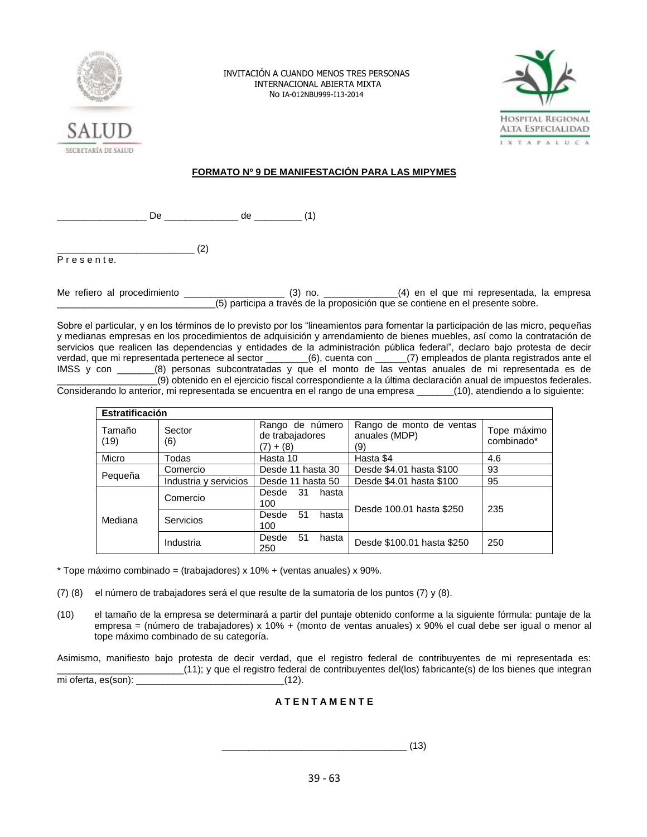



# **FORMATO Nº 9 DE MANIFESTACIÓN PARA LAS MIPYMES**

\_\_\_\_\_\_\_\_\_\_\_\_\_\_\_\_\_ De \_\_\_\_\_\_\_\_\_\_\_\_\_\_ de \_\_\_\_\_\_\_\_\_ (1)

 $\qquad \qquad \qquad (2)$ P r e s e n t e.

Me refiero al procedimiento \_\_\_\_\_\_\_\_\_\_\_\_\_\_\_\_\_\_\_ (3) no. \_\_\_\_\_\_\_\_\_\_\_\_\_\_(4) en el que mi representada, la empresa \_\_\_\_\_\_\_\_\_\_\_\_\_\_\_\_\_\_\_\_\_\_\_\_\_\_\_\_\_\_(5) participa a través de la proposición que se contiene en el presente sobre.

Sobre el particular, y en los términos de lo previsto por los "lineamientos para fomentar la participación de las micro, pequeñas y medianas empresas en los procedimientos de adquisición y arrendamiento de bienes muebles, así como la contratación de servicios que realicen las dependencias y entidades de la administración pública federal", declaro bajo protesta de decir verdad, que mi representada pertenece al sector \_\_\_\_\_\_\_\_(6), cuenta con \_\_\_\_\_\_(7) empleados de planta registrados ante el IMSS y con \_\_\_\_\_\_\_(8) personas subcontratadas y que el monto de las ventas anuales de mi representada es de \_\_\_\_\_\_\_\_\_\_\_\_\_\_\_\_\_\_\_(9) obtenido en el ejercicio fiscal correspondiente a la última declaración anual de impuestos federales.

Considerando lo anterior, mi representada se encuentra en el rango de una empresa \_\_\_\_\_\_\_(10), atendiendo a lo siguiente:

| <b>Estratificación</b> |                       |                                                   |                                                  |                           |  |  |  |
|------------------------|-----------------------|---------------------------------------------------|--------------------------------------------------|---------------------------|--|--|--|
| Tamaño<br>(19)         | Sector<br>(6)         | Rango de número<br>de trabajadores<br>$(7) + (8)$ | Rango de monto de ventas<br>anuales (MDP)<br>(9) | Tope máximo<br>combinado* |  |  |  |
| Micro                  | Todas                 | Hasta 10                                          | Hasta \$4                                        | 4.6                       |  |  |  |
| Pequeña                | Comercio              | Desde 11 hasta 30                                 | Desde \$4.01 hasta \$100                         | 93                        |  |  |  |
|                        | Industria y servicios | Desde 11 hasta 50                                 | Desde \$4.01 hasta \$100                         | 95                        |  |  |  |
| Mediana                | Comercio              | 31<br>Desde<br>hasta<br>100                       | Desde 100.01 hasta \$250                         | 235                       |  |  |  |
|                        | <b>Servicios</b>      | 51<br>Desde<br>hasta<br>100                       |                                                  |                           |  |  |  |
|                        | Industria             | 51<br>Desde<br>hasta<br>250                       | Desde \$100.01 hasta \$250                       | 250                       |  |  |  |

\* Tope máximo combinado = (trabajadores) x 10% + (ventas anuales) x 90%.

(7) (8) el número de trabajadores será el que resulte de la sumatoria de los puntos (7) y (8).

(10) el tamaño de la empresa se determinará a partir del puntaje obtenido conforme a la siguiente fórmula: puntaje de la empresa = (número de trabajadores) x 10% + (monto de ventas anuales) x 90% el cual debe ser igual o menor al tope máximo combinado de su categoría.

Asimismo, manifiesto bajo protesta de decir verdad, que el registro federal de contribuyentes de mi representada es: \_\_\_\_\_\_\_\_\_\_\_\_\_\_\_\_\_\_\_\_\_\_\_\_(11); y que el registro federal de contribuyentes del(los) fabricante(s) de los bienes que integran mi oferta, es(son): \_\_\_\_\_\_\_\_\_\_\_\_\_\_\_\_\_\_\_\_\_\_\_\_\_\_\_\_(12).

# **A T E N T A M E N T E**

 $\sim$  (13)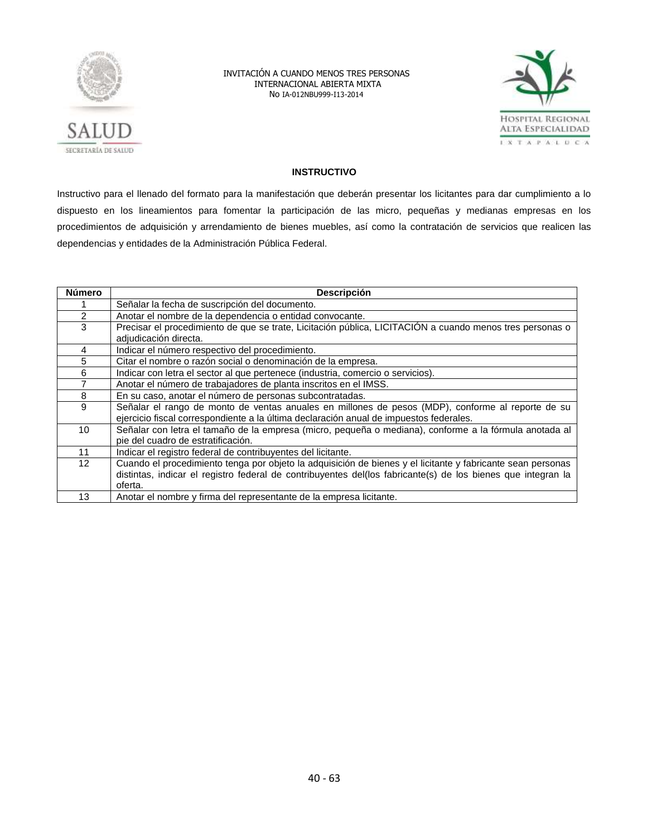



# **INSTRUCTIVO**

Instructivo para el llenado del formato para la manifestación que deberán presentar los licitantes para dar cumplimiento a lo dispuesto en los lineamientos para fomentar la participación de las micro, pequeñas y medianas empresas en los procedimientos de adquisición y arrendamiento de bienes muebles, así como la contratación de servicios que realicen las dependencias y entidades de la Administración Pública Federal.

| <b>Número</b>  | <b>Descripción</b>                                                                                                                           |
|----------------|----------------------------------------------------------------------------------------------------------------------------------------------|
|                | Señalar la fecha de suscripción del documento.                                                                                               |
| $\overline{2}$ | Anotar el nombre de la dependencia o entidad convocante.                                                                                     |
| 3              | Precisar el procedimiento de que se trate, Licitación pública, LICITACIÓN a cuando menos tres personas o                                     |
|                | adjudicación directa.                                                                                                                        |
| 4              | Indicar el número respectivo del procedimiento.                                                                                              |
| 5              | Citar el nombre o razón social o denominación de la empresa.                                                                                 |
| 6              | Indicar con letra el sector al que pertenece (industria, comercio o servicios).                                                              |
|                | Anotar el número de trabajadores de planta inscritos en el IMSS.                                                                             |
| 8              | En su caso, anotar el número de personas subcontratadas.                                                                                     |
| 9              | Señalar el rango de monto de ventas anuales en millones de pesos (MDP), conforme al reporte de su                                            |
|                | ejercicio fiscal correspondiente a la última declaración anual de impuestos federales.                                                       |
| 10             | Señalar con letra el tamaño de la empresa (micro, pequeña o mediana), conforme a la fórmula anotada al<br>pie del cuadro de estratificación. |
| 11             | Indicar el registro federal de contribuyentes del licitante.                                                                                 |
| 12             | Cuando el procedimiento tenga por objeto la adquisición de bienes y el licitante y fabricante sean personas                                  |
|                | distintas, indicar el registro federal de contribuyentes del(los fabricante(s) de los bienes que integran la                                 |
|                | oferta.                                                                                                                                      |
| 13             | Anotar el nombre y firma del representante de la empresa licitante.                                                                          |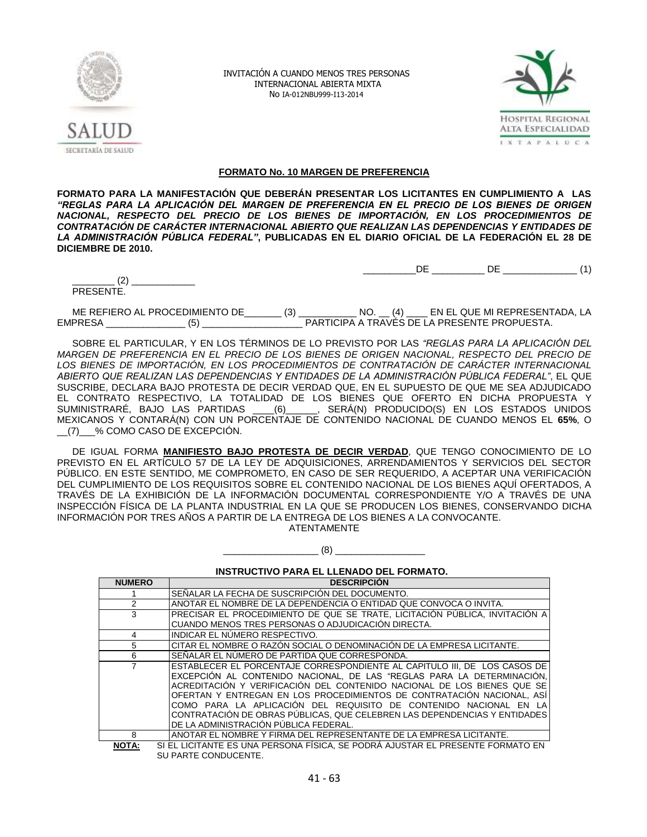



#### **FORMATO No. 10 MARGEN DE PREFERENCIA**

**FORMATO PARA LA MANIFESTACIÓN QUE DEBERÁN PRESENTAR LOS LICITANTES EN CUMPLIMIENTO A LAS**  *"REGLAS PARA LA APLICACIÓN DEL MARGEN DE PREFERENCIA EN EL PRECIO DE LOS BIENES DE ORIGEN NACIONAL, RESPECTO DEL PRECIO DE LOS BIENES DE IMPORTACIÓN, EN LOS PROCEDIMIENTOS DE CONTRATACIÓN DE CARÁCTER INTERNACIONAL ABIERTO QUE REALIZAN LAS DEPENDENCIAS Y ENTIDADES DE LA ADMINISTRACIÓN PÚBLICA FEDERAL"***, PUBLICADAS EN EL DIARIO OFICIAL DE LA FEDERACIÓN EL 28 DE DICIEMBRE DE 2010.**

 $DE$  DE  $DE$  (1)

PRESENTE.

 $(2)$   $\qquad \qquad$ 

ME REFIERO AL PROCEDIMIENTO DE\_\_\_\_\_\_\_ (3) \_\_\_\_\_\_\_\_\_\_\_ NO. \_\_ (4) \_\_\_\_ EN EL QUE MI REPRESENTADA, LA EMPRESA \_\_\_\_\_\_\_\_\_\_\_\_\_\_\_ (5) \_\_\_\_\_\_\_\_\_\_\_\_\_\_\_\_\_\_\_ PARTICIPA A TRAVÉS DE LA PRESENTE PROPUESTA.

SOBRE EL PARTICULAR, Y EN LOS TÉRMINOS DE LO PREVISTO POR LAS *"REGLAS PARA LA APLICACIÓN DEL MARGEN DE PREFERENCIA EN EL PRECIO DE LOS BIENES DE ORIGEN NACIONAL, RESPECTO DEL PRECIO DE LOS BIENES DE IMPORTACIÓN, EN LOS PROCEDIMIENTOS DE CONTRATACIÓN DE CARÁCTER INTERNACIONAL ABIERTO QUE REALIZAN LAS DEPENDENCIAS Y ENTIDADES DE LA ADMINISTRACIÓN PÚBLICA FEDERAL"*, EL QUE SUSCRIBE, DECLARA BAJO PROTESTA DE DECIR VERDAD QUE, EN EL SUPUESTO DE QUE ME SEA ADJUDICADO EL CONTRATO RESPECTIVO, LA TOTALIDAD DE LOS BIENES QUE OFERTO EN DICHA PROPUESTA Y SUMINISTRARÉ, BAJO LAS PARTIDAS \_\_\_\_(6)\_\_\_\_\_\_, SERÁ(N) PRODUCIDO(S) EN LOS ESTADOS UNIDOS MEXICANOS Y CONTARÁ(N) CON UN PORCENTAJE DE CONTENIDO NACIONAL DE CUANDO MENOS EL **65%**, O \_\_(7)\_\_\_% COMO CASO DE EXCEPCIÓN.

DE IGUAL FORMA **MANIFIESTO BAJO PROTESTA DE DECIR VERDAD**, QUE TENGO CONOCIMIENTO DE LO PREVISTO EN EL ARTÍCULO 57 DE LA LEY DE ADQUISICIONES, ARRENDAMIENTOS Y SERVICIOS DEL SECTOR PÚBLICO. EN ESTE SENTIDO, ME COMPROMETO, EN CASO DE SER REQUERIDO, A ACEPTAR UNA VERIFICACIÓN DEL CUMPLIMIENTO DE LOS REQUISITOS SOBRE EL CONTENIDO NACIONAL DE LOS BIENES AQUÍ OFERTADOS, A TRAVÉS DE LA EXHIBICIÓN DE LA INFORMACIÓN DOCUMENTAL CORRESPONDIENTE Y/O A TRAVÉS DE UNA INSPECCIÓN FÍSICA DE LA PLANTA INDUSTRIAL EN LA QUE SE PRODUCEN LOS BIENES, CONSERVANDO DICHA INFORMACIÓN POR TRES AÑOS A PARTIR DE LA ENTREGA DE LOS BIENES A LA CONVOCANTE. ATENTAMENTE

 $(8)$ 

**INSTRUCTIVO PARA EL LLENADO DEL FORMATO.**

| <b>NUMERO</b> | <b>DESCRIPCION</b>                                                             |
|---------------|--------------------------------------------------------------------------------|
|               | SENALAR LA FECHA DE SUSCRIPCION DEL DOCUMENTO.                                 |
|               | ANOTAR EL NOMBRE DE LA DEPENDENCIA O ENTIDAD QUE CONVOCA O INVITA.             |
| 3             | PRECISAR EL PROCEDIMIENTO DE QUE SE TRATE, LICITACIÓN PÚBLICA, INVITACIÓN A    |
|               | CUANDO MENOS TRES PERSONAS O ADJUDICACIÓN DIRECTA.                             |
|               | INDICAR EL NÚMERO RESPECTIVO.                                                  |
| 5             | CITAR EL NOMBRE O RAZÓN SOCIAL O DENOMINACIÓN DE LA EMPRESA LICITANTE.         |
| 6             | SENALAR EL NUMERO DE PARTIDA QUE CORRESPONDA.                                  |
|               | ESTABLECER EL PORCENTAJE CORRESPONDIENTE AL CAPITULO III, DE LOS CASOS DE      |
|               | EXCEPCIÓN AL CONTENIDO NACIONAL, DE LAS "REGLAS PARA LA DETERMINACIÓN,         |
|               | ACREDITACIÓN Y VERIFICACIÓN DEL CONTENIDO NACIONAL DE LOS BIENES QUE SE        |
|               | OFERTAN Y ENTREGAN EN LOS PROCEDIMIENTOS DE CONTRATACIÓN NACIONAL. ASÍ         |
|               | COMO PARA LA APLICACIÓN DEL REQUISITO DE CONTENIDO NACIONAL EN LA              |
|               | CONTRATACIÓN DE OBRAS PÚBLICAS, QUE CELEBREN LAS DEPENDENCIAS Y ENTIDADES      |
|               | DE LA ADMINISTRACIÓN PÚBLICA FEDERAL.                                          |
| 8             | ANOTAR EL NOMBRE Y FIRMA DEL REPRESENTANTE DE LA EMPRESA LICITANTE.            |
| <b>NOTA:</b>  | SI EL LICITANTE ES UNA PERSONA FÍSICA. SE PODRÁ AJUSTAR EL PRESENTE FORMATO EN |

SU PARTE CONDUCENTE.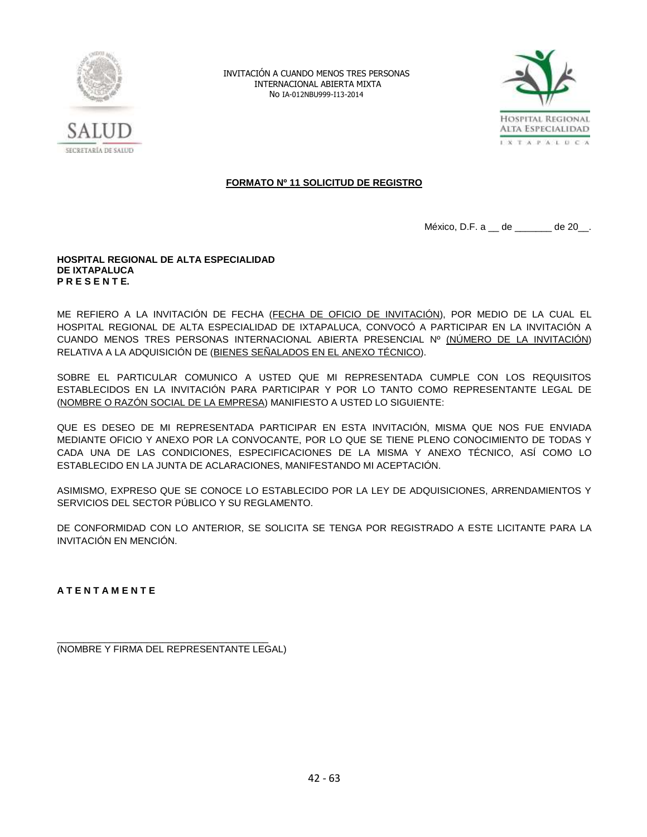



# **FORMATO Nº 11 SOLICITUD DE REGISTRO**

México, D.F. a \_ de \_\_\_\_\_\_ de 20\_.

#### **HOSPITAL REGIONAL DE ALTA ESPECIALIDAD DE IXTAPALUCA P R E S E N T E.**

ME REFIERO A LA INVITACIÓN DE FECHA (FECHA DE OFICIO DE INVITACIÓN), POR MEDIO DE LA CUAL EL HOSPITAL REGIONAL DE ALTA ESPECIALIDAD DE IXTAPALUCA, CONVOCÓ A PARTICIPAR EN LA INVITACIÓN A CUANDO MENOS TRES PERSONAS INTERNACIONAL ABIERTA PRESENCIAL Nº (NÚMERO DE LA INVITACIÓN) RELATIVA A LA ADQUISICIÓN DE (BIENES SEÑALADOS EN EL ANEXO TÉCNICO).

SOBRE EL PARTICULAR COMUNICO A USTED QUE MI REPRESENTADA CUMPLE CON LOS REQUISITOS ESTABLECIDOS EN LA INVITACIÓN PARA PARTICIPAR Y POR LO TANTO COMO REPRESENTANTE LEGAL DE (NOMBRE O RAZÓN SOCIAL DE LA EMPRESA) MANIFIESTO A USTED LO SIGUIENTE:

QUE ES DESEO DE MI REPRESENTADA PARTICIPAR EN ESTA INVITACIÓN, MISMA QUE NOS FUE ENVIADA MEDIANTE OFICIO Y ANEXO POR LA CONVOCANTE, POR LO QUE SE TIENE PLENO CONOCIMIENTO DE TODAS Y CADA UNA DE LAS CONDICIONES, ESPECIFICACIONES DE LA MISMA Y ANEXO TÉCNICO, ASÍ COMO LO ESTABLECIDO EN LA JUNTA DE ACLARACIONES, MANIFESTANDO MI ACEPTACIÓN.

ASIMISMO, EXPRESO QUE SE CONOCE LO ESTABLECIDO POR LA LEY DE ADQUISICIONES, ARRENDAMIENTOS Y SERVICIOS DEL SECTOR PÚBLICO Y SU REGLAMENTO.

DE CONFORMIDAD CON LO ANTERIOR, SE SOLICITA SE TENGA POR REGISTRADO A ESTE LICITANTE PARA LA INVITACIÓN EN MENCIÓN.

**A T E N T A M E N T E**

\_\_\_\_\_\_\_\_\_\_\_\_\_\_\_\_\_\_\_\_\_\_\_\_\_\_\_\_\_\_\_\_\_\_\_\_\_\_\_\_ (NOMBRE Y FIRMA DEL REPRESENTANTE LEGAL)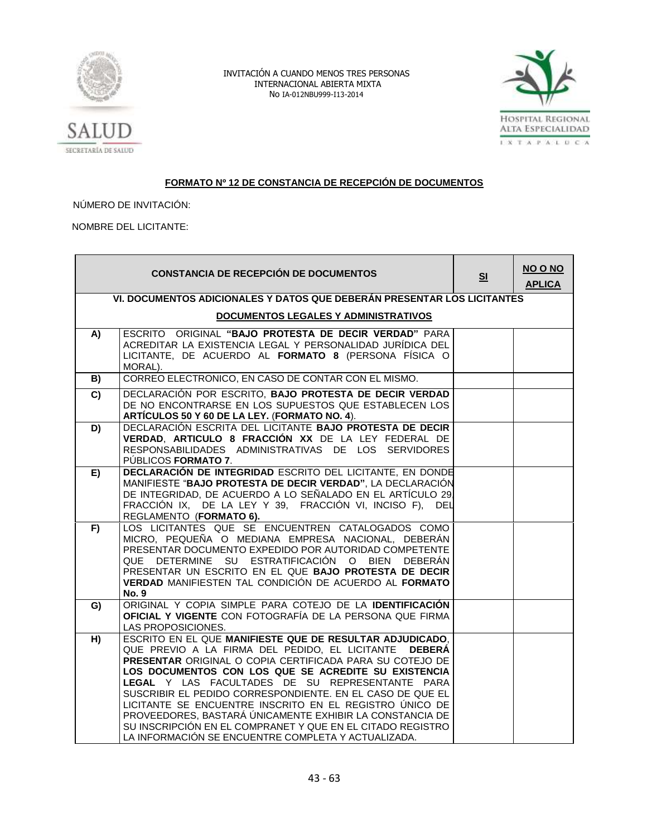



# SECRETARÍA DE SALUD

# **FORMATO Nº 12 DE CONSTANCIA DE RECEPCIÓN DE DOCUMENTOS**

NÚMERO DE INVITACIÓN:

NOMBRE DEL LICITANTE:

|                | <b>CONSTANCIA DE RECEPCIÓN DE DOCUMENTOS</b>                                                                                                                                                                                                                                                                                                                                                                                                                                                                                                                                                      | S <sub>1</sub> | NO O NO<br><b>APLICA</b> |  |  |  |  |
|----------------|---------------------------------------------------------------------------------------------------------------------------------------------------------------------------------------------------------------------------------------------------------------------------------------------------------------------------------------------------------------------------------------------------------------------------------------------------------------------------------------------------------------------------------------------------------------------------------------------------|----------------|--------------------------|--|--|--|--|
|                | VI. DOCUMENTOS ADICIONALES Y DATOS QUE DEBERÁN PRESENTAR LOS LICITANTES                                                                                                                                                                                                                                                                                                                                                                                                                                                                                                                           |                |                          |  |  |  |  |
|                | <b>DOCUMENTOS LEGALES Y ADMINISTRATIVOS</b>                                                                                                                                                                                                                                                                                                                                                                                                                                                                                                                                                       |                |                          |  |  |  |  |
| A)             | ESCRITO ORIGINAL "BAJO PROTESTA DE DECIR VERDAD" PARA<br>ACREDITAR LA EXISTENCIA LEGAL Y PERSONALIDAD JURÍDICA DEL                                                                                                                                                                                                                                                                                                                                                                                                                                                                                |                |                          |  |  |  |  |
|                | LICITANTE, DE ACUERDO AL FORMATO 8 (PERSONA FÍSICA O<br>MORAL).                                                                                                                                                                                                                                                                                                                                                                                                                                                                                                                                   |                |                          |  |  |  |  |
| $\overline{B}$ | CORREO ELECTRONICO, EN CASO DE CONTAR CON EL MISMO.                                                                                                                                                                                                                                                                                                                                                                                                                                                                                                                                               |                |                          |  |  |  |  |
| $\overline{c}$ | DECLARACIÓN POR ESCRITO, BAJO PROTESTA DE DECIR VERDAD<br>DE NO ENCONTRARSE EN LOS SUPUESTOS QUE ESTABLECEN LOS<br>ARTÍCULOS 50 Y 60 DE LA LEY. (FORMATO NO. 4).                                                                                                                                                                                                                                                                                                                                                                                                                                  |                |                          |  |  |  |  |
| D)             | DECLARACIÓN ESCRITA DEL LICITANTE BAJO PROTESTA DE DECIR<br>VERDAD, ARTICULO 8 FRACCIÓN XX DE LA LEY FEDERAL DE<br>RESPONSABILIDADES ADMINISTRATIVAS DE LOS SERVIDORES<br>PUBLICOS FORMATO 7.                                                                                                                                                                                                                                                                                                                                                                                                     |                |                          |  |  |  |  |
| E)             | DECLARACIÓN DE INTEGRIDAD ESCRITO DEL LICITANTE, EN DONDE<br>MANIFIESTE "BAJO PROTESTA DE DECIR VERDAD", LA DECLARACIÓN<br>DE INTEGRIDAD, DE ACUERDO A LO SEÑALADO EN EL ARTÍCULO 29.<br>FRACCIÓN IX, DE LA LEY Y 39, FRACCIÓN VI, INCISO F), DEL<br>REGLAMENTO (FORMATO 6).                                                                                                                                                                                                                                                                                                                      |                |                          |  |  |  |  |
| F)             | LOS LICITANTES QUE SE ENCUENTREN CATALOGADOS COMO<br>MICRO, PEQUEÑA O MEDIANA EMPRESA NACIONAL, DEBERÁN<br>PRESENTAR DOCUMENTO EXPEDIDO POR AUTORIDAD COMPETENTE<br>QUE DETERMINE SU ESTRATIFICACIÓN O BIEN DEBERÁN<br>PRESENTAR UN ESCRITO EN EL QUE BAJO PROTESTA DE DECIR<br>VERDAD MANIFIESTEN TAL CONDICIÓN DE ACUERDO AL FORMATO<br><b>No. 9</b>                                                                                                                                                                                                                                            |                |                          |  |  |  |  |
| G)             | ORIGINAL Y COPIA SIMPLE PARA COTEJO DE LA IDENTIFICACIÓN<br>OFICIAL Y VIGENTE CON FOTOGRAFÍA DE LA PERSONA QUE FIRMA<br>LAS PROPOSICIONES.                                                                                                                                                                                                                                                                                                                                                                                                                                                        |                |                          |  |  |  |  |
| H)             | ESCRITO EN EL QUE MANIFIESTE QUE DE RESULTAR ADJUDICADO.<br>QUE PREVIO A LA FIRMA DEL PEDIDO, EL LICITANTE DEBERÁ<br>PRESENTAR ORIGINAL O COPIA CERTIFICADA PARA SU COTEJO DE<br>LOS DOCUMENTOS CON LOS QUE SE ACREDITE SU EXISTENCIA<br>LEGAL Y LAS FACULTADES DE SU REPRESENTANTE PARA<br>SUSCRIBIR EL PEDIDO CORRESPONDIENTE. EN EL CASO DE QUE EL<br>LICITANTE SE ENCUENTRE INSCRITO EN EL REGISTRO ÚNICO DE<br>PROVEEDORES, BASTARÁ ÚNICAMENTE EXHIBIR LA CONSTANCIA DE<br>SU INSCRIPCIÓN EN EL COMPRANET Y QUE EN EL CITADO REGISTRO<br>LA INFORMACIÓN SE ENCUENTRE COMPLETA Y ACTUALIZADA. |                |                          |  |  |  |  |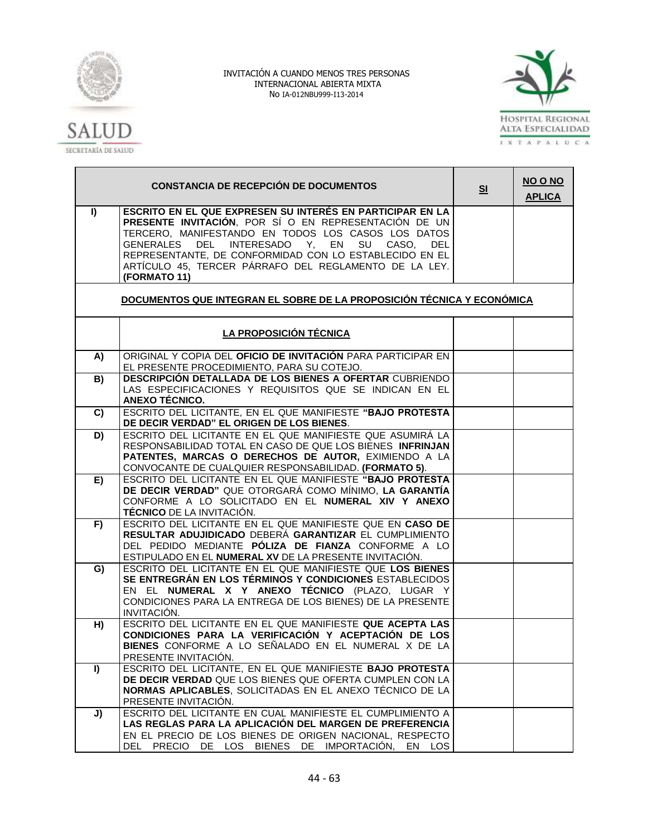



|              | <b>CONSTANCIA DE RECEPCIÓN DE DOCUMENTOS</b>                                                                                                                                                                                                                                                                                                                  | S <sub>1</sub> | NO O NO<br><b>APLICA</b> |
|--------------|---------------------------------------------------------------------------------------------------------------------------------------------------------------------------------------------------------------------------------------------------------------------------------------------------------------------------------------------------------------|----------------|--------------------------|
| $\mathbf{I}$ | ESCRITO EN EL QUE EXPRESEN SU INTERÉS EN PARTICIPAR EN LA<br>PRESENTE INVITACIÓN, POR SÍ O EN REPRESENTACIÓN DE UN<br>TERCERO, MANIFESTANDO EN TODOS LOS CASOS LOS DATOS<br>GENERALES DEL INTERESADO Y, EN<br>SU CASO, DEL<br>REPRESENTANTE, DE CONFORMIDAD CON LO ESTABLECIDO EN EL<br>ARTÍCULO 45, TERCER PÁRRAFO DEL REGLAMENTO DE LA LEY.<br>(FORMATO 11) |                |                          |
|              | DOCUMENTOS QUE INTEGRAN EL SOBRE DE LA PROPOSICIÓN TÉCNICA Y ECONÓMICA                                                                                                                                                                                                                                                                                        |                |                          |
|              | LA PROPOSICIÓN TÉCNICA                                                                                                                                                                                                                                                                                                                                        |                |                          |
| A)           | ORIGINAL Y COPIA DEL OFICIO DE INVITACIÓN PARA PARTICIPAR EN<br>EL PRESENTE PROCEDIMIENTO, PARA SU COTEJO.                                                                                                                                                                                                                                                    |                |                          |
| B)           | DESCRIPCIÓN DETALLADA DE LOS BIENES A OFERTAR CUBRIENDO<br>LAS ESPECIFICACIONES Y REQUISITOS QUE SE INDICAN EN EL<br>ANEXO TÉCNICO.                                                                                                                                                                                                                           |                |                          |
| C)           | ESCRITO DEL LICITANTE, EN EL QUE MANIFIESTE "BAJO PROTESTA<br>DE DECIR VERDAD" EL ORIGEN DE LOS BIENES.                                                                                                                                                                                                                                                       |                |                          |
| D)           | ESCRITO DEL LICITANTE EN EL QUE MANIFIESTE QUE ASUMIRÁ LA<br>RESPONSABILIDAD TOTAL EN CASO DE QUE LOS BIENES INFRINJAN<br>PATENTES, MARCAS O DERECHOS DE AUTOR, EXIMIENDO A LA<br>CONVOCANTE DE CUALQUIER RESPONSABILIDAD. (FORMATO 5).                                                                                                                       |                |                          |
| E)           | ESCRITO DEL LICITANTE EN EL QUE MANIFIESTE "BAJO PROTESTA<br>DE DECIR VERDAD" QUE OTORGARÁ COMO MÍNIMO, LA GARANTÍA<br>CONFORME A LO SOLICITADO EN EL NUMERAL XIV Y ANEXO<br><b>TÉCNICO</b> DE LA INVITACIÓN.                                                                                                                                                 |                |                          |
| F)           | ESCRITO DEL LICITANTE EN EL QUE MANIFIESTE QUE EN CASO DE<br>RESULTAR ADUJIDICADO DEBERÁ GARANTIZAR EL CUMPLIMIENTO<br>DEL PEDIDO MEDIANTE PÓLIZA DE FIANZA CONFORME A LO<br>ESTIPULADO EN EL NUMERAL XV DE LA PRESENTE INVITACIÓN.                                                                                                                           |                |                          |
| G)           | ESCRITO DEL LICITANTE EN EL QUE MANIFIESTE QUE LOS BIENES<br>SE ENTREGRÁN EN LOS TÉRMINOS Y CONDICIONES ESTABLECIDOS<br>EN EL NUMERAL X Y ANEXO TÉCNICO (PLAZO, LUGAR Y<br>CONDICIONES PARA LA ENTREGA DE LOS BIENES) DE LA PRESENTE<br>INVITACIÓN.                                                                                                           |                |                          |
| H)           | ESCRITO DEL LICITANTE EN EL QUE MANIFIESTE QUE ACEPTA LAS<br>CONDICIONES PARA LA VERIFICACIÓN Y ACEPTACIÓN DE LOS<br>BIENES CONFORME A LO SEÑALADO EN EL NUMERAL X DE LA<br>PRESENTE INVITACIÓN.                                                                                                                                                              |                |                          |
| I)           | ESCRITO DEL LICITANTE, EN EL QUE MANIFIESTE BAJO PROTESTA<br>DE DECIR VERDAD QUE LOS BIENES QUE OFERTA CUMPLEN CON LA<br>NORMAS APLICABLES, SOLICITADAS EN EL ANEXO TÉCNICO DE LA<br>PRESENTE INVITACIÓN.                                                                                                                                                     |                |                          |
| J)           | ESCRITO DEL LICITANTE EN CUAL MANIFIESTE EL CUMPLIMIENTO A<br>LAS REGLAS PARA LA APLICACIÓN DEL MARGEN DE PREFERENCIA<br>EN EL PRECIO DE LOS BIENES DE ORIGEN NACIONAL, RESPECTO<br>DEL PRECIO DE LOS BIENES DE IMPORTACIÓN, EN LOS                                                                                                                           |                |                          |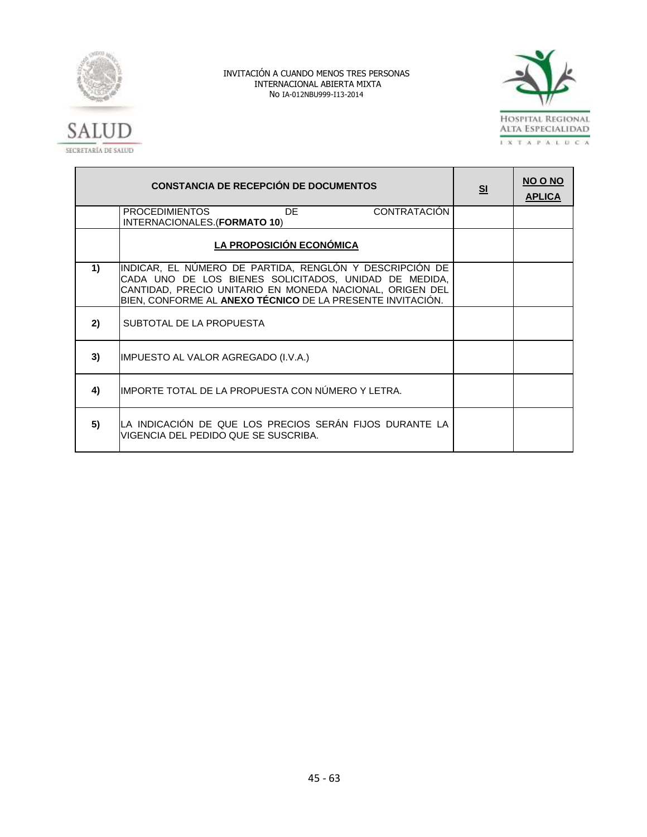



|    | <b>CONSTANCIA DE RECEPCIÓN DE DOCUMENTOS</b>                                                                                                                                                                                               | S <sub>1</sub> | NO O NO<br><b>APLICA</b> |
|----|--------------------------------------------------------------------------------------------------------------------------------------------------------------------------------------------------------------------------------------------|----------------|--------------------------|
|    | <b>CONTRATACIÓN</b><br><b>PROCEDIMIENTOS</b><br>DF.<br>INTERNACIONALES. (FORMATO 10)                                                                                                                                                       |                |                          |
|    | LA PROPOSICIÓN ECONÓMICA                                                                                                                                                                                                                   |                |                          |
| 1) | INDICAR, EL NÚMERO DE PARTIDA, RENGLÓN Y DESCRIPCIÓN DE<br>CADA UNO DE LOS BIENES SOLICITADOS, UNIDAD DE MEDIDA,<br>CANTIDAD, PRECIO UNITARIO EN MONEDA NACIONAL, ORIGEN DEL<br>BIEN, CONFORME AL ANEXO TÉCNICO DE LA PRESENTE INVITACIÓN. |                |                          |
| 2) | SUBTOTAL DE LA PROPUESTA                                                                                                                                                                                                                   |                |                          |
| 3) | IMPUESTO AL VALOR AGREGADO (I.V.A.)                                                                                                                                                                                                        |                |                          |
| 4) | IIMPORTE TOTAL DE LA PROPUESTA CON NÚMERO Y LETRA.                                                                                                                                                                                         |                |                          |
| 5) | LA INDICACIÓN DE QUE LOS PRECIOS SERÁN FIJOS DURANTE LA<br>lVIGENCIA DEL PEDIDO QUE SE SUSCRIBA.                                                                                                                                           |                |                          |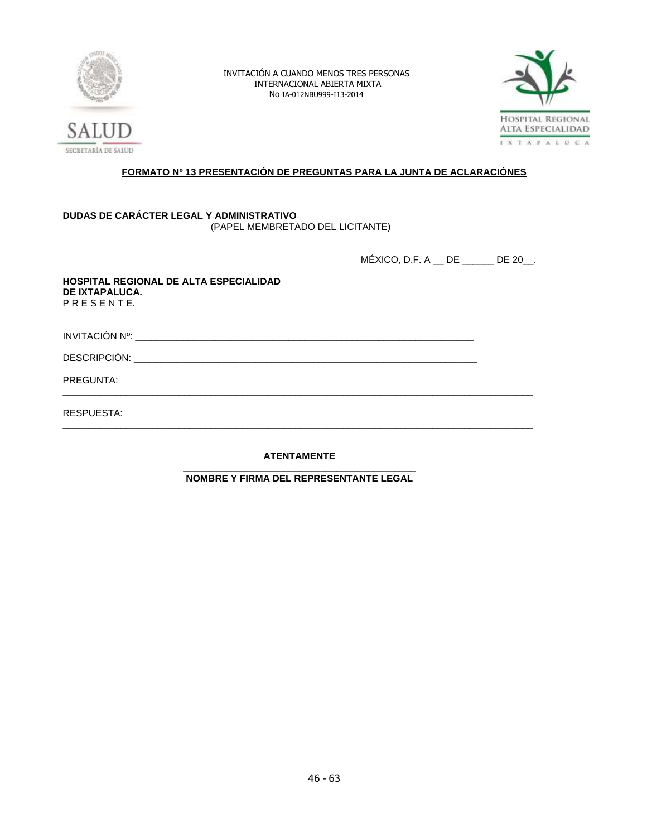



# **FORMATO Nº 13 PRESENTACIÓN DE PREGUNTAS PARA LA JUNTA DE ACLARACIÓNES**

# **DUDAS DE CARÁCTER LEGAL Y ADMINISTRATIVO** (PAPEL MEMBRETADO DEL LICITANTE)

MÉXICO, D.F. A \_\_ DE \_\_\_\_\_\_ DE 20\_\_.

| HOSPITAL REGIONAL DE ALTA ESPECIALIDAD<br>DE IXTAPALUCA.<br>PRESENTE. |  |
|-----------------------------------------------------------------------|--|
|                                                                       |  |
|                                                                       |  |
| PREGUNTA:                                                             |  |
| RESPUESTA:                                                            |  |
|                                                                       |  |

**ATENTAMENTE**

**\_\_\_\_\_\_\_\_\_\_\_\_\_\_\_\_\_\_\_\_\_\_\_\_\_\_\_\_\_\_\_\_\_\_\_\_\_\_\_\_\_\_\_\_ NOMBRE Y FIRMA DEL REPRESENTANTE LEGAL**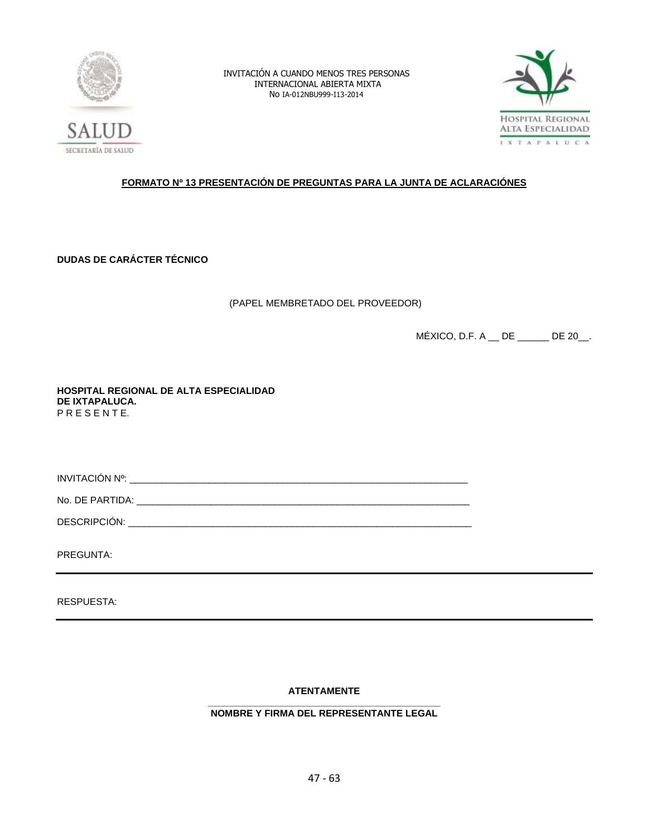



# **FORMATO Nº 13 PRESENTACIÓN DE PREGUNTAS PARA LA JUNTA DE ACLARACIÓNES**

**DUDAS DE CARÁCTER TÉCNICO**

(PAPEL MEMBRETADO DEL PROVEEDOR)

MÉXICO, D.F. A \_\_ DE \_\_\_\_\_\_ DE 20\_\_.

**HOSPITAL REGIONAL DE ALTA ESPECIALIDAD DE IXTAPALUCA.** P R E S E N T E.

INVITACIÓN Nº: \_\_\_\_\_\_\_\_\_\_\_\_\_\_\_\_\_\_\_\_\_\_\_\_\_\_\_\_\_\_\_\_\_\_\_\_\_\_\_\_\_\_\_\_\_\_\_\_\_\_\_\_\_\_\_\_\_\_\_\_\_\_\_\_

No. DE PARTIDA: \_\_\_\_\_\_\_\_\_\_\_\_\_\_\_\_\_\_\_\_\_\_\_\_\_\_\_\_\_\_\_\_\_\_\_\_\_\_\_\_\_\_\_\_\_\_\_\_\_\_\_\_\_\_\_\_\_\_\_\_\_\_\_

DESCRIPCIÓN: \_\_\_\_\_\_\_\_\_\_\_\_\_\_\_\_\_\_\_\_\_\_\_\_\_\_\_\_\_\_\_\_\_\_\_\_\_\_\_\_\_\_\_\_\_\_\_\_\_\_\_\_\_\_\_\_\_\_\_\_\_\_\_\_\_

PREGUNTA:

RESPUESTA:

# **ATENTAMENTE**

#### **\_\_\_\_\_\_\_\_\_\_\_\_\_\_\_\_\_\_\_\_\_\_\_\_\_\_\_\_\_\_\_\_\_\_\_\_\_\_\_\_\_\_\_\_ NOMBRE Y FIRMA DEL REPRESENTANTE LEGAL**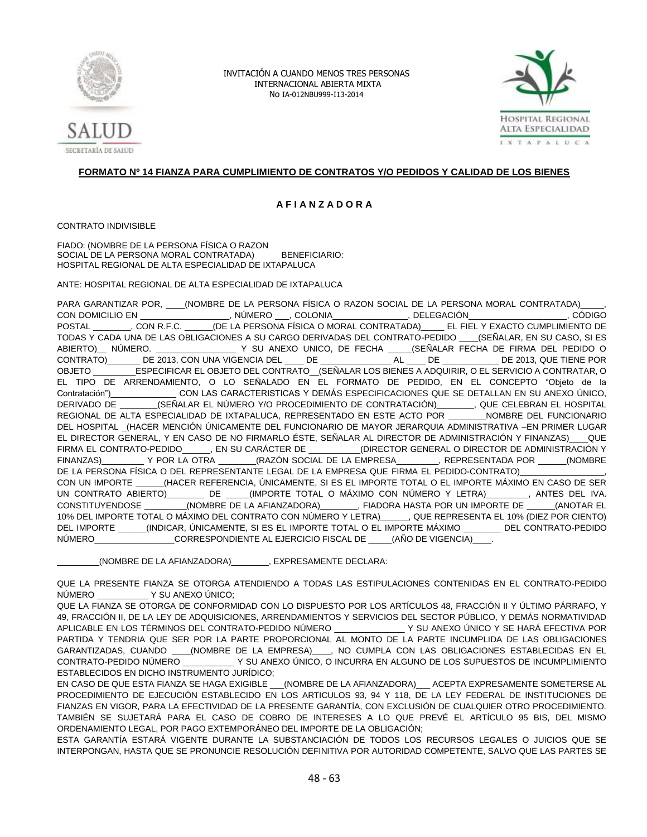



# **FORMATO Nº 14 FIANZA PARA CUMPLIMIENTO DE CONTRATOS Y/O PEDIDOS Y CALIDAD DE LOS BIENES**

#### **A F I A N Z A D O R A**

CONTRATO INDIVISIBLE

FIADO: (NOMBRE DE LA PERSONA FÍSICA O RAZON SOCIAL DE LA PERSONA MORAL CONTRATADA) BENEFICIARIO: HOSPITAL REGIONAL DE ALTA ESPECIALIDAD DE IXTAPALUCA

ANTE: HOSPITAL REGIONAL DE ALTA ESPECIALIDAD DE IXTAPALUCA

PARA GARANTIZAR POR, \_\_\_\_\_(NOMBRE DE LA PERSONA FÍSICA O RAZON SOCIAL DE LA PERSONA MORAL CONTRATADA)\_ CON DOMICILIO EN \_\_\_\_\_\_\_\_\_\_\_\_\_\_\_\_\_\_\_, NÚMERO \_\_\_, COLONIA\_\_\_\_\_\_\_\_\_\_\_\_\_\_\_\_, DELEGACIÓN\_\_\_\_\_\_\_\_\_\_\_\_\_\_\_\_\_\_\_\_\_, CÓDIGO POSTAL \_\_\_\_\_\_\_\_, CON R.F.C. \_\_\_\_\_\_(DE LA PERSONA FÍSICA O MORAL CONTRATADA)\_\_\_\_\_ EL FIEL Y EXACTO CUMPLIMIENTO DE TODAS Y CADA UNA DE LAS OBLIGACIONES A SU CARGO DERIVADAS DEL CONTRATO-PEDIDO \_\_\_\_(SEÑALAR, EN SU CASO, SI ES ABIERTO)\_\_ NÚMERO. \_\_\_\_\_\_\_\_\_\_\_\_\_\_\_\_\_ Y SU ANEXO UNICO, DE FECHA \_\_\_\_\_(SEÑALAR FECHA DE FIRMA DEL PEDIDO O CONTRATO)\_\_\_\_\_\_\_ DE 2013, CON UNA VIGENCIA DEL \_\_\_\_ DE \_\_\_\_\_\_\_\_\_\_\_\_\_\_\_ AL \_\_\_\_ DE \_\_\_\_\_\_\_\_\_\_\_\_ DE 2013, QUE TIENE POR OBJETO \_\_\_\_\_\_\_\_\_ESPECIFICAR EL OBJETO DEL CONTRATO\_\_(SEÑALAR LOS BIENES A ADQUIRIR, O EL SERVICIO A CONTRATAR, O EL TIPO DE ARRENDAMIENTO, O LO SEÑALADO EN EL FORMATO DE PEDIDO, EN EL CONCEPTO "Objeto de la Contratación")\_\_\_\_\_\_\_\_\_\_\_\_\_\_ CON LAS CARACTERISTICAS Y DEMÁS ESPECIFICACIONES QUE SE DETALLAN EN SU ANEXO ÚNICO, DERIVADO DE  $\qquad \qquad$  (SEÑALAR EL NÚMERO Y/O PROCEDIMIENTO DE CONTRATACIÓN)  $\qquad \qquad$  QUE CELEBRAN EL HOSPITAL REGIONAL DE ALTA ESPECIALIDAD DE IXTAPALUCA, REPRESENTADO EN ESTE ACTO POR \_\_\_\_\_\_\_\_NOMBRE DEL FUNCIONARIO DEL HOSPITAL (HACER MENCIÓN ÚNICAMENTE DEL FUNCIONARIO DE MAYOR JERARQUIA ADMINISTRATIVA –EN PRIMER LUGAR EL DIRECTOR GENERAL, Y EN CASO DE NO FIRMARLO ÉSTE, SEÑALAR AL DIRECTOR DE ADMINISTRACIÓN Y FINANZAS)\_\_\_\_QUE FIRMA EL CONTRATO-PEDIDO\_\_\_\_\_\_, EN SU CARÁCTER DE \_\_\_\_\_\_\_\_\_\_\_(DIRECTOR GENERAL O DIRECTOR DE ADMINISTRACIÓN Y FINANZAS)\_\_\_\_\_\_\_\_\_ Y POR LA OTRA \_\_\_\_\_\_\_\_(RAZÓN SOCIAL DE LA EMPRESA\_\_\_\_\_\_\_\_\_, REPRESENTADA POR \_\_\_\_\_\_(NOMBRE DE LA PERSONA FÍSICA O DEL REPRESENTANTE LEGAL DE LA EMPRESA QUE FIRMA EL PEDIDO-CONTRATO)\_ CON UN IMPORTE \_\_\_\_\_\_(HACER REFERENCIA, ÚNICAMENTE, SI ES EL IMPORTE TOTAL O EL IMPORTE MÁXIMO EN CASO DE SER<br>UN CONTRATO ABIERTO) \_\_\_\_\_\_\_ DE \_\_\_\_\_(IMPORTE TOTAL O MÁXIMO CON NÚMERO Y LETRA) \_\_\_\_\_\_\_\_\_, ANTES DEL IVA. \_\_\_ DE \_\_\_\_\_(IMPORTE TOTAL O MÁXIMO CON NÚMERO Y LETRA)\_\_\_\_\_\_\_\_\_, ANTES DEL IVA. CONSTITUYENDOSE (NOMBRE DE LA AFIANZADORA) [FIADORA HASTA POR UN IMPORTE DE  $\qquad$  (ANOTAR EL 10% DEL IMPORTE TOTAL O MÁXIMO DEL CONTRATO CON NÚMERO Y LETRA)\_\_\_\_\_\_, QUE REPRESENTA EL 10% (DIEZ POR CIENTO) DEL IMPORTE \_\_\_\_\_\_(INDICAR, ÚNICAMENTE, SI ES EL IMPORTE TOTAL O EL IMPORTE MÁXIMO \_\_\_\_\_\_\_\_ DEL CONTRATO-PEDIDO NÚMERO\_\_\_\_\_\_\_\_\_\_\_\_\_\_\_\_\_CORRESPONDIENTE AL EJERCICIO FISCAL DE \_\_\_\_\_(AÑO DE VIGENCIA)\_\_\_\_.

\_\_\_\_\_\_\_\_\_(NOMBRE DE LA AFIANZADORA)\_\_\_\_\_\_\_\_, EXPRESAMENTE DECLARA:

QUE LA PRESENTE FIANZA SE OTORGA ATENDIENDO A TODAS LAS ESTIPULACIONES CONTENIDAS EN EL CONTRATO-PEDIDO NÚMERO \_\_\_\_\_\_\_\_\_\_\_ Y SU ANEXO ÚNICO;

QUE LA FIANZA SE OTORGA DE CONFORMIDAD CON LO DISPUESTO POR LOS ARTÍCULOS 48, FRACCIÓN II Y ÚLTIMO PÁRRAFO, Y 49, FRACCIÓN II, DE LA LEY DE ADQUISICIONES, ARRENDAMIENTOS Y SERVICIOS DEL SECTOR PÚBLICO, Y DEMÁS NORMATIVIDAD APLICABLE EN LOS TÉRMINOS DEL CONTRATO-PEDIDO NÚMERO \_\_\_\_\_\_\_\_\_\_\_\_\_\_\_ Y SU ANEXO ÚNICO Y SE HARÁ EFECTIVA POR PARTIDA Y TENDRIA QUE SER POR LA PARTE PROPORCIONAL AL MONTO DE LA PARTE INCUMPLIDA DE LAS OBLIGACIONES GARANTIZADAS, CUANDO \_\_\_\_(NOMBRE DE LA EMPRESA)\_\_\_\_, NO CUMPLA CON LAS OBLIGACIONES ESTABLECIDAS EN EL CONTRATO-PEDIDO NÚMERO \_\_\_\_\_\_\_\_\_\_\_ Y SU ANEXO ÚNICO, O INCURRA EN ALGUNO DE LOS SUPUESTOS DE INCUMPLIMIENTO ESTABLECIDOS EN DICHO INSTRUMENTO JURÍDICO;

EN CASO DE QUE ESTA FIANZA SE HAGA EXIGIBLE \_\_\_(NOMBRE DE LA AFIANZADORA)\_\_\_ ACEPTA EXPRESAMENTE SOMETERSE AL PROCEDIMIENTO DE EJECUCIÓN ESTABLECIDO EN LOS ARTICULOS 93, 94 Y 118, DE LA LEY FEDERAL DE INSTITUCIONES DE FIANZAS EN VIGOR, PARA LA EFECTIVIDAD DE LA PRESENTE GARANTÍA, CON EXCLUSIÓN DE CUALQUIER OTRO PROCEDIMIENTO. TAMBIÉN SE SUJETARÁ PARA EL CASO DE COBRO DE INTERESES A LO QUE PREVÉ EL ARTÍCULO 95 BIS, DEL MISMO ORDENAMIENTO LEGAL, POR PAGO EXTEMPORÁNEO DEL IMPORTE DE LA OBLIGACIÓN;

ESTA GARANTÍA ESTARÁ VIGENTE DURANTE LA SUBSTANCIACIÓN DE TODOS LOS RECURSOS LEGALES O JUICIOS QUE SE INTERPONGAN, HASTA QUE SE PRONUNCIE RESOLUCIÓN DEFINITIVA POR AUTORIDAD COMPETENTE, SALVO QUE LAS PARTES SE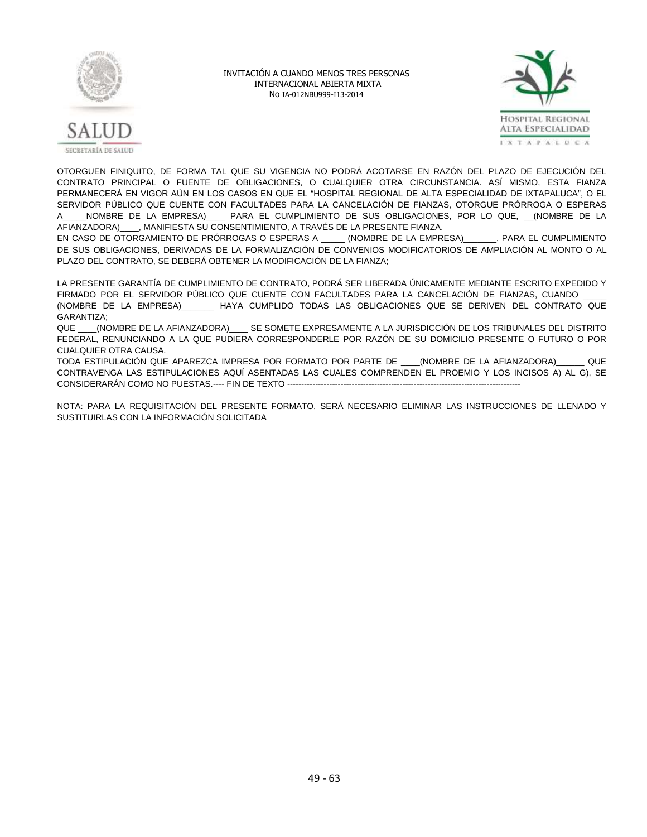



OTORGUEN FINIQUITO, DE FORMA TAL QUE SU VIGENCIA NO PODRÁ ACOTARSE EN RAZÓN DEL PLAZO DE EJECUCIÓN DEL CONTRATO PRINCIPAL O FUENTE DE OBLIGACIONES, O CUALQUIER OTRA CIRCUNSTANCIA. ASÍ MISMO, ESTA FIANZA PERMANECERÁ EN VIGOR AÚN EN LOS CASOS EN QUE EL "HOSPITAL REGIONAL DE ALTA ESPECIALIDAD DE IXTAPALUCA", O EL SERVIDOR PÚBLICO QUE CUENTE CON FACULTADES PARA LA CANCELACIÓN DE FIANZAS, OTORGUE PRÓRROGA O ESPERAS A\_\_\_\_\_NOMBRE DE LA EMPRESA)\_\_\_\_ PARA EL CUMPLIMIENTO DE SUS OBLIGACIONES, POR LO QUE, \_\_(NOMBRE DE LA AFIANZADORA)\_\_\_\_, MANIFIESTA SU CONSENTIMIENTO, A TRAVÉS DE LA PRESENTE FIANZA.

EN CASO DE OTORGAMIENTO DE PRÓRROGAS O ESPERAS A \_\_\_\_\_ (NOMBRE DE LA EMPRESA)\_\_\_\_\_\_\_, PARA EL CUMPLIMIENTO DE SUS OBLIGACIONES, DERIVADAS DE LA FORMALIZACIÓN DE CONVENIOS MODIFICATORIOS DE AMPLIACIÓN AL MONTO O AL PLAZO DEL CONTRATO, SE DEBERÁ OBTENER LA MODIFICACIÓN DE LA FIANZA;

LA PRESENTE GARANTÍA DE CUMPLIMIENTO DE CONTRATO, PODRÁ SER LIBERADA ÚNICAMENTE MEDIANTE ESCRITO EXPEDIDO Y FIRMADO POR EL SERVIDOR PÚBLICO QUE CUENTE CON FACULTADES PARA LA CANCELACIÓN DE FIANZAS, CUANDO (NOMBRE DE LA EMPRESA)\_\_\_\_\_\_\_ HAYA CUMPLIDO TODAS LAS OBLIGACIONES QUE SE DERIVEN DEL CONTRATO QUE GARANTIZA;

QUE \_\_\_\_(NOMBRE DE LA AFIANZADORA)\_\_\_\_ SE SOMETE EXPRESAMENTE A LA JURISDICCIÓN DE LOS TRIBUNALES DEL DISTRITO FEDERAL, RENUNCIANDO A LA QUE PUDIERA CORRESPONDERLE POR RAZÓN DE SU DOMICILIO PRESENTE O FUTURO O POR CUALQUIER OTRA CAUSA.

TODA ESTIPULACIÓN QUE APAREZCA IMPRESA POR FORMATO POR PARTE DE \_\_\_\_(NOMBRE DE LA AFIANZADORA)\_\_\_\_\_\_ QUE CONTRAVENGA LAS ESTIPULACIONES AQUÍ ASENTADAS LAS CUALES COMPRENDEN EL PROEMIO Y LOS INCISOS A) AL G), SE CONSIDERARÁN COMO NO PUESTAS.---- FIN DE TEXTO -----------------------------------------------------------------------------------

NOTA: PARA LA REQUISITACIÓN DEL PRESENTE FORMATO, SERÁ NECESARIO ELIMINAR LAS INSTRUCCIONES DE LLENADO Y SUSTITUIRLAS CON LA INFORMACIÓN SOLICITADA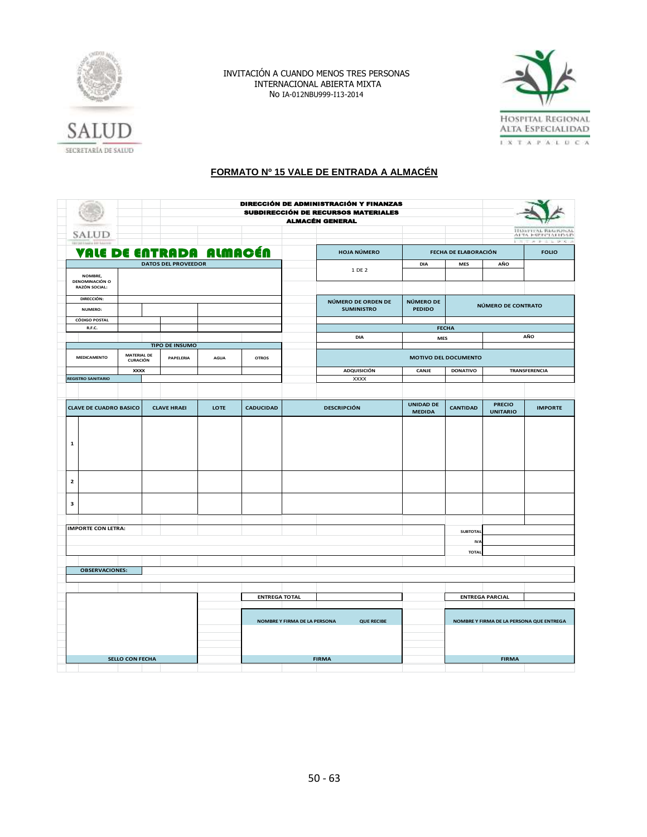



# SECRETARÍA DE SALUD

# **FORMATO Nº 15 VALE DE ENTRADA A ALMACÉN**

|                                        |                                                   |                                       |                            |                              |                      | DIRECCIÓN DE ADMINISTRACIÓN Y FINANZAS<br><b>SUBDIRECCIÓN DE RECURSOS MATERIALES</b><br><b>ALMACÉN GENERAL</b> |                                         |                                   |                                          |                                  |                                          |
|----------------------------------------|---------------------------------------------------|---------------------------------------|----------------------------|------------------------------|----------------------|----------------------------------------------------------------------------------------------------------------|-----------------------------------------|-----------------------------------|------------------------------------------|----------------------------------|------------------------------------------|
|                                        | SALUD                                             |                                       |                            |                              |                      |                                                                                                                |                                         |                                   |                                          | <b>FOR</b>                       | HISSPITAL RIGHTSPAL<br>AFTA ESPTCLALIDSD |
|                                        |                                                   |                                       | VALE DE ENTRADA ALMACÉN    |                              |                      |                                                                                                                | <b>HOJA NÚMERO</b>                      |                                   | FECHA DE ELABORACIÓN                     |                                  | エネチネルギス<br><b>FOLIO</b>                  |
|                                        |                                                   |                                       | <b>DATOS DEL PROVEEDOR</b> |                              |                      |                                                                                                                |                                         | <b>DIA</b>                        | MES                                      | AÑO                              |                                          |
|                                        | NOMBRE,<br><b>DENOMINACIÓN O</b><br>RAZÓN SOCIAL: |                                       |                            |                              |                      |                                                                                                                | 1 DE 2                                  |                                   |                                          |                                  |                                          |
|                                        | DIRECCIÓN:<br>NUMERO:                             |                                       |                            |                              |                      |                                                                                                                | NÚMERO DE ORDEN DE<br><b>SUMINISTRO</b> | NÚMERO DE<br><b>PEDIDO</b>        |                                          | NÚMERO DE CONTRATO               |                                          |
|                                        | <b>CÓDIGO POSTAL</b>                              |                                       |                            |                              |                      |                                                                                                                |                                         |                                   |                                          |                                  |                                          |
|                                        | R.F.C.                                            |                                       |                            |                              |                      |                                                                                                                |                                         |                                   | <b>FECHA</b>                             |                                  |                                          |
|                                        |                                                   |                                       |                            |                              |                      |                                                                                                                | DIA                                     |                                   |                                          |                                  | AÑO                                      |
|                                        |                                                   |                                       | <b>TIPO DE INSUMO</b>      |                              |                      |                                                                                                                |                                         | <b>MES</b>                        |                                          |                                  |                                          |
|                                        | <b>MEDICAMENTO</b>                                | <b>MATERIAL DE</b><br><b>CURACIÓN</b> | PAPELERIA                  | <b>AGUA</b>                  | <b>OTROS</b>         |                                                                                                                |                                         |                                   | MOTIVO DEL DOCUMENTO                     |                                  |                                          |
|                                        |                                                   | <b>XXXX</b>                           |                            |                              |                      |                                                                                                                | <b>ADQUISICIÓN</b>                      | CANJE                             | <b>DONATIVO</b>                          |                                  | <b>TRANSFERENCIA</b>                     |
|                                        | <b>REGISTRO SANITARIO</b>                         |                                       |                            |                              |                      |                                                                                                                | <b>XXXX</b>                             |                                   |                                          |                                  |                                          |
|                                        |                                                   |                                       |                            |                              |                      |                                                                                                                |                                         |                                   |                                          |                                  |                                          |
|                                        | <b>CLAVE DE CUADRO BASICO</b>                     |                                       | <b>CLAVE HRAEI</b>         | LOTE                         | <b>CADUCIDAD</b>     |                                                                                                                | <b>DESCRIPCIÓN</b>                      | <b>UNIDAD DE</b><br><b>MEDIDA</b> | <b>CANTIDAD</b>                          | <b>PRECIO</b><br><b>UNITARIO</b> | <b>IMPORTE</b>                           |
| $\mathbf 1$<br>$\overline{\mathbf{2}}$ |                                                   |                                       |                            |                              |                      |                                                                                                                |                                         |                                   |                                          |                                  |                                          |
| 3                                      |                                                   |                                       |                            |                              |                      |                                                                                                                |                                         |                                   |                                          |                                  |                                          |
|                                        |                                                   |                                       |                            |                              |                      |                                                                                                                |                                         |                                   |                                          |                                  |                                          |
|                                        | <b>IMPORTE CON LETRA:</b>                         |                                       |                            |                              |                      |                                                                                                                |                                         |                                   | <b>SUBTOTAL</b>                          |                                  |                                          |
|                                        |                                                   |                                       |                            |                              |                      |                                                                                                                |                                         |                                   | <b>IVA</b>                               |                                  |                                          |
|                                        |                                                   |                                       |                            |                              |                      |                                                                                                                |                                         |                                   | <b>TOTAL</b>                             |                                  |                                          |
|                                        |                                                   |                                       |                            |                              |                      |                                                                                                                |                                         |                                   |                                          |                                  |                                          |
|                                        | <b>OBSERVACIONES:</b>                             |                                       |                            |                              |                      |                                                                                                                |                                         |                                   |                                          |                                  |                                          |
|                                        |                                                   |                                       |                            |                              |                      |                                                                                                                |                                         |                                   |                                          |                                  |                                          |
|                                        |                                                   |                                       |                            |                              |                      |                                                                                                                |                                         |                                   |                                          |                                  |                                          |
|                                        |                                                   |                                       |                            |                              | <b>ENTREGA TOTAL</b> |                                                                                                                |                                         |                                   |                                          | <b>ENTREGA PARCIAL</b>           |                                          |
|                                        |                                                   |                                       |                            |                              |                      |                                                                                                                |                                         |                                   |                                          |                                  |                                          |
|                                        |                                                   |                                       |                            | NOMBRE Y FIRMA DE LA PERSONA | <b>QUE RECIBE</b>    |                                                                                                                |                                         |                                   | NOMBRE Y FIRMA DE LA PERSONA QUE ENTREGA |                                  |                                          |
|                                        |                                                   |                                       |                            |                              |                      |                                                                                                                |                                         |                                   |                                          |                                  |                                          |
|                                        |                                                   |                                       |                            |                              |                      |                                                                                                                |                                         |                                   |                                          |                                  |                                          |
|                                        |                                                   | <b>SELLO CON FECHA</b>                |                            |                              |                      |                                                                                                                | <b>FIRMA</b>                            |                                   |                                          | <b>FIRMA</b>                     |                                          |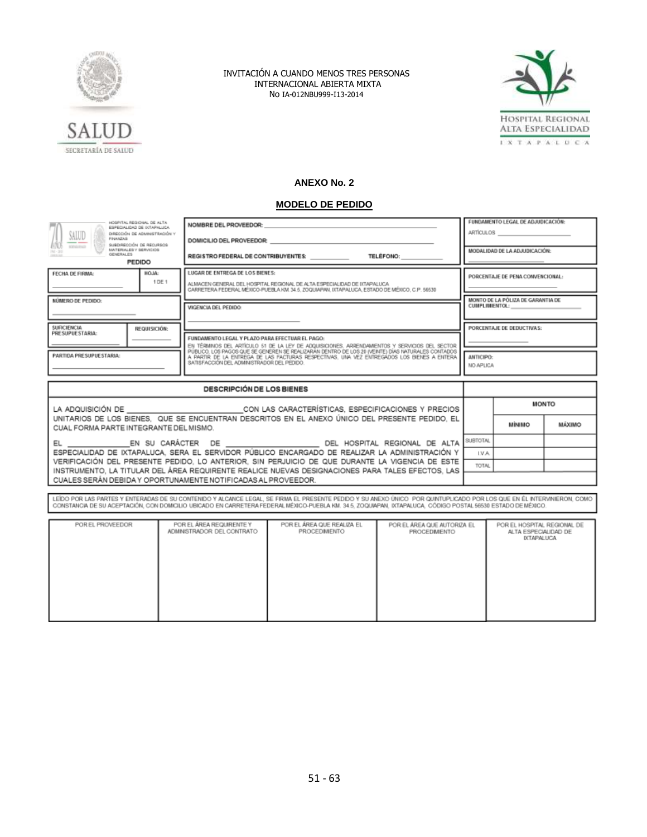



# **ANEXO No. 2**

# **MODELO DE PEDIDO**

| HOSPITAL REGIONAL, DE ALTA<br>ESPECIALIDAD DE INTARALISCA<br>SALUD<br>DIRECCIÓN DE ADMINISTRACIÓN Y<br>FINANZAS<br>SUBDIRECCIÓN DE RECURSOS                                                       |                                  | NOMBRE DEL PROVEEDOR:<br>DOMICILIO DEL PROVEEDOR:                                                                                                                                                                                                                                                                                                                                                |                               | FUNDAMENTO LEGAL DE ADJUDICACIÓN:<br>ARTÍCULOS |        |  |
|---------------------------------------------------------------------------------------------------------------------------------------------------------------------------------------------------|----------------------------------|--------------------------------------------------------------------------------------------------------------------------------------------------------------------------------------------------------------------------------------------------------------------------------------------------------------------------------------------------------------------------------------------------|-------------------------------|------------------------------------------------|--------|--|
| egestioned<br>MATERIALES Y SERVICIOS<br>GENERAL ES<br><b>HELLIS</b><br><b>PEDIDO</b>                                                                                                              |                                  | REGISTRO FEDERAL DE CONTRIBUYENTES: TELÉFONO:                                                                                                                                                                                                                                                                                                                                                    | MODALIDAD DE LA ADJUDICACIÓN: |                                                |        |  |
| HOJA:<br>FECHA DE FIRMA:<br>1 DE 1                                                                                                                                                                |                                  | LUGAR DE ENTREGA DE LOS BIENES:<br>ALMACEN GENERAL DEL HOSPITAL REGIONAL DE ALTA ESPECIALIDAD DE IXTAPALUCA<br>CARRETERA FEDERAL MÉXICO-PUEBLA KM 34.5. ZOQUIAPAN, IXTAPALUCA, ESTADO DE MÉXICO, C.P. 56530                                                                                                                                                                                      |                               | PORCENTAJE DE PENA CONVENCIONAL:               |        |  |
| NÚMERO DE PEDIDO:                                                                                                                                                                                 |                                  | VIGENCIA DEL PEDIDO:                                                                                                                                                                                                                                                                                                                                                                             | CUMPLIMIENTOL:                | MONTO DE LA PÓLIZA DE GARANTIA DE              |        |  |
| SUFICIENCIA<br>REQUISICIÓN:<br>PRESUPUESTARIA:                                                                                                                                                    |                                  | FUNDAMENTO LEGAL Y PLAZO PARA EFECTUAR EL PAGO:<br>EN TÉRMINOS DEL ARTÍCULO 51 DE LA LEY DE ADQUISICIONES, ARRENDAMIENTOS Y SERVICIOS DEL SECTOR<br>PÚBLICO, LOS PAGOS QUE SE GENEREN SE REALIZARÁN DENTRO DE LOS 20 (VEINTE) DÍAS NATURALES CONTADOS<br>A PARTIR DE LA ENTREGA DE LAS FACTURAS RESPECTIVAS. UNA VEZ ENTREGADOS LOS BIENES A ENTERA<br>SATISFACCIÓN DEL ADMINISTRADOR DEL PEDIDO |                               | PORCENTAJE DE DEDUCTIVAS:                      |        |  |
| PARTIDA PRESUPUESTARIA:                                                                                                                                                                           |                                  |                                                                                                                                                                                                                                                                                                                                                                                                  |                               | <b>ANTICIPO:</b><br>NO APLICA                  |        |  |
|                                                                                                                                                                                                   | <b>DESCRIPCIÓN DE LOS BIENES</b> |                                                                                                                                                                                                                                                                                                                                                                                                  |                               |                                                |        |  |
| LA ADQUISICIÓN DE CON LAS CARACTERÍSTICAS, ESPECIFICACIONES Y PRECIOS                                                                                                                             |                                  | <b>MONTO</b>                                                                                                                                                                                                                                                                                                                                                                                     |                               |                                                |        |  |
| UNITARIOS DE LOS BIENES. QUE SE ENCUENTRAN DESCRITOS EN EL ANEXO ÚNICO DEL PRESENTE PEDIDO. EL<br>CUAL FORMA PARTE INTEGRANTE DEL MISMO.                                                          |                                  |                                                                                                                                                                                                                                                                                                                                                                                                  |                               | мінімо                                         | MÁXIMO |  |
| EL _________________EN SU CARÁCTER DE ____________________________DEL HOSPITAL REGIONAL DE ALTA                                                                                                   | SUBTOTAL                         |                                                                                                                                                                                                                                                                                                                                                                                                  |                               |                                                |        |  |
| ESPECIALIDAD DE IXTAPALUCA, SERA EL SERVIDOR PÚBLICO ENCARGADO DE REALIZAR LA ADMINISTRACIÓN Y<br>VERIFICACIÓN DEL PRESENTE PEDIDO, LO ANTERIOR, SIN PERJUICIO DE QUE DURANTE LA VIGENCIA DE ESTE | LV.A.                            |                                                                                                                                                                                                                                                                                                                                                                                                  |                               |                                                |        |  |
| TOTAL<br>INSTRUMENTO, LA TITULAR DEL ÁREA REQUIRENTE REALICE NUEVAS DESIGNACIONES PARA TALES EFECTOS, LAS<br>CUALES SERÁN DEBIDA Y OPORTUNAMENTE NOTIFICADAS AL PROVEEDOR.                        |                                  |                                                                                                                                                                                                                                                                                                                                                                                                  |                               |                                                |        |  |

LEÍDO POR LAS PARTES Y ENTERADAS DE SU CONTENDO Y ALCANCE LEGAL, SE FIRMA EL PRESENTE PEDIDO Y SU ANEXO ÚNICO POR QUINTUPLICADO POR LOS QUE EN ÉL INTERVINERON, COMO<br>CONSTANCIA DE SU ACEPTACIÓN, CON DOMICILIO UBICADO EN CAR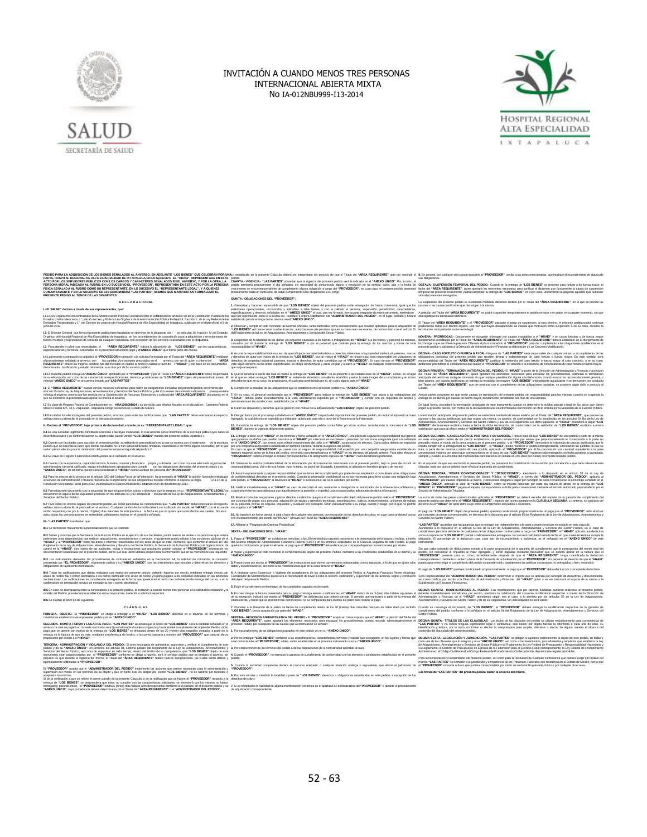



#### $E$ scrit $E$ scrit $E$ scrit $E$ scrit $E$ scrit $\mathcal{L}$ PÉDIDO NARLA LA DOSIGISION DE LOS BERES ESPALADOS AL ANYGERO, EN ADELANTE "LOS BIENES" QUE CELEBRAN POR UNA C<br>PERSONA MORAL RODCADA AL RUBOL EX LOS CARDOS Y CARACTERES SEÑALADOS EN EL ANYERSO, Y POR LA CIPIE ALLE<br>PERSONA M **PRESENTES**<br>PRESENTES<br>PERIODIENTES

#### **D E C L A R A C I O N E S**

**I.- El "HRAEI" declara a través de sus representantes, que:** 1.1 Es un Organismo Descentralizado de la Administración Pública Federal tal como lo establecen los artículos 90 de la Constitución Política de los<br>Estados Unidos Mexicanos, 1º, párrafo tercero y 45 de la Ley Orgánica de l Entidades Paraestatales y 1°, del Decreto de creación de Hospital Regional de Alta Especialidad de Ixtapaluca, publicado en el diario oficial el 8 de

junio de 2012. **I.2** El Director General que firma el presente pedido tiene facultades en términos de lo dispuesto por l os artículos 16, fracción IV del Estatuto Orgánico del Hospital Regional de Alta Especialidad de Ixtapaluca , en los procedimientos de contratación para la adquisición y arrendamiento de bienes muebles y la prestación de servicios de cualquier naturaleza, con excepción de los servicios relacionados con la obraública.

1.3 Para atender y cubrir sus necesidades, el "AREA REQUIRENTE" solicita la adquisición de "LOS BIENES" con las características,<br>especificaciones y términos, contenidos en el presente instrumento legal y el ANEXO ÚNICO" qu

**I.4** La presente contratación se adjudicó al **"PROVEEDOR** en atención a la solicitud formulada por el Titular del **"ÁREA REQUIRENTE"**mediante el procedimiento señalado al anverso, con las partidas y/o conceptos precisados en el anverso, por ser él, quien a criterio del **"ÁREA REQUIRENTE"** ofrece las mejores condiciones del mercado en cuanto al precio y calidad a favor de l **"HRAEI"** y con base en los documentos denominados Justificación y estudio referencial, suscritos por dicho servidor público.

1.5 El presente pedido incluye un **"ANEXO ÚNICO"** aprobado por el **"PROVEEDOR"** y por el Titular del **"AREA REQUIRENTE"**como responsable<br>de su elaboración, así como de las características especificaciones, términos ycondic

L6 El "**ÁREA REQUIRENTE"** cuenta con los recursos suficientes para cubrir las obligaciones derivadas del presente pedido en términos del<br>articulo 25 de la Ley de Adquisiciones, Arrendamientos y Servicios del Sector Público que se determina la procedencia de aplicar la referida al anverso.

1.7 Su clave de Registro Federal de Contribuyentes es: HRA120609DQ4 y su domicilio para efectos fiscales es el ubicado en Carretera Federal<br>México-Puebla Km. 34.5, Zoquiapan, Ixtapaluca,código postal 56530, Estado de Méxic

**I.8** Para todos los efectos legales del presente pedido, así como para todas las notificaciones que **"LAS PARTES"** deban efectuarse al respecto, señala como su domicilio el precisado en la declaración anterior.

**II.- Declara el "PROVEEDOR", bajo protesta de decirverdad, a través de su "REPRESENTANTE LEGAL", que:**

II.1 Es una sociedad legalmente constituida conforme a las leyes mexicanas, lo cual acredita con el testimonio de la escritura púlica cuyos datos se<br>describen al rubro y de conformidad con su obieto soial, puede vender "LO **II.2** Cuenta con facultades para suscribir el presente pedido, acreditando la personalidad con la que se ostenta con el testimonio — de la escritura<br>pública que se describe al rubro; que dichas facultades no le han sido m surten plenos efectos para la celebración del presente instrumento jurídicoApéndice 2

**II.3** Su clave de Registro Federal de Contribuyentes es el señalado en el anverso.

II.4 Cuenta con la experiencia, capacidad técnica, humana, material y financiera —propia y suficiente, así como con una adecuada organización<br>administrativa, personal calificado, equipo e instataciones apropiadas para cump

II.5 Para los efectos de lo previsto en el artículo 32D del Código Fiscal de la Federación, ha presentado al "HRAEI" la opinión favorable emitida por<br>el Servicio de Administración Tributaria respecto del cumplimiento de su Resolución Miscelánea Fiscal para 2012, publicada en el Diario Oficial de la Federación el 28 de diciembre de 2011.

**II.6** Formaliza este documento con la seguridad de que ninguno de los socios o directivos que la integran, ni su **"REPRESENTANTE LEGAL"**se<br>encuentran en alguno de los sucuestos previstos en los artículos 50 v 60 antepenút encuentran en alguno de los su

IIL7 Para todos los efectos legates del presente pedido, así como para todas nordenadores que "LAS PARTES" doba<br>señala como su domicilio el precisado en el anverso. Cualquier cambio de domicilio deben ser notificado per el **III.- "LAS PARTES"** manifiestan que:

**III.1** Se reconocen mutuamente la personalidad con que se ostentan;

#### **III.2** Saben y conocen que la Secretaría de la Función Pública en el ejercicio de sus facultades, podrá realizar las visitas e inspecciones que estime pertinentes a las dependencias que realicen adquisiciones, arrendamientos y servicios, e igualmente podrá solicitar a los servidores públicos de el **"HRAEI"** y al **"PROVEEDOR"** todos los datos e informes relacionados con los actos de que se trate. Asimismo, que conforme al artículo 107 del Reglamento de la Ley de Adquisiciones, Arrendamientos y Servicios del Sector Público, la Secretaría de la Función Pública y el órgano interno de control en la **"HRAEI"**, con motivo de las auditorias, visitas o inspecciones que practiquen, podrán solicitar al **"PROVEEDOR"** información y/o documentación relacionada con el presente pedido, por lo que este último deberá proporcionar la información que en su momento le sea requerida;

III.3 Los instrumentos derivados del procedimiento de contratación señalados en la Declaración I.4, la solicitud de cotización, la cotización<br>presentada por "EL PROVEEDOR", el presente pedido y su "ANEXO ÚNICO", son los in obligaciones en la presente contratación. **III.4** Todas las notificaciones que deban realizarse con motivo del presente pedido, deberán hacerse por escrito, mediante entrega directa con<br>acuse de recibo, fax o correo electrónico o vía correo certificado con acuse d

declaraciones. Las notificaciones se considerarán entregadas en la fecha que aparece en el recibo de confirmación de entrega del correo, o en la confirmación de entrega del servicio de mensajería, fax o correo electrónico. **III.5** En caso de discrepancia entre la convocatoria a la licitación pública, la invitación a cuando menos tres personas o la solicitud de cotización y el<br>modelo del Pedido, prevalecerá lo establecido en la convocatoria,

#### al tenor de las siguientes:

**C L Á U S U L A S**

#### PRIMERA- OBJETO.- El "PROVEEDOR" se obliga a entregar a el "HRAEI", "LOS BIENES" descritos en el anverso, en los términos y<br>condiciones establecidos en el presente pedido y en su "ANEXO ÚNICO". **.<br><b>NDA.- MONTO, FORMA Y LUGAR DE PAGO.- "LAS PARTES" a**cue<br>o. la cual se pagará en moneda nacional y será fila e inalterable durant anverso, la cual se pagará en monda nacional y será lija e inalienzilo durante su vigencial de la cual de medi<br>pagó que se genere con motivo de la entrega de "LOS BIENES" se electuará dentro de los 20 (veinte) dias natural

TERCERA.» ADMINISTRACIÓN Y VIGILANCIA DEL PEDIDO.» El área encargada de administrar, supervisar y verificar el cumplimiento de este<br>pedido y de su "ANEXO ÚNICO", en términos del artículo 84, séptimo párrafo del Reglamento Servicios del Sector Público; así como de supervisar en todo tiempo, dentro del ámbito de su competencia, que "L**OS BIENES"** objeto de este<br>Instrumento sean proporcionados por el "**PROVEEDOR"** contorme se obligó a hacerlo,

oportunamente notificadas al **"PROVEEDOR"**. El "PROVEEDOR" acepta que el "ADMINISTRADOR DEL PEDIDO" implemente las acciones que estime necesarias para la administración y<br>supervisión del mismo en los términos de su objeto y que en tanto éste no acepte por escrito "L

aceptados komiemos.<br>Si de la verilización a que se reflere el primer párrafo de la prosente Cláusula, o de la notivo el minimitaci<br>entrega de "LOS BIENES", se desprendera que éstos no cumplen con las características solvis **"ANEXO ÚNICO"**, cuya procedencia deberá determinarse por el Titular del **"ÁREA REQUIRENTE"** o el **"ADMINISTRADOR DEL PEDIDO".**  on<br>su 7. Sise e<br>de adjud

Lo suisticolo en la presenc Claudia debrá ser interpretacion pepicó de que el Taur od - **AREA RECURENTE**" opera recorde d<br>COMETA - Videlical - LAS PARTES" acuerdan que la vigencia del presente pedici ser la industa en el " **QUINTA.- OBLIGACIONES DEL "PRO** 

1. Garantzar y hacerse responsable de que "**LOS BIENES**" objeto del presente pedido serán entregados de forma profesional, igual que los<br>estándares operacionales, reconocidos y aplicables a tales bienes y con la calidad, e especificaciones y términos señalados en el "ANEXO UNICO" el cual, una vez firmado, forma parte integrante de este instrumento, teniéndose<br>aquí por reproducido como si a la tetra se i nsentara, a entera satisfacción del "A

**2.** Observar y c **"LOS BIENES"** así como contar con las licencias, autorizaciones y/o permisos que en su caso sean necesarias, de conformidad con el artículo 31 del Reglamento de la Ley de Adquisiciones, Arrendamientos y Servicios del Sector Público.

3. Responder de la totalidad de los daños y/o perjuicios causados a los bienes o trabajadores del "HRAEI" o a los bienes y personal de terceros,<br>causados por él durante la entrega de "LOS BIENES" o por el personal que cont responsabilidad al **"HRAEI"**.

4. Ausmi la responsibilisid total en caso de que infinipia homatividad relativa a dereche inference al propiede imitation parces de provincipamente de la propiede and total provincipamente and the state of the state of the viole algún derecho de<br>que suria al respecto.

5. Que el personal a través del cual se realice la entrega de **"LOS BIENES"** no se presente a las instalaciones de el "HRAEI", o bien, en el lugar<br>en el que se deban entregar **"LOS BIENES"** en estado de ebriedad o con alle

**6.** Cumplir con la totalidad de las obligaciones que se establecen en el presente pedido y su **"ANEXO ÚNICO"**. 7. En su caso, el pesonal comisionado por el "PROVEEDOR" para realizar la entrega de "LOS BIENES" que asista a las instalaciones del<br>"HRAE", deberá portar invariablemente a la vista, identificación expedida por el "PROVEED

**8.** Cubrir los impuestos y derechos que se generen con motivo de la a

9. Otorgar fianza por el porcentaje señalado en el "**ANEXO ÚNICO**" respecto del importe total del presente pedido, sin incluir el Impuesto al Valor<br>Agregado, la cual deberá ser expedida por institución autorizada para ello **10.** Garantizar la entrega de "LOS BIENES" objeto del presente pedido contra fallas y/o vicios ocultos, co<br>BIENES", durante la vigencia del presente pedido.

BIENCE", durante te gencie dal presente posto.<br>11. Entrega a lavor de d<sup>u</sup>rificatif e conservatorio de l'absolvato en al PANEXO DNACO", una poliza de seguno de regolazione del protezi<br>11. Entrega a lavor de presidente pass

En caso de que el "P**ROVEEDOR**" ya cuente con un seguro de resporsabildad civil expedido por una compañía aseguradora establecida en<br>territorio nacional, antes de la firma del pedido, como beneficiario a el "HRAEI" en los 12. Mantener la estricta confidenc

responsabilidad penal, civil o de otra índole, y por lo tanto, no podrá ser divulgada, transmitida, ni utilizada en beneficio propio o de tercero. **13.** Asumir expresamente cualquier responsabilidad que se derive del incumplimiento por parte de sus empleados o consultores a las obligaciones de confidencialidad descritas en el presente pedido. Cuando la información confidencial ya no sea necesaria para llevar a cabo una obligación bajo

este pedido, el **"PROVEEDOR"** la devolverá al **"HRAEI"** o la destruirá si así se le solicitara por escrito. **14.** Notificar inmediatamente a el "HRAEI" en caso de de cooperará en forma razonable para que aquélla retome la posesión e impedirá usos no autorizados adicionales de dicha información.

15. Realizar todas las erogaciones y gastos directos e indirectos que para el cumplimiento del objeto del presente pedido realice el "PROVEEDOR"<br>por concepto de pagos a su personal, adquisición de equipo y utensilios de tr de su personal, primas de seguros, impuestos y cualquier otro concepto, serán exclusivamente a su cargo, cuenta y riesgo, por lo que no podrán ser exigidos a el **"HRAEI"**.

16. No transferir en forma parcial ni total a favor de cualquier otra persona, con excepción de los derechos de cobro, en cuyo caso se deberá contar<br>con el consentimiento por escrito del "HRAEI"" a través del Titular del "

**17.** Afiliarse al "Programa de Cadenas Productivas". **SEXTA.- OBLIGACIONES DE EL "HRAEI";**

1. Pagar al "**PROVEEDOR**", en exhibiciones vencidas, a los 20 (veinte) días naturales posteriores a la presentación de la factura o recibos, a través<br>del Sistema Integral de Administración Financiera Federal (SIAFF) en los quedará condicionado, proporcionalmente, al pago que el **"PROVEEDOR"** deba efectuar por concepto de penas convencionales por atraso. **2.** Vigilar y supervisar en todo momento el cumplimiento del objeto del presente Pedido, conforme a las condiciones establecidas en el mismo y su **"ANEXO ÚNICO"**.

3. Proporcionar por escrito al "**PROVEEDOR**" las instrucciones que estime convenientes relacionadas con su ejecución, a fin de que se ajuste a los<br>datos y especificaciones, así como a las modificaciones que en su caso orde 4. A designar como Supervisor o Vigilante del cumplimiento de las obligaciones del presente Pedido al Arquitecto Francisco Reyes Alcántara,<br>Coordinador de Mantenimiento quien será el responsable de llevar a cabo la revisió

del objeto del presente Pedido. **5.** Exigir el cumplimiento o el reintegro de las cantidades pagadas en demasía.

6. En caso de que la factura presentada para su pago contenga errores o deficiencias, el "HRAEI" dentro de los 3 (tres) días hábiles siguientes al<br>de su recepción, indicará por escrito al "PROVEEDOR" las deficiencias que d citado escrito, y hasta que se presenten las correcciones, no se computarán para efectos del plazo para realizar el pago. **7.** Proceder a la liberación de la póliza de fianza de cumplimiento dentro de los 30 (treinta) días naturales después de haber dado por recibido **"LOS BIENES",** previa aceptación por parte del **"HRAEI"**.

SEPTIMA - RESCISION ADMINISTRATIVA DEL PEDIDO - El "PROVEEDOR" acepta en forma expresa que el "HRAEI", a petición del Titular del<br>"ÁREA REQUIRENTE", quien aportarà los elementos necesarios para encauzar los procedimientos,

**1.** Por incumplimiento de las obligaciones pactadas en este pedido y/o en su **"ANEXO ÚNICO"**; **2.** Por no entregar "LOS BIENES" conforme a las especificaciones, características, términos y sean comunicadas al **"PROVEEDOR"**, o bien, estén establecidas en el presente instrumento o en su **"ANEXO ÚNICO"**;

**3.** Por contravención de los términos del pedido o de las disposiciones de la normatividad aplicable al caso;

**4.** Cuando el **"PROVEEDOR"**, no entregue la garantía de cumplimiento de conformidad con los términos y condiciones establecidos en el presente pedido;

**5.** Cuando la autoridad competente declare el concurso mercantil, o cualquier situación análoga o equivalente, que afecte el patrimonio de **"PROVEEDOR"**;

**6.** Por subcontratar o transferir la totalidad o parte de **"LOS BIENES"**, derechos u obligaciones establecidos en este pedido, a excepción de los<br>derechos de cobro;

**7.** Si se comprueba la falsedad de alguna manifestación contenida en el apartado de declaraciones del **"PROVEEDOR"** o durante el procedimiento

**8.** En general, por cualquier otra causa imputable al **"PROVEEDOR"**, similar a las antes mencionadas, que implique el incumplimiento de alguna de sus obligaciones. OCTAVA- SUSPENSION TEMPORAL DEL PEDIDO.- Cuando en la entrega de "LOS BIENES" se presente caso fortulo o de fuerza mayor, el<br>titular del "ÁREA REQUIRENTE", quien aportarà los elementos necesarios para justificar el dotamen

sido efectivamente entregados. La suspensión del presente pedido se sustentará mediante dictamen emitido por el Titular del **"ÁREA REQUIRENTE"**, en el que se precise las

razones o las causas justificadas que dan origen a la misma.<br>A petición del Titular del "ÁREA REQUIRENTE" se podrá suspender temporalmente el pedido en todo o en parte, en cualquier momento, sin que<br>ello signifique su term

El Titular del **"ÁREA REQUIRENTE"** y el **"PROVEEDOR"** pactarán el plazo de suspensión, a cuyo término, el presente pedido podrá continuar produciendo todos sus efectos legales, una vez que hayan desaparecido las causas que motivaron dicha suspensión o en su caso, iniciarse la terminación anticipada del instrumento legal.

NOVENA.» PRÓRROGAS.» Únicamente se otorgarán prórrogas por causas imputables a el "HRAEI" y en casos fortuitos o de fuerza mayor<br>debidamente acreditados por el Titular del "ÁREA REQUIRENTE". El Titular del "ÁREA REQUIRENTE la prómoga a que se refiere la presente Cláusula el plazo concedido al **"PROVEEDOR"** para dar cumplimiento a las obligaciones establecidas en el<br>presente pedido y solicitará a la Dirección de Administración y Finanzas la e

DÉCMA - CASO FORTUITO O FUERZA MAYOR. Ninguna de "LAS PARTES" serà responsible de cualquier retrace o incumplmento de las<br>coligaciones derivadas del presente pedido que resulten directa o indirectamente de caso fortulto o

DECIMA PRIMERA» TERMINACION ANTICIPADA DEL PEDIDO» El "HRAEI" a través de la Dirección de Administración y Franzas y a petición<br>del Titular del "ÁREA REQUIRENTE", quien aportará los elementos necesarios para encauzar los p bien cuando, por causas justificadas se extinga la necesidad de requerir "LOS BIENES" originalmente adjudicados y se demuestre por conducto<br>del Titular del "ÁREA REQUIRENTE", que de continuar con el cumplimiento de las obl Estado.

Ambas partes convienen en que serán causas de terminación del presente pedido, sin responsabilidad para las mismas, cuando se suspenda la entrega de los bienes por causas de fuerza mayor, debidamente acreditadas por más de una semana. De igual forma, procederá la terminación anticipada de este instrumento cuando se determine la nulidad parcial o total de los actos que dieron<br>origen al presente pedido, con motivo de la resolución de una inconformidad o i

La terminación anticipada del presento pedio so sustenta del presente metido por el Titular del **AREA REQUIRENTE**<br>nazones cita causa judicadas que den origen a la miena. La setero, de conformidad con la causa por el T**itul** nazones o las causas justificadas que dan origen a la misma. Lo anterior, de conformidad con lo establecido en los artículos 54 Bis de la Ley de<br>Adquisiciones, Arrendamientos y Servicios del Sector Público y 102 de su Regi

salidación que para el elcor emia e "ADMINSTRADOR DEL PEDIDO".<br>No ban elfoquido alembro de los plazos existendos, la pera Coverciona por en el existente de comeporás la lami<br>Pedido alembro de los los plazos existendos, la trate, o parte de las mismas cuando ello sea posible, aplicando al "**PROVEEDOR**" por dicha cancelación una cantidad equivalente a la pena<br>convencional máxima por atraso que correspondería en el caso de que "LOS BIENES" hub

En el supuesto de que sea rescindido el presente pedido, no procederá la contabilización de la sanción por cancelación a que hace referencia esta cláusula, toda vez que se deberá hacer efectiva la garantía de cumplimiento. DÉCIMA TERCERA: "PENAS CONVENCIONALES" Y "DEDUCCIONES". Atendendo a lo dispuesto en el articulo 53 de la Ley de<br>Adquisiciones, Arrendamientos y Servicios del Sector Público, el "HRAEI", a través del "ADMIMÉTRADOR DEL PEDID "ANEXO ÚNICO", aplicado al valor de "LOS BIENES", sobre su importe facturado por cada dia natural de atraso en la entrega de "LOS<br>BIENES". El "PROVEEDOR" pagará el importe correspondiente a dicha pena convencional mediante

La suma de todas las penas convencionales aplicadas al "PROVEEDOR" no deberá exceder del importe de la garantía de cumplimiento del<br>presente pedido que determine el "AREA REQUIRENTE", respecto del monto pactado en la CLÁUS

El pago de "**LOS BIENES**" objeto del presente pedido, quedará condicionado proporcionalmente, al pago que el "**PROVEEDOR**" deba efectuar<br>por concepto de penas convencionales, en términos de lo dispuesto por el artículo 95

"LAS PARTES" suceden que la garantia que se doram os neleperdentes a la pera convertida que seriada en ela disa<br>currelense partir o dificante de calapara de las deligatores contrabales a cargo del "PROVERDOR", al "NRAE" ap

Sin que cada concepto de deducciones exceda a la parte proporcional de la garantía de cumplimiento que le corresponda del monto total del pedido, sin considerar el Impuesto al Valor Agregado, y serán pagadas mediante descuento que se deberá aplicar en la factura que el **"PROVEEDOR"** presente para su cobro, inmediatamente después de que el **"ÁREA REQUIRENTE"** tenga cuantificada la deducción correspondiente o mediante su entero a favor de la Tesorería de la Federación por el **"PROVEEDOR"**, sin perjuicio del derecho de que el **"HRAEI"** pueda optar entre exigir el cumplimiento del pedido o cancelar total o parcialmente las partidas o conceptos no entregados o bien, rescindirlo.

El pago de **"LOS BIENES"** quedará condicionado proporcionalmente, al pago que el **"PROVEEDOR"** deba efectuar por concepto de deductivas.

Será responsabilidad del "**ADMINISTRADOR DEL PEDIDO**" determinar el importe que se aplicará por concepto de deductivas y documentarias,<br>así como notilicar por escrito a la Dirección de Administración y Finanzas del "HRAEI"

DECAMA CUARTA. MODIFICACIONES AL PEDIDO, Las modificaciones que por racones fundadas pudieran realizarse al presente pedido,<br>deberán invariablemente formalizarse por escrito, mediante la celebración del convenio modificato

Cuando se convenga el incremento de "LOS BIENES", el "PROVEEDOR" deberá entregar la modificación respectiva de la garantía de<br>cumplimiento del pedido, conforme a lo señalado en el artículo 91 del Reglamento de la Ley de Ad Sector Público. DECIMA QUINTA.» TITULOS DE LAS CLAUSULAS.» Los títulos de las cláusulas del pedido se utilizan exclusivamente para conveniencia de<br>"LAS PARTES" y no tienen ninguna significación legal o contractual, sólo tienen por cojeto

contenido del clausulado del presente pedido. **DECIMA SEXTA.- LEGISLACIÓN Y JURISDICCIÓN.- "LAS PARTES"** se obligan a s

cada una de las disusulas que lo integrary a su "ANEXO UNICO", así como a los linearientos, procedentemos y requiedes que establece la Ley<br>de Adquisiciones, Arrendomientor y Servicios del Sector Público y su Regiamento; la

Para la interpretación y cumplimiento del presente pedido, así como para la resolución de cualquier controversia que pudiera surgir con motivo del<br>mismo, "LAS PARTES" se someten a la jurisdicción y competencia de los Tribu **Las firmas de "LAS PARTES" del presente pedido calzan al anverso del mismo.**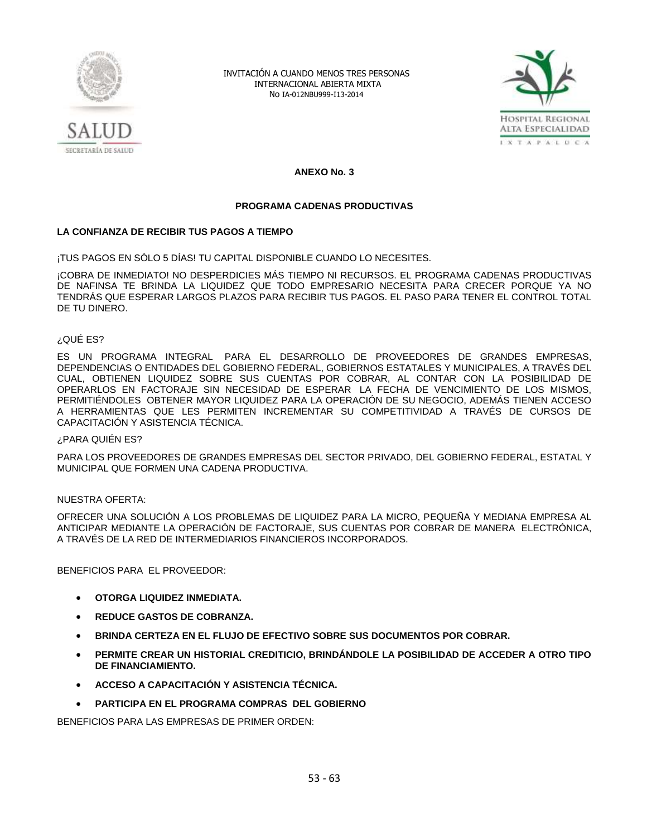



**ANEXO No. 3**

# **PROGRAMA CADENAS PRODUCTIVAS**

# **LA CONFIANZA DE RECIBIR TUS PAGOS A TIEMPO**

¡TUS PAGOS EN SÓLO 5 DÍAS! TU CAPITAL DISPONIBLE CUANDO LO NECESITES.

¡COBRA DE INMEDIATO! NO DESPERDICIES MÁS TIEMPO NI RECURSOS. EL PROGRAMA CADENAS PRODUCTIVAS DE NAFINSA TE BRINDA LA LIQUIDEZ QUE TODO EMPRESARIO NECESITA PARA CRECER PORQUE YA NO TENDRÁS QUE ESPERAR LARGOS PLAZOS PARA RECIBIR TUS PAGOS. EL PASO PARA TENER EL CONTROL TOTAL DE TU DINERO.

## ¿QUÉ ES?

ES UN PROGRAMA INTEGRAL PARA EL DESARROLLO DE PROVEEDORES DE GRANDES EMPRESAS, DEPENDENCIAS O ENTIDADES DEL GOBIERNO FEDERAL, GOBIERNOS ESTATALES Y MUNICIPALES, A TRAVÉS DEL CUAL, OBTIENEN LIQUIDEZ SOBRE SUS CUENTAS POR COBRAR, AL CONTAR CON LA POSIBILIDAD DE OPERARLOS EN FACTORAJE SIN NECESIDAD DE ESPERAR LA FECHA DE VENCIMIENTO DE LOS MISMOS, PERMITIÉNDOLES OBTENER MAYOR LIQUIDEZ PARA LA OPERACIÓN DE SU NEGOCIO, ADEMÁS TIENEN ACCESO A HERRAMIENTAS QUE LES PERMITEN INCREMENTAR SU COMPETITIVIDAD A TRAVÉS DE CURSOS DE CAPACITACIÓN Y ASISTENCIA TÉCNICA.

#### ¿PARA QUIÉN ES?

PARA LOS PROVEEDORES DE GRANDES EMPRESAS DEL SECTOR PRIVADO, DEL GOBIERNO FEDERAL, ESTATAL Y MUNICIPAL QUE FORMEN UNA CADENA PRODUCTIVA.

# NUESTRA OFERTA:

OFRECER UNA SOLUCIÓN A LOS PROBLEMAS DE LIQUIDEZ PARA LA MICRO, PEQUEÑA Y MEDIANA EMPRESA AL ANTICIPAR MEDIANTE LA OPERACIÓN DE FACTORAJE, SUS CUENTAS POR COBRAR DE MANERA ELECTRÓNICA, A TRAVÉS DE LA RED DE INTERMEDIARIOS FINANCIEROS INCORPORADOS.

BENEFICIOS PARA EL PROVEEDOR:

- **OTORGA LIQUIDEZ INMEDIATA.**
- **REDUCE GASTOS DE COBRANZA.**
- **BRINDA CERTEZA EN EL FLUJO DE EFECTIVO SOBRE SUS DOCUMENTOS POR COBRAR.**
- **PERMITE CREAR UN HISTORIAL CREDITICIO, BRINDÁNDOLE LA POSIBILIDAD DE ACCEDER A OTRO TIPO DE FINANCIAMIENTO.**
- **ACCESO A CAPACITACIÓN Y ASISTENCIA TÉCNICA.**
- **PARTICIPA EN EL PROGRAMA COMPRAS DEL GOBIERNO**

BENEFICIOS PARA LAS EMPRESAS DE PRIMER ORDEN: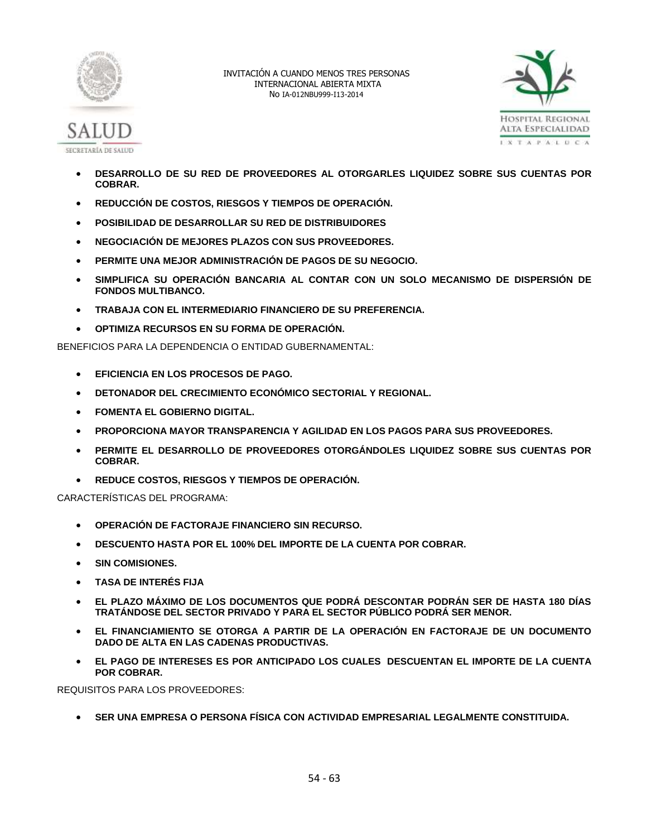



- **DESARROLLO DE SU RED DE PROVEEDORES AL OTORGARLES LIQUIDEZ SOBRE SUS CUENTAS POR COBRAR.**
- **REDUCCIÓN DE COSTOS, RIESGOS Y TIEMPOS DE OPERACIÓN.**
- **POSIBILIDAD DE DESARROLLAR SU RED DE DISTRIBUIDORES**
- **NEGOCIACIÓN DE MEJORES PLAZOS CON SUS PROVEEDORES.**
- **PERMITE UNA MEJOR ADMINISTRACIÓN DE PAGOS DE SU NEGOCIO.**
- **SIMPLIFICA SU OPERACIÓN BANCARIA AL CONTAR CON UN SOLO MECANISMO DE DISPERSIÓN DE FONDOS MULTIBANCO.**
- **TRABAJA CON EL INTERMEDIARIO FINANCIERO DE SU PREFERENCIA.**
- **OPTIMIZA RECURSOS EN SU FORMA DE OPERACIÓN.**

BENEFICIOS PARA LA DEPENDENCIA O ENTIDAD GUBERNAMENTAL:

- **EFICIENCIA EN LOS PROCESOS DE PAGO.**
- **DETONADOR DEL CRECIMIENTO ECONÓMICO SECTORIAL Y REGIONAL.**
- **FOMENTA EL GOBIERNO DIGITAL.**
- **PROPORCIONA MAYOR TRANSPARENCIA Y AGILIDAD EN LOS PAGOS PARA SUS PROVEEDORES.**
- **PERMITE EL DESARROLLO DE PROVEEDORES OTORGÁNDOLES LIQUIDEZ SOBRE SUS CUENTAS POR COBRAR.**
- **REDUCE COSTOS, RIESGOS Y TIEMPOS DE OPERACIÓN.**

CARACTERÍSTICAS DEL PROGRAMA:

- **OPERACIÓN DE FACTORAJE FINANCIERO SIN RECURSO.**
- **DESCUENTO HASTA POR EL 100% DEL IMPORTE DE LA CUENTA POR COBRAR.**
- **SIN COMISIONES.**
- **TASA DE INTERÉS FIJA**
- **EL PLAZO MÁXIMO DE LOS DOCUMENTOS QUE PODRÁ DESCONTAR PODRÁN SER DE HASTA 180 DÍAS TRATÁNDOSE DEL SECTOR PRIVADO Y PARA EL SECTOR PÚBLICO PODRÁ SER MENOR.**
- **EL FINANCIAMIENTO SE OTORGA A PARTIR DE LA OPERACIÓN EN FACTORAJE DE UN DOCUMENTO DADO DE ALTA EN LAS CADENAS PRODUCTIVAS.**
- **EL PAGO DE INTERESES ES POR ANTICIPADO LOS CUALES DESCUENTAN EL IMPORTE DE LA CUENTA POR COBRAR.**

REQUISITOS PARA LOS PROVEEDORES:

**SER UNA EMPRESA O PERSONA FÍSICA CON ACTIVIDAD EMPRESARIAL LEGALMENTE CONSTITUIDA.**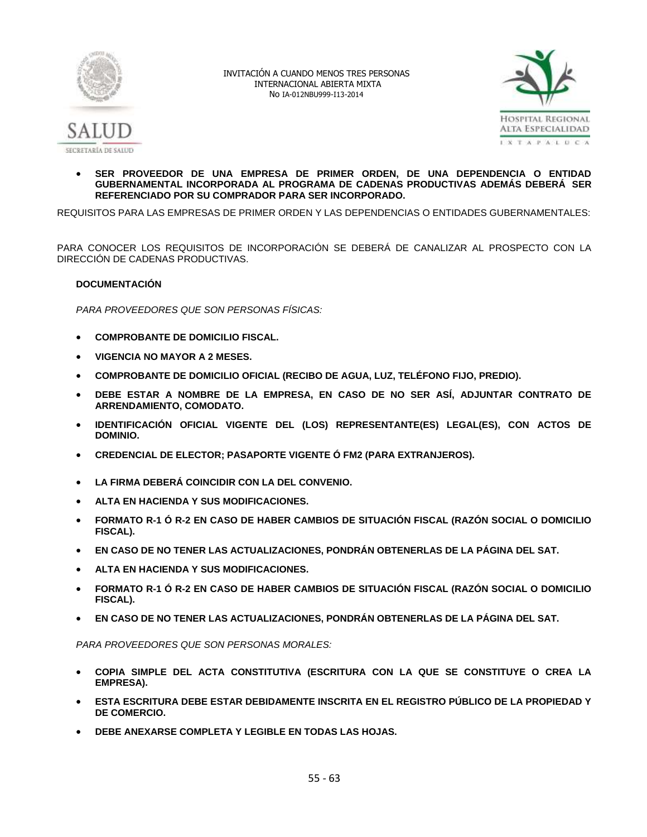



 **SER PROVEEDOR DE UNA EMPRESA DE PRIMER ORDEN, DE UNA DEPENDENCIA O ENTIDAD GUBERNAMENTAL INCORPORADA AL PROGRAMA DE CADENAS PRODUCTIVAS ADEMÁS DEBERÁ SER REFERENCIADO POR SU COMPRADOR PARA SER INCORPORADO.**

REQUISITOS PARA LAS EMPRESAS DE PRIMER ORDEN Y LAS DEPENDENCIAS O ENTIDADES GUBERNAMENTALES:

PARA CONOCER LOS REQUISITOS DE INCORPORACIÓN SE DEBERÁ DE CANALIZAR AL PROSPECTO CON LA DIRECCIÓN DE CADENAS PRODUCTIVAS.

# **DOCUMENTACIÓN**

*PARA PROVEEDORES QUE SON PERSONAS FÍSICAS:*

- **COMPROBANTE DE DOMICILIO FISCAL.**
- **VIGENCIA NO MAYOR A 2 MESES.**
- **COMPROBANTE DE DOMICILIO OFICIAL (RECIBO DE AGUA, LUZ, TELÉFONO FIJO, PREDIO).**
- **DEBE ESTAR A NOMBRE DE LA EMPRESA, EN CASO DE NO SER ASÍ, ADJUNTAR CONTRATO DE ARRENDAMIENTO, COMODATO.**
- **IDENTIFICACIÓN OFICIAL VIGENTE DEL (LOS) REPRESENTANTE(ES) LEGAL(ES), CON ACTOS DE DOMINIO.**
- **CREDENCIAL DE ELECTOR; PASAPORTE VIGENTE Ó FM2 (PARA EXTRANJEROS).**
- **LA FIRMA DEBERÁ COINCIDIR CON LA DEL CONVENIO.**
- **ALTA EN HACIENDA Y SUS MODIFICACIONES.**
- **FORMATO R-1 Ó R-2 EN CASO DE HABER CAMBIOS DE SITUACIÓN FISCAL (RAZÓN SOCIAL O DOMICILIO FISCAL).**
- **EN CASO DE NO TENER LAS ACTUALIZACIONES, PONDRÁN OBTENERLAS DE LA PÁGINA DEL SAT.**
- **ALTA EN HACIENDA Y SUS MODIFICACIONES.**
- **FORMATO R-1 Ó R-2 EN CASO DE HABER CAMBIOS DE SITUACIÓN FISCAL (RAZÓN SOCIAL O DOMICILIO FISCAL).**
- **EN CASO DE NO TENER LAS ACTUALIZACIONES, PONDRÁN OBTENERLAS DE LA PÁGINA DEL SAT.**

*PARA PROVEEDORES QUE SON PERSONAS MORALES:*

- **COPIA SIMPLE DEL ACTA CONSTITUTIVA (ESCRITURA CON LA QUE SE CONSTITUYE O CREA LA EMPRESA).**
- **ESTA ESCRITURA DEBE ESTAR DEBIDAMENTE INSCRITA EN EL REGISTRO PÚBLICO DE LA PROPIEDAD Y DE COMERCIO.**
- **DEBE ANEXARSE COMPLETA Y LEGIBLE EN TODAS LAS HOJAS.**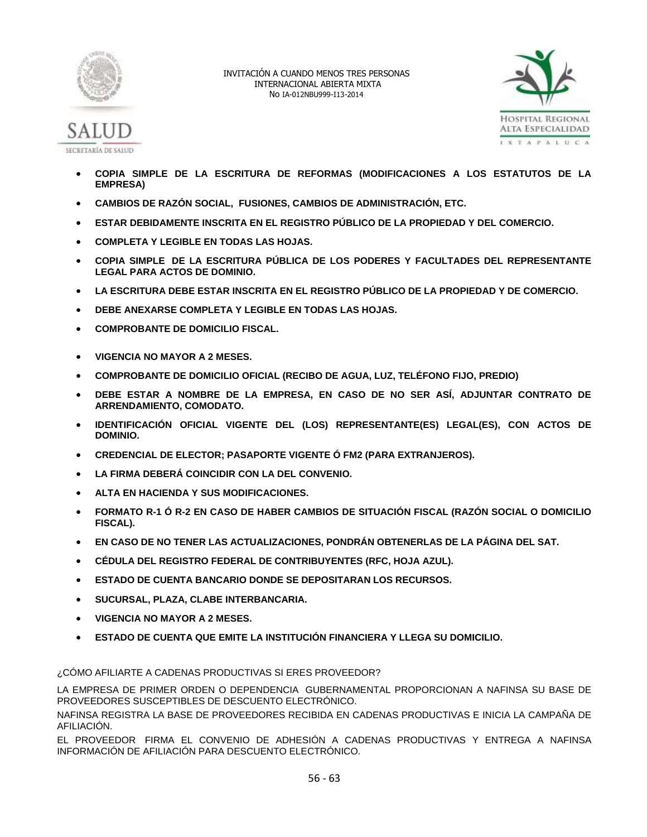



- **COPIA SIMPLE DE LA ESCRITURA DE REFORMAS (MODIFICACIONES A LOS ESTATUTOS DE LA EMPRESA)**
- **CAMBIOS DE RAZÓN SOCIAL, FUSIONES, CAMBIOS DE ADMINISTRACIÓN, ETC.**
- **ESTAR DEBIDAMENTE INSCRITA EN EL REGISTRO PÚBLICO DE LA PROPIEDAD Y DEL COMERCIO.**
- **COMPLETA Y LEGIBLE EN TODAS LAS HOJAS.**
- **COPIA SIMPLE DE LA ESCRITURA PÚBLICA DE LOS PODERES Y FACULTADES DEL REPRESENTANTE LEGAL PARA ACTOS DE DOMINIO.**
- **LA ESCRITURA DEBE ESTAR INSCRITA EN EL REGISTRO PÚBLICO DE LA PROPIEDAD Y DE COMERCIO.**
- **DEBE ANEXARSE COMPLETA Y LEGIBLE EN TODAS LAS HOJAS.**
- **COMPROBANTE DE DOMICILIO FISCAL.**
- **VIGENCIA NO MAYOR A 2 MESES.**
- **COMPROBANTE DE DOMICILIO OFICIAL (RECIBO DE AGUA, LUZ, TELÉFONO FIJO, PREDIO)**
- **DEBE ESTAR A NOMBRE DE LA EMPRESA, EN CASO DE NO SER ASÍ, ADJUNTAR CONTRATO DE ARRENDAMIENTO, COMODATO.**
- **IDENTIFICACIÓN OFICIAL VIGENTE DEL (LOS) REPRESENTANTE(ES) LEGAL(ES), CON ACTOS DE DOMINIO.**
- **CREDENCIAL DE ELECTOR; PASAPORTE VIGENTE Ó FM2 (PARA EXTRANJEROS).**
- **LA FIRMA DEBERÁ COINCIDIR CON LA DEL CONVENIO.**
- **ALTA EN HACIENDA Y SUS MODIFICACIONES.**
- **FORMATO R-1 Ó R-2 EN CASO DE HABER CAMBIOS DE SITUACIÓN FISCAL (RAZÓN SOCIAL O DOMICILIO FISCAL).**
- **EN CASO DE NO TENER LAS ACTUALIZACIONES, PONDRÁN OBTENERLAS DE LA PÁGINA DEL SAT.**
- **CÉDULA DEL REGISTRO FEDERAL DE CONTRIBUYENTES (RFC, HOJA AZUL).**
- **ESTADO DE CUENTA BANCARIO DONDE SE DEPOSITARAN LOS RECURSOS.**
- **SUCURSAL, PLAZA, CLABE INTERBANCARIA.**
- **VIGENCIA NO MAYOR A 2 MESES.**
- **ESTADO DE CUENTA QUE EMITE LA INSTITUCIÓN FINANCIERA Y LLEGA SU DOMICILIO.**

¿CÓMO AFILIARTE A CADENAS PRODUCTIVAS SI ERES PROVEEDOR?

LA EMPRESA DE PRIMER ORDEN O DEPENDENCIA GUBERNAMENTAL PROPORCIONAN A NAFINSA SU BASE DE PROVEEDORES SUSCEPTIBLES DE DESCUENTO ELECTRÓNICO.

NAFINSA REGISTRA LA BASE DE PROVEEDORES RECIBIDA EN CADENAS PRODUCTIVAS E INICIA LA CAMPAÑA DE AFILIACIÓN.

EL PROVEEDOR FIRMA EL CONVENIO DE ADHESIÓN A CADENAS PRODUCTIVAS Y ENTREGA A NAFINSA INFORMACIÓN DE AFILIACIÓN PARA DESCUENTO ELECTRÓNICO.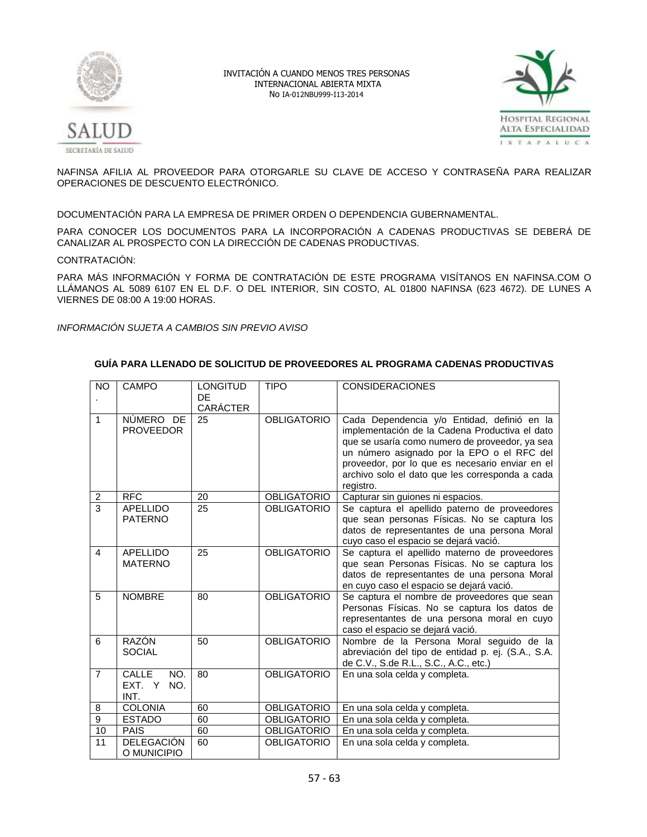



NAFINSA AFILIA AL PROVEEDOR PARA OTORGARLE SU CLAVE DE ACCESO Y CONTRASEÑA PARA REALIZAR OPERACIONES DE DESCUENTO ELECTRÓNICO.

DOCUMENTACIÓN PARA LA EMPRESA DE PRIMER ORDEN O DEPENDENCIA GUBERNAMENTAL.

PARA CONOCER LOS DOCUMENTOS PARA LA INCORPORACIÓN A CADENAS PRODUCTIVAS SE DEBERÁ DE CANALIZAR AL PROSPECTO CON LA DIRECCIÓN DE CADENAS PRODUCTIVAS.

CONTRATACIÓN:

PARA MÁS INFORMACIÓN Y FORMA DE CONTRATACIÓN DE ESTE PROGRAMA VISÍTANOS EN NAFINSA.COM O LLÁMANOS AL 5089 6107 EN EL D.F. O DEL INTERIOR, SIN COSTO, AL 01800 NAFINSA (623 4672). DE LUNES A VIERNES DE 08:00 A 19:00 HORAS.

*INFORMACIÓN SUJETA A CAMBIOS SIN PREVIO AVISO*

# **GUÍA PARA LLENADO DE SOLICITUD DE PROVEEDORES AL PROGRAMA CADENAS PRODUCTIVAS**

| <b>NO</b>      | <b>CAMPO</b>                          | <b>LONGITUD</b><br>DE<br>CARÁCTER | <b>TIPO</b>        | <b>CONSIDERACIONES</b>                                                                                                                                                                                                                                                                                           |
|----------------|---------------------------------------|-----------------------------------|--------------------|------------------------------------------------------------------------------------------------------------------------------------------------------------------------------------------------------------------------------------------------------------------------------------------------------------------|
| $\mathbf{1}$   | NÚMERO DE<br><b>PROVEEDOR</b>         | 25                                | <b>OBLIGATORIO</b> | Cada Dependencia y/o Entidad, definió en la<br>implementación de la Cadena Productiva el dato<br>que se usaría como numero de proveedor, ya sea<br>un número asignado por la EPO o el RFC del<br>proveedor, por lo que es necesario enviar en el<br>archivo solo el dato que les corresponda a cada<br>registro. |
| $\overline{2}$ | <b>RFC</b>                            | 20                                | <b>OBLIGATORIO</b> | Capturar sin guiones ni espacios.                                                                                                                                                                                                                                                                                |
| $\overline{3}$ | <b>APELLIDO</b><br><b>PATERNO</b>     | 25                                | <b>OBLIGATORIO</b> | Se captura el apellido paterno de proveedores<br>que sean personas Físicas. No se captura los<br>datos de representantes de una persona Moral<br>cuyo caso el espacio se dejará vació.                                                                                                                           |
| 4              | <b>APELLIDO</b><br><b>MATERNO</b>     | 25                                | <b>OBLIGATORIO</b> | Se captura el apellido materno de proveedores<br>que sean Personas Físicas. No se captura los<br>datos de representantes de una persona Moral<br>en cuyo caso el espacio se dejará vació.                                                                                                                        |
| 5              | <b>NOMBRE</b>                         | 80                                | <b>OBLIGATORIO</b> | Se captura el nombre de proveedores que sean<br>Personas Físicas. No se captura los datos de<br>representantes de una persona moral en cuyo<br>caso el espacio se dejará vació.                                                                                                                                  |
| 6              | RAZÓN<br><b>SOCIAL</b>                | 50                                | <b>OBLIGATORIO</b> | Nombre de la Persona Moral seguido de la<br>abreviación del tipo de entidad p. ej. (S.A., S.A.<br>de C.V., S.de R.L., S.C., A.C., etc.)                                                                                                                                                                          |
| $\overline{7}$ | CALLE<br>NO.<br>EXT. Y<br>NO.<br>INT. | 80                                | <b>OBLIGATORIO</b> | En una sola celda y completa.                                                                                                                                                                                                                                                                                    |
| 8              | <b>COLONIA</b>                        | 60                                | <b>OBLIGATORIO</b> | En una sola celda y completa.                                                                                                                                                                                                                                                                                    |
| 9              | <b>ESTADO</b>                         | 60                                | <b>OBLIGATORIO</b> | En una sola celda y completa.                                                                                                                                                                                                                                                                                    |
| 10             | <b>PAIS</b>                           | 60                                | <b>OBLIGATORIO</b> | En una sola celda y completa.                                                                                                                                                                                                                                                                                    |
| 11             | <b>DELEGACIÓN</b><br>O MUNICIPIO      | 60                                | <b>OBLIGATORIO</b> | En una sola celda y completa.                                                                                                                                                                                                                                                                                    |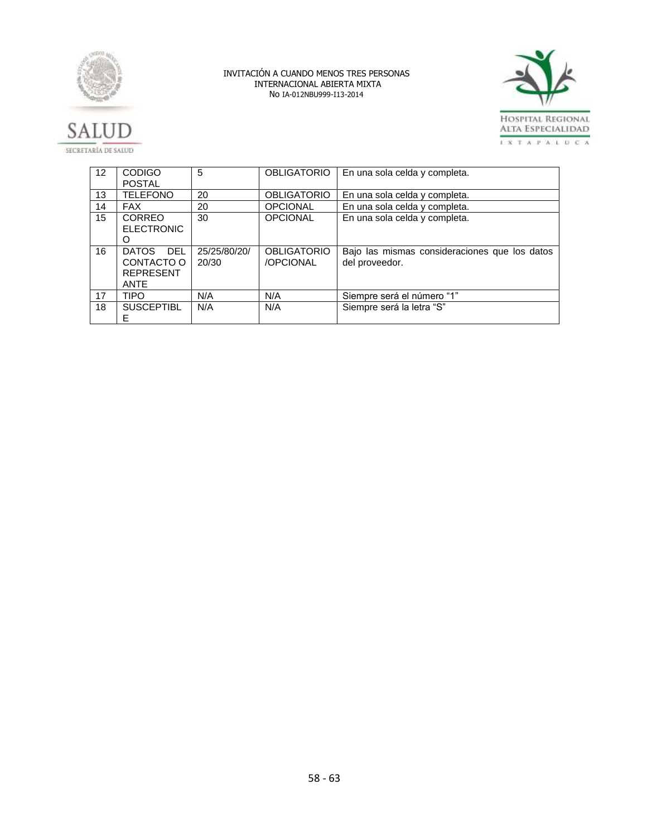





| $12 \overline{ }$ | <b>CODIGO</b>                                                               | 5                     | OBLIGATORIO                     | En una sola celda y completa.                                   |
|-------------------|-----------------------------------------------------------------------------|-----------------------|---------------------------------|-----------------------------------------------------------------|
|                   | <b>POSTAL</b>                                                               |                       |                                 |                                                                 |
| 13                | <b>TELEFONO</b>                                                             | 20                    | <b>OBLIGATORIO</b>              | En una sola celda y completa.                                   |
| 14                | <b>FAX</b>                                                                  | 20                    | <b>OPCIONAL</b>                 | En una sola celda y completa.                                   |
| 15                | <b>CORREO</b><br><b>ELECTRONIC</b><br>O                                     | 30                    | <b>OPCIONAL</b>                 | En una sola celda y completa.                                   |
| 16                | <b>DATOS</b><br><b>DEL</b><br>CONTACTO O<br><b>REPRESENT</b><br><b>ANTE</b> | 25/25/80/20/<br>20/30 | <b>OBLIGATORIO</b><br>/OPCIONAL | Bajo las mismas consideraciones que los datos<br>del proveedor. |
| 17                | <b>TIPO</b>                                                                 | N/A                   | N/A                             | Siempre será el número "1"                                      |
| 18                | <b>SUSCEPTIBL</b><br>E                                                      | N/A                   | N/A                             | Siempre será la letra "S"                                       |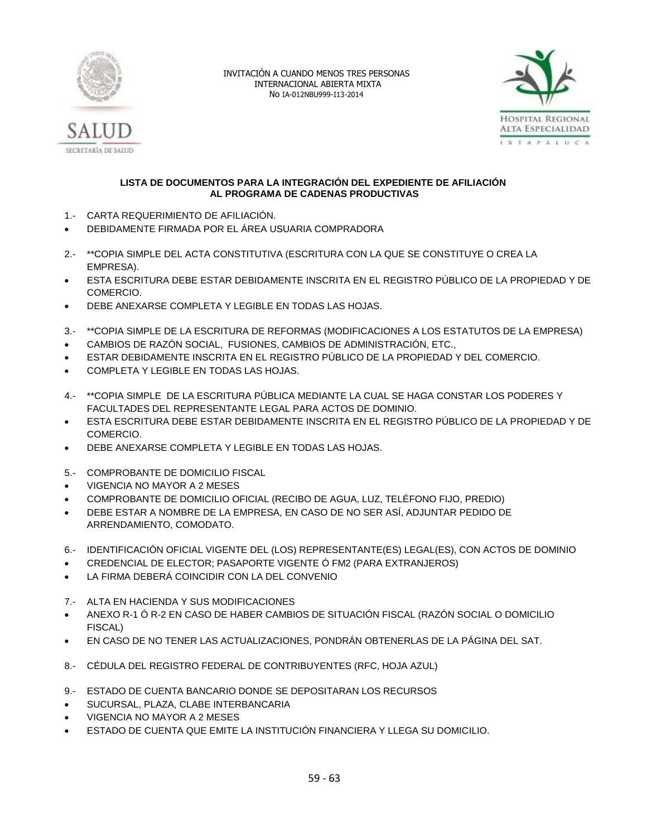



# **LISTA DE DOCUMENTOS PARA LA INTEGRACIÓN DEL EXPEDIENTE DE AFILIACIÓN AL PROGRAMA DE CADENAS PRODUCTIVAS**

- 1.- CARTA REQUERIMIENTO DE AFILIACIÓN.
- DEBIDAMENTE FIRMADA POR EL ÁREA USUARIA COMPRADORA
- 2.- \*\*COPIA SIMPLE DEL ACTA CONSTITUTIVA (ESCRITURA CON LA QUE SE CONSTITUYE O CREA LA EMPRESA).
- ESTA ESCRITURA DEBE ESTAR DEBIDAMENTE INSCRITA EN EL REGISTRO PÚBLICO DE LA PROPIEDAD Y DE COMERCIO.
- DEBE ANEXARSE COMPLETA Y LEGIBLE EN TODAS LAS HOJAS.
- 3.- \*\*COPIA SIMPLE DE LA ESCRITURA DE REFORMAS (MODIFICACIONES A LOS ESTATUTOS DE LA EMPRESA)
- CAMBIOS DE RAZÓN SOCIAL, FUSIONES, CAMBIOS DE ADMINISTRACIÓN, ETC.,
- ESTAR DEBIDAMENTE INSCRITA EN EL REGISTRO PÚBLICO DE LA PROPIEDAD Y DEL COMERCIO.
- COMPLETA Y LEGIBLE EN TODAS LAS HOJAS.
- 4.- \*\*COPIA SIMPLE DE LA ESCRITURA PÚBLICA MEDIANTE LA CUAL SE HAGA CONSTAR LOS PODERES Y FACULTADES DEL REPRESENTANTE LEGAL PARA ACTOS DE DOMINIO.
- ESTA ESCRITURA DEBE ESTAR DEBIDAMENTE INSCRITA EN EL REGISTRO PÚBLICO DE LA PROPIEDAD Y DE COMERCIO.
- DEBE ANEXARSE COMPLETA Y LEGIBLE EN TODAS LAS HOJAS.
- 5.- COMPROBANTE DE DOMICILIO FISCAL
- VIGENCIA NO MAYOR A 2 MESES
- COMPROBANTE DE DOMICILIO OFICIAL (RECIBO DE AGUA, LUZ, TELÉFONO FIJO, PREDIO)
- DEBE ESTAR A NOMBRE DE LA EMPRESA, EN CASO DE NO SER ASÍ, ADJUNTAR PEDIDO DE ARRENDAMIENTO, COMODATO.
- 6.- IDENTIFICACIÓN OFICIAL VIGENTE DEL (LOS) REPRESENTANTE(ES) LEGAL(ES), CON ACTOS DE DOMINIO
- CREDENCIAL DE ELECTOR; PASAPORTE VIGENTE Ó FM2 (PARA EXTRANJEROS)
- LA FIRMA DEBERÁ COINCIDIR CON LA DEL CONVENIO
- 7.- ALTA EN HACIENDA Y SUS MODIFICACIONES
- ANEXO R-1 Ó R-2 EN CASO DE HABER CAMBIOS DE SITUACIÓN FISCAL (RAZÓN SOCIAL O DOMICILIO FISCAL)
- EN CASO DE NO TENER LAS ACTUALIZACIONES, PONDRÁN OBTENERLAS DE LA PÁGINA DEL SAT.
- 8.- CÉDULA DEL REGISTRO FEDERAL DE CONTRIBUYENTES (RFC, HOJA AZUL)
- 9.- ESTADO DE CUENTA BANCARIO DONDE SE DEPOSITARAN LOS RECURSOS
- SUCURSAL, PLAZA, CLABE INTERBANCARIA
- VIGENCIA NO MAYOR A 2 MESES
- ESTADO DE CUENTA QUE EMITE LA INSTITUCIÓN FINANCIERA Y LLEGA SU DOMICILIO.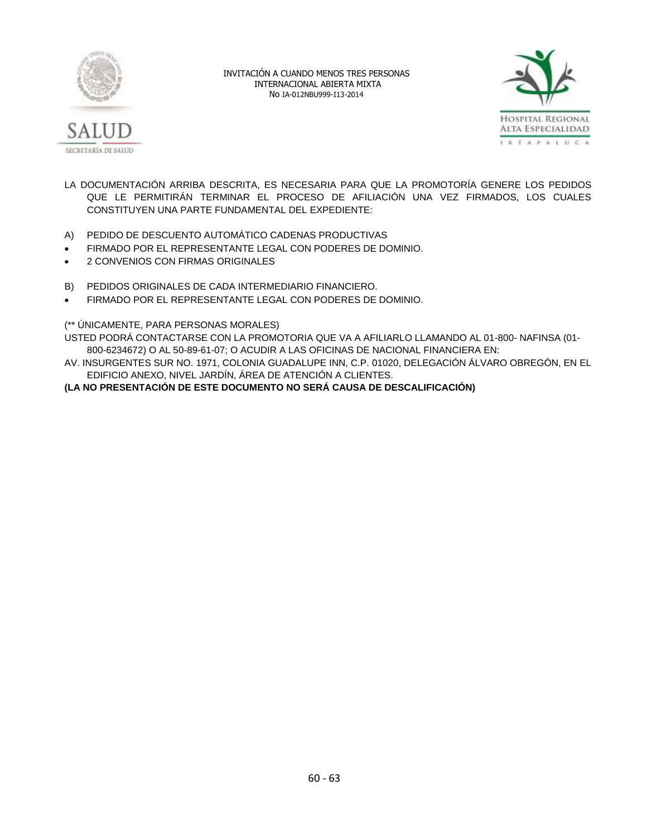



- LA DOCUMENTACIÓN ARRIBA DESCRITA, ES NECESARIA PARA QUE LA PROMOTORÍA GENERE LOS PEDIDOS QUE LE PERMITIRÁN TERMINAR EL PROCESO DE AFILIACIÓN UNA VEZ FIRMADOS, LOS CUALES CONSTITUYEN UNA PARTE FUNDAMENTAL DEL EXPEDIENTE:
- A) PEDIDO DE DESCUENTO AUTOMÁTICO CADENAS PRODUCTIVAS
- FIRMADO POR EL REPRESENTANTE LEGAL CON PODERES DE DOMINIO.
- 2 CONVENIOS CON FIRMAS ORIGINALES
- B) PEDIDOS ORIGINALES DE CADA INTERMEDIARIO FINANCIERO.
- FIRMADO POR EL REPRESENTANTE LEGAL CON PODERES DE DOMINIO.

# (\*\* ÚNICAMENTE, PARA PERSONAS MORALES)

USTED PODRÁ CONTACTARSE CON LA PROMOTORIA QUE VA A AFILIARLO LLAMANDO AL 01-800- NAFINSA (01- 800-6234672) O AL 50-89-61-07; O ACUDIR A LAS OFICINAS DE NACIONAL FINANCIERA EN:

AV. INSURGENTES SUR NO. 1971, COLONIA GUADALUPE INN, C.P. 01020, DELEGACIÓN ÁLVARO OBREGÓN, EN EL EDIFICIO ANEXO, NIVEL JARDÍN, ÁREA DE ATENCIÓN A CLIENTES.

**(LA NO PRESENTACIÓN DE ESTE DOCUMENTO NO SERÁ CAUSA DE DESCALIFICACIÓN)**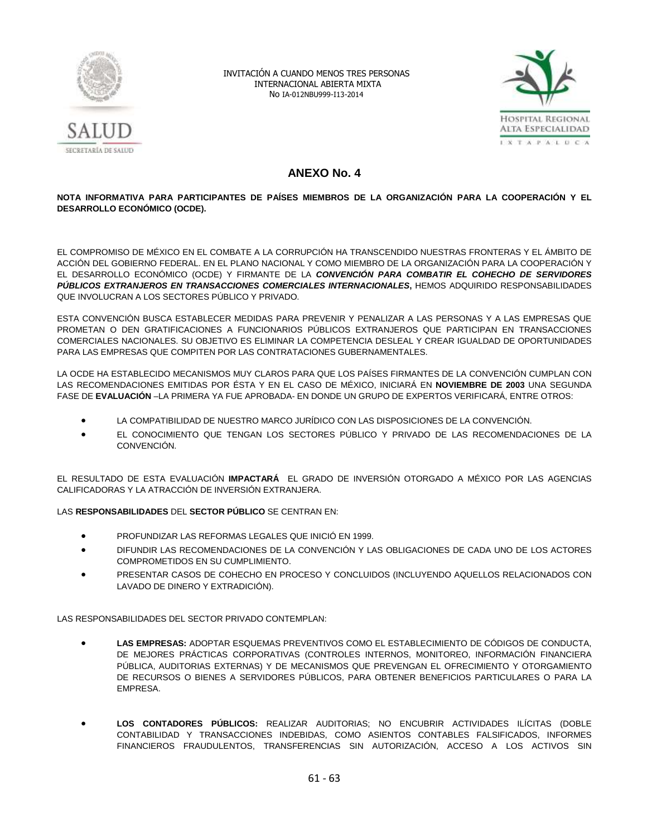



# **ANEXO No. 4**

## **NOTA INFORMATIVA PARA PARTICIPANTES DE PAÍSES MIEMBROS DE LA ORGANIZACIÓN PARA LA COOPERACIÓN Y EL DESARROLLO ECONÓMICO (OCDE).**

EL COMPROMISO DE MÉXICO EN EL COMBATE A LA CORRUPCIÓN HA TRANSCENDIDO NUESTRAS FRONTERAS Y EL ÁMBITO DE ACCIÓN DEL GOBIERNO FEDERAL. EN EL PLANO NACIONAL Y COMO MIEMBRO DE LA ORGANIZACIÓN PARA LA COOPERACIÓN Y EL DESARROLLO ECONÓMICO (OCDE) Y FIRMANTE DE LA *CONVENCIÓN PARA COMBATIR EL COHECHO DE SERVIDORES PÚBLICOS EXTRANJEROS EN TRANSACCIONES COMERCIALES INTERNACIONALES***,** HEMOS ADQUIRIDO RESPONSABILIDADES QUE INVOLUCRAN A LOS SECTORES PÚBLICO Y PRIVADO.

ESTA CONVENCIÓN BUSCA ESTABLECER MEDIDAS PARA PREVENIR Y PENALIZAR A LAS PERSONAS Y A LAS EMPRESAS QUE PROMETAN O DEN GRATIFICACIONES A FUNCIONARIOS PÚBLICOS EXTRANJEROS QUE PARTICIPAN EN TRANSACCIONES COMERCIALES NACIONALES. SU OBJETIVO ES ELIMINAR LA COMPETENCIA DESLEAL Y CREAR IGUALDAD DE OPORTUNIDADES PARA LAS EMPRESAS QUE COMPITEN POR LAS CONTRATACIONES GUBERNAMENTALES.

LA OCDE HA ESTABLECIDO MECANISMOS MUY CLAROS PARA QUE LOS PAÍSES FIRMANTES DE LA CONVENCIÓN CUMPLAN CON LAS RECOMENDACIONES EMITIDAS POR ÉSTA Y EN EL CASO DE MÉXICO, INICIARÁ EN **NOVIEMBRE DE 2003** UNA SEGUNDA FASE DE **EVALUACIÓN** –LA PRIMERA YA FUE APROBADA- EN DONDE UN GRUPO DE EXPERTOS VERIFICARÁ, ENTRE OTROS:

- LA COMPATIBILIDAD DE NUESTRO MARCO JURÍDICO CON LAS DISPOSICIONES DE LA CONVENCIÓN.
- EL CONOCIMIENTO QUE TENGAN LOS SECTORES PÚBLICO Y PRIVADO DE LAS RECOMENDACIONES DE LA **CONVENCIÓN**

EL RESULTADO DE ESTA EVALUACIÓN **IMPACTARÁ** EL GRADO DE INVERSIÓN OTORGADO A MÉXICO POR LAS AGENCIAS CALIFICADORAS Y LA ATRACCIÓN DE INVERSIÓN EXTRANJERA.

## LAS **RESPONSABILIDADES** DEL **SECTOR PÚBLICO** SE CENTRAN EN:

- PROFUNDIZAR LAS REFORMAS LEGALES QUE INICIÓ EN 1999.
- DIFUNDIR LAS RECOMENDACIONES DE LA CONVENCIÓN Y LAS OBLIGACIONES DE CADA UNO DE LOS ACTORES COMPROMETIDOS EN SU CUMPLIMIENTO.
- PRESENTAR CASOS DE COHECHO EN PROCESO Y CONCLUIDOS (INCLUYENDO AQUELLOS RELACIONADOS CON LAVADO DE DINERO Y EXTRADICIÓN).

LAS RESPONSABILIDADES DEL SECTOR PRIVADO CONTEMPLAN:

- **LAS EMPRESAS:** ADOPTAR ESQUEMAS PREVENTIVOS COMO EL ESTABLECIMIENTO DE CÓDIGOS DE CONDUCTA, DE MEJORES PRÁCTICAS CORPORATIVAS (CONTROLES INTERNOS, MONITOREO, INFORMACIÓN FINANCIERA PÚBLICA, AUDITORIAS EXTERNAS) Y DE MECANISMOS QUE PREVENGAN EL OFRECIMIENTO Y OTORGAMIENTO DE RECURSOS O BIENES A SERVIDORES PÚBLICOS, PARA OBTENER BENEFICIOS PARTICULARES O PARA LA EMPRESA.
- **LOS CONTADORES PÚBLICOS:** REALIZAR AUDITORIAS; NO ENCUBRIR ACTIVIDADES ILÍCITAS (DOBLE CONTABILIDAD Y TRANSACCIONES INDEBIDAS, COMO ASIENTOS CONTABLES FALSIFICADOS, INFORMES FINANCIEROS FRAUDULENTOS, TRANSFERENCIAS SIN AUTORIZACIÓN, ACCESO A LOS ACTIVOS SIN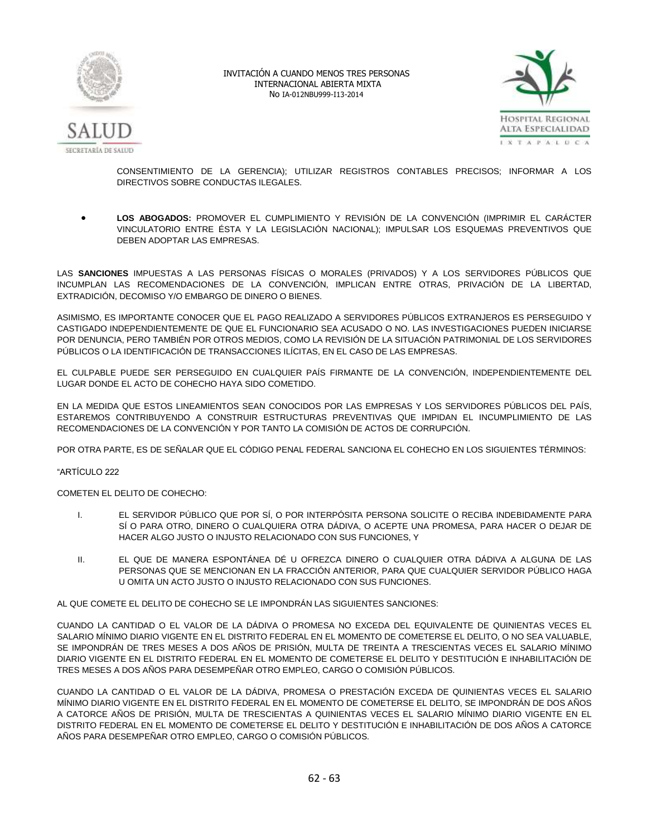



CONSENTIMIENTO DE LA GERENCIA); UTILIZAR REGISTROS CONTABLES PRECISOS; INFORMAR A LOS DIRECTIVOS SOBRE CONDUCTAS ILEGALES.

 **LOS ABOGADOS:** PROMOVER EL CUMPLIMIENTO Y REVISIÓN DE LA CONVENCIÓN (IMPRIMIR EL CARÁCTER VINCULATORIO ENTRE ÉSTA Y LA LEGISLACIÓN NACIONAL); IMPULSAR LOS ESQUEMAS PREVENTIVOS QUE DEBEN ADOPTAR LAS EMPRESAS.

LAS **SANCIONES** IMPUESTAS A LAS PERSONAS FÍSICAS O MORALES (PRIVADOS) Y A LOS SERVIDORES PÚBLICOS QUE INCUMPLAN LAS RECOMENDACIONES DE LA CONVENCIÓN, IMPLICAN ENTRE OTRAS, PRIVACIÓN DE LA LIBERTAD, EXTRADICIÓN, DECOMISO Y/O EMBARGO DE DINERO O BIENES.

ASIMISMO, ES IMPORTANTE CONOCER QUE EL PAGO REALIZADO A SERVIDORES PÚBLICOS EXTRANJEROS ES PERSEGUIDO Y CASTIGADO INDEPENDIENTEMENTE DE QUE EL FUNCIONARIO SEA ACUSADO O NO. LAS INVESTIGACIONES PUEDEN INICIARSE POR DENUNCIA, PERO TAMBIÉN POR OTROS MEDIOS, COMO LA REVISIÓN DE LA SITUACIÓN PATRIMONIAL DE LOS SERVIDORES PÚBLICOS O LA IDENTIFICACIÓN DE TRANSACCIONES ILÍCITAS, EN EL CASO DE LAS EMPRESAS.

EL CULPABLE PUEDE SER PERSEGUIDO EN CUALQUIER PAÍS FIRMANTE DE LA CONVENCIÓN, INDEPENDIENTEMENTE DEL LUGAR DONDE EL ACTO DE COHECHO HAYA SIDO COMETIDO.

EN LA MEDIDA QUE ESTOS LINEAMIENTOS SEAN CONOCIDOS POR LAS EMPRESAS Y LOS SERVIDORES PÚBLICOS DEL PAÍS, ESTAREMOS CONTRIBUYENDO A CONSTRUIR ESTRUCTURAS PREVENTIVAS QUE IMPIDAN EL INCUMPLIMIENTO DE LAS RECOMENDACIONES DE LA CONVENCIÓN Y POR TANTO LA COMISIÓN DE ACTOS DE CORRUPCIÓN.

POR OTRA PARTE, ES DE SEÑALAR QUE EL CÓDIGO PENAL FEDERAL SANCIONA EL COHECHO EN LOS SIGUIENTES TÉRMINOS:

#### "ARTÍCULO 222

COMETEN EL DELITO DE COHECHO:

- I. EL SERVIDOR PÚBLICO QUE POR SÍ, O POR INTERPÓSITA PERSONA SOLICITE O RECIBA INDEBIDAMENTE PARA SÍ O PARA OTRO, DINERO O CUALQUIERA OTRA DÁDIVA, O ACEPTE UNA PROMESA, PARA HACER O DEJAR DE HACER ALGO JUSTO O INJUSTO RELACIONADO CON SUS FUNCIONES, Y
- II. EL QUE DE MANERA ESPONTÁNEA DÉ U OFREZCA DINERO O CUALQUIER OTRA DÁDIVA A ALGUNA DE LAS PERSONAS QUE SE MENCIONAN EN LA FRACCIÓN ANTERIOR, PARA QUE CUALQUIER SERVIDOR PÚBLICO HAGA U OMITA UN ACTO JUSTO O INJUSTO RELACIONADO CON SUS FUNCIONES.

AL QUE COMETE EL DELITO DE COHECHO SE LE IMPONDRÁN LAS SIGUIENTES SANCIONES:

CUANDO LA CANTIDAD O EL VALOR DE LA DÁDIVA O PROMESA NO EXCEDA DEL EQUIVALENTE DE QUINIENTAS VECES EL SALARIO MÍNIMO DIARIO VIGENTE EN EL DISTRITO FEDERAL EN EL MOMENTO DE COMETERSE EL DELITO, O NO SEA VALUABLE, SE IMPONDRÁN DE TRES MESES A DOS AÑOS DE PRISIÓN, MULTA DE TREINTA A TRESCIENTAS VECES EL SALARIO MÍNIMO DIARIO VIGENTE EN EL DISTRITO FEDERAL EN EL MOMENTO DE COMETERSE EL DELITO Y DESTITUCIÓN E INHABILITACIÓN DE TRES MESES A DOS AÑOS PARA DESEMPEÑAR OTRO EMPLEO, CARGO O COMISIÓN PÚBLICOS.

CUANDO LA CANTIDAD O EL VALOR DE LA DÁDIVA, PROMESA O PRESTACIÓN EXCEDA DE QUINIENTAS VECES EL SALARIO MÍNIMO DIARIO VIGENTE EN EL DISTRITO FEDERAL EN EL MOMENTO DE COMETERSE EL DELITO, SE IMPONDRÁN DE DOS AÑOS A CATORCE AÑOS DE PRISIÓN, MULTA DE TRESCIENTAS A QUINIENTAS VECES EL SALARIO MÍNIMO DIARIO VIGENTE EN EL DISTRITO FEDERAL EN EL MOMENTO DE COMETERSE EL DELITO Y DESTITUCIÓN E INHABILITACIÓN DE DOS AÑOS A CATORCE AÑOS PARA DESEMPEÑAR OTRO EMPLEO, CARGO O COMISIÓN PÚBLICOS.